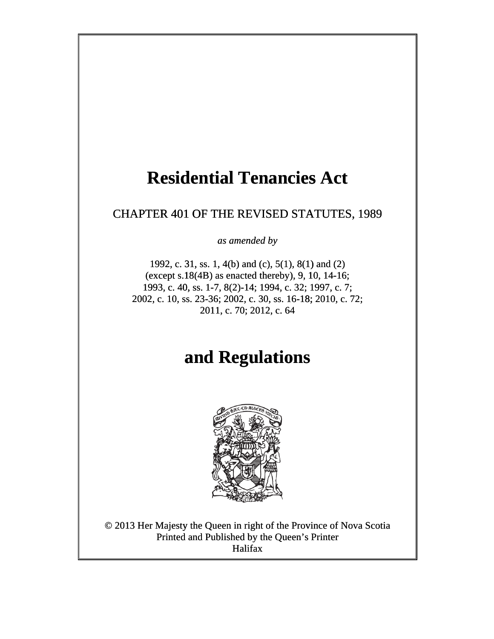# **Residential Tenancies Act**

# CHAPTER 401 OF THE REVISED STATUTES, 1989

as amended by

1992, c. 31, ss. 1, 4(b) and (c), 5(1), 8(1) and (2) (except  $s.18(4B)$  as enacted thereby), 9, 10, 14-16; 1993, c. 40, ss. 1-7, 8(2)-14; 1994, c. 32; 1997, c. 7; 2002, c. 10, ss. 23-36; 2002, c. 30, ss. 16-18; 2010, c. 72; 2011, c. 70; 2012, c. 64

# and Regulations



© 2013 Her Majesty the Queen in right of the Province of Nova Scotia Printed and Published by the Queen's Printer Halifax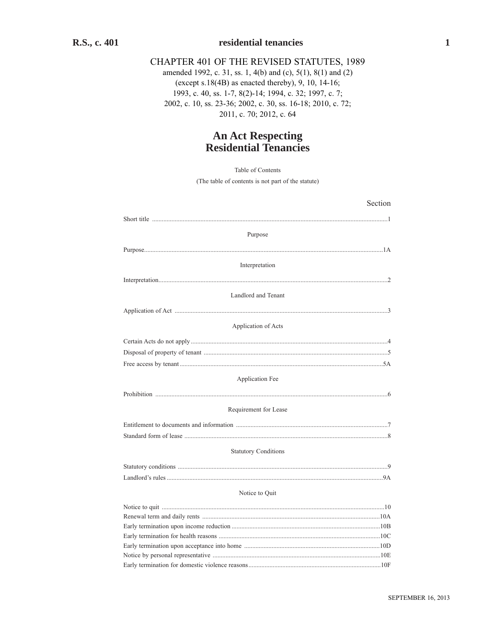# residential tenancies

# CHAPTER 401 OF THE REVISED STATUTES, 1989

amended 1992, c. 31, ss. 1, 4(b) and (c), 5(1), 8(1) and (2) (except  $s.18(4B)$  as enacted thereby), 9, 10, 14-16; 1993, c. 40, ss. 1-7, 8(2)-14; 1994, c. 32; 1997, c. 7; 2002, c. 10, ss. 23-36; 2002, c. 30, ss. 16-18; 2010, c. 72; 2011, c. 70; 2012, c. 64

# **An Act Respecting Residential Tenancies**

#### Table of Contents

(The table of contents is not part of the statute)

|                             | Section |
|-----------------------------|---------|
|                             |         |
|                             |         |
| Purpose                     |         |
|                             |         |
| Interpretation              |         |
|                             |         |
|                             |         |
| Landlord and Tenant         |         |
|                             |         |
| Application of Acts         |         |
|                             |         |
|                             |         |
|                             |         |
|                             |         |
| Application Fee             |         |
|                             |         |
| Requirement for Lease       |         |
|                             |         |
|                             |         |
| <b>Statutory Conditions</b> |         |
|                             |         |
|                             |         |
|                             |         |
| Notice to Quit              |         |
|                             |         |
|                             |         |
|                             |         |
|                             |         |
|                             |         |
|                             |         |
|                             |         |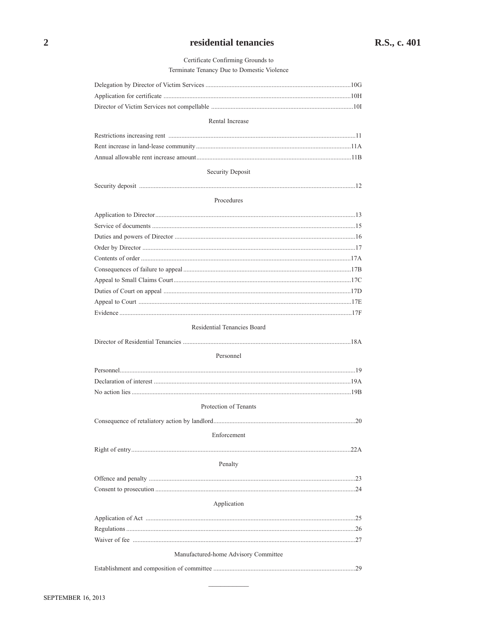# residential tenancies

Certificate Confirming Grounds to

Terminate Tenancy Due to Domestic Violence

| Rental Increase                      |  |
|--------------------------------------|--|
|                                      |  |
|                                      |  |
|                                      |  |
| Security Deposit                     |  |
|                                      |  |
| Procedures                           |  |
|                                      |  |
|                                      |  |
|                                      |  |
|                                      |  |
|                                      |  |
|                                      |  |
|                                      |  |
|                                      |  |
|                                      |  |
|                                      |  |
|                                      |  |
| Residential Tenancies Board          |  |
|                                      |  |
| Personnel                            |  |
|                                      |  |
|                                      |  |
|                                      |  |
|                                      |  |
| Protection of Tenants                |  |
|                                      |  |
| Enforcement                          |  |
|                                      |  |
|                                      |  |
| Penalty                              |  |
|                                      |  |
|                                      |  |
| Application                          |  |
|                                      |  |
|                                      |  |
|                                      |  |
|                                      |  |
| Manufactured-home Advisory Committee |  |
|                                      |  |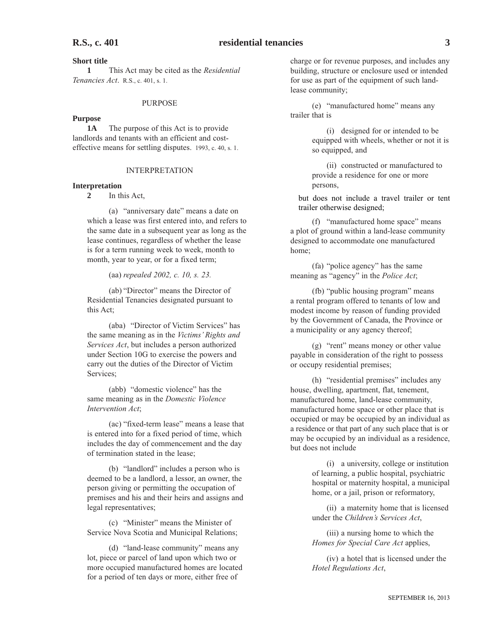# **R.S., c. 401 residential tenancies 3**

#### **Short title**

**1** This Act may be cited as the *Residential Tenancies Act*. R.S., c. 401, s. 1.

#### PURPOSE

#### **Purpose**

**1A** The purpose of this Act is to provide landlords and tenants with an efficient and costeffective means for settling disputes. 1993, c. 40, s. 1.

#### INTERPRETATION

#### **Interpretation**

**2** In this Act,

(a) "anniversary date" means a date on which a lease was first entered into, and refers to the same date in a subsequent year as long as the lease continues, regardless of whether the lease is for a term running week to week, month to month, year to year, or for a fixed term;

(aa) *repealed 2002, c. 10, s. 23.*

(ab) "Director" means the Director of Residential Tenancies designated pursuant to this Act;

(aba) "Director of Victim Services" has the same meaning as in the *Victims' Rights and Services Act*, but includes a person authorized under Section 10G to exercise the powers and carry out the duties of the Director of Victim Services;

(abb) "domestic violence" has the same meaning as in the *Domestic Violence Intervention Act*;

(ac) "fixed-term lease" means a lease that is entered into for a fixed period of time, which includes the day of commencement and the day of termination stated in the lease;

(b) "landlord" includes a person who is deemed to be a landlord, a lessor, an owner, the person giving or permitting the occupation of premises and his and their heirs and assigns and legal representatives;

(c) "Minister" means the Minister of Service Nova Scotia and Municipal Relations;

(d) "land-lease community" means any lot, piece or parcel of land upon which two or more occupied manufactured homes are located for a period of ten days or more, either free of

charge or for revenue purposes, and includes any building, structure or enclosure used or intended for use as part of the equipment of such landlease community;

(e) "manufactured home" means any trailer that is

> (i) designed for or intended to be equipped with wheels, whether or not it is so equipped, and

(ii) constructed or manufactured to provide a residence for one or more persons,

but does not include a travel trailer or tent trailer otherwise designed;

(f) "manufactured home space" means a plot of ground within a land-lease community designed to accommodate one manufactured home;

(fa) "police agency" has the same meaning as "agency" in the *Police Act*;

(fb) "public housing program" means a rental program offered to tenants of low and modest income by reason of funding provided by the Government of Canada, the Province or a municipality or any agency thereof;

(g) "rent" means money or other value payable in consideration of the right to possess or occupy residential premises;

(h) "residential premises" includes any house, dwelling, apartment, flat, tenement, manufactured home, land-lease community, manufactured home space or other place that is occupied or may be occupied by an individual as a residence or that part of any such place that is or may be occupied by an individual as a residence, but does not include

> (i) a university, college or institution of learning, a public hospital, psychiatric hospital or maternity hospital, a municipal home, or a jail, prison or reformatory,

> (ii) a maternity home that is licensed under the *Children's Services Act*,

(iii) a nursing home to which the *Homes for Special Care Act* applies,

(iv) a hotel that is licensed under the *Hotel Regulations Act*,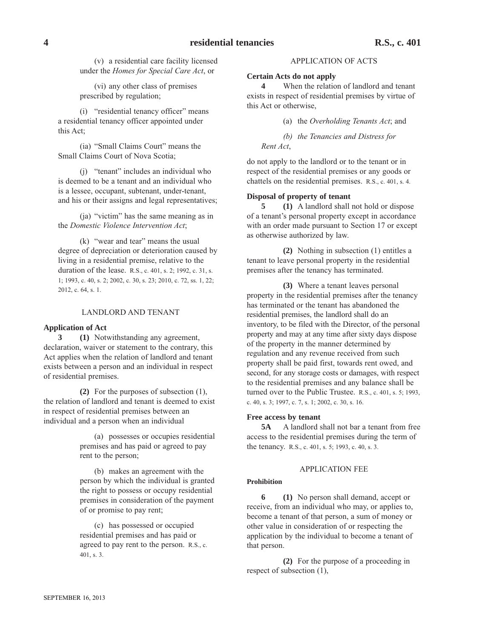(v) a residential care facility licensed under the *Homes for Special Care Act*, or

(vi) any other class of premises prescribed by regulation;

(i) "residential tenancy officer" means a residential tenancy officer appointed under this Act;

(ia) "Small Claims Court" means the Small Claims Court of Nova Scotia;

(j) "tenant" includes an individual who is deemed to be a tenant and an individual who is a lessee, occupant, subtenant, under-tenant, and his or their assigns and legal representatives;

(ja) "victim" has the same meaning as in the *Domestic Violence Intervention Act*;

(k) "wear and tear" means the usual degree of depreciation or deterioration caused by living in a residential premise, relative to the duration of the lease. R.S., c. 401, s. 2; 1992, c. 31, s. 1; 1993, c. 40, s. 2; 2002, c. 30, s. 23; 2010, c. 72, ss. 1, 22; 2012, c. 64, s. 1.

#### LANDLORD AND TENANT

#### **Application of Act**

**3 (1)** Notwithstanding any agreement, declaration, waiver or statement to the contrary, this Act applies when the relation of landlord and tenant exists between a person and an individual in respect of residential premises.

**(2)** For the purposes of subsection (1), the relation of landlord and tenant is deemed to exist in respect of residential premises between an individual and a person when an individual

> (a) possesses or occupies residential premises and has paid or agreed to pay rent to the person;

> (b) makes an agreement with the person by which the individual is granted the right to possess or occupy residential premises in consideration of the payment of or promise to pay rent;

(c) has possessed or occupied residential premises and has paid or agreed to pay rent to the person. R.S., c. 401, s. 3.

#### APPLICATION OF ACTS

#### **Certain Acts do not apply**

**4** When the relation of landlord and tenant exists in respect of residential premises by virtue of this Act or otherwise,

(a) the *Overholding Tenants Act*; and

*(b) the Tenancies and Distress for Rent Act*,

do not apply to the landlord or to the tenant or in respect of the residential premises or any goods or chattels on the residential premises. R.S., c. 401, s. 4.

## **Disposal of property of tenant**

**5 (1)** A landlord shall not hold or dispose of a tenant's personal property except in accordance with an order made pursuant to Section 17 or except as otherwise authorized by law.

**(2)** Nothing in subsection (1) entitles a tenant to leave personal property in the residential premises after the tenancy has terminated.

**(3)** Where a tenant leaves personal property in the residential premises after the tenancy has terminated or the tenant has abandoned the residential premises, the landlord shall do an inventory, to be filed with the Director, of the personal property and may at any time after sixty days dispose of the property in the manner determined by regulation and any revenue received from such property shall be paid first, towards rent owed, and second, for any storage costs or damages, with respect to the residential premises and any balance shall be turned over to the Public Trustee. R.S., c. 401, s. 5; 1993, c. 40, s. 3; 1997, c. 7, s. 1; 2002, c. 30, s. 16.

#### **Free access by tenant**

**5A** A landlord shall not bar a tenant from free access to the residential premises during the term of the tenancy. R.S., c. 401, s. 5; 1993, c. 40, s. 3.

#### APPLICATION FEE

#### **Prohibition**

**6 (1)** No person shall demand, accept or receive, from an individual who may, or applies to, become a tenant of that person, a sum of money or other value in consideration of or respecting the application by the individual to become a tenant of that person.

**(2)** For the purpose of a proceeding in respect of subsection (1),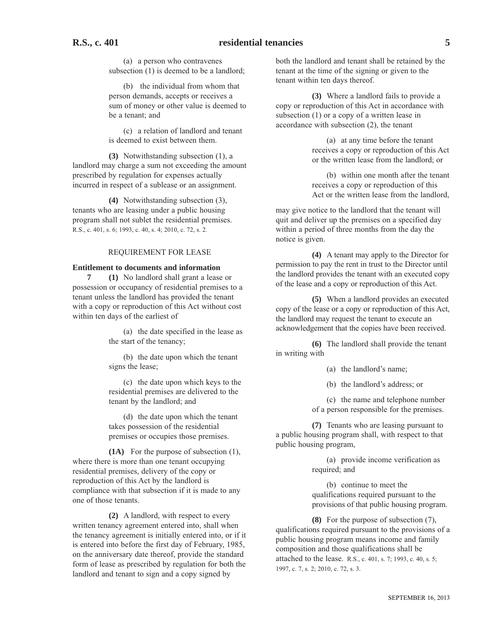# **R.S., c. 401 residential tenancies 5**

(a) a person who contravenes subsection (1) is deemed to be a landlord;

(b) the individual from whom that person demands, accepts or receives a sum of money or other value is deemed to be a tenant; and

(c) a relation of landlord and tenant is deemed to exist between them.

**(3)** Notwithstanding subsection (1), a landlord may charge a sum not exceeding the amount prescribed by regulation for expenses actually incurred in respect of a sublease or an assignment.

**(4)** Notwithstanding subsection (3), tenants who are leasing under a public housing program shall not sublet the residential premises. R.S., c. 401, s. 6; 1993, c. 40, s. 4; 2010, c. 72, s. 2.

#### REQUIREMENT FOR LEASE

#### **Entitlement to documents and information**

**7 (1)** No landlord shall grant a lease or possession or occupancy of residential premises to a tenant unless the landlord has provided the tenant with a copy or reproduction of this Act without cost within ten days of the earliest of

> (a) the date specified in the lease as the start of the tenancy;

(b) the date upon which the tenant signs the lease;

(c) the date upon which keys to the residential premises are delivered to the tenant by the landlord; and

(d) the date upon which the tenant takes possession of the residential premises or occupies those premises.

**(1A)** For the purpose of subsection (1), where there is more than one tenant occupying residential premises, delivery of the copy or reproduction of this Act by the landlord is compliance with that subsection if it is made to any one of those tenants.

**(2)** A landlord, with respect to every written tenancy agreement entered into, shall when the tenancy agreement is initially entered into, or if it is entered into before the first day of February, 1985, on the anniversary date thereof, provide the standard form of lease as prescribed by regulation for both the landlord and tenant to sign and a copy signed by

both the landlord and tenant shall be retained by the tenant at the time of the signing or given to the tenant within ten days thereof.

**(3)** Where a landlord fails to provide a copy or reproduction of this Act in accordance with subsection (1) or a copy of a written lease in accordance with subsection (2), the tenant

> (a) at any time before the tenant receives a copy or reproduction of this Act or the written lease from the landlord; or

> (b) within one month after the tenant receives a copy or reproduction of this Act or the written lease from the landlord,

may give notice to the landlord that the tenant will quit and deliver up the premises on a specified day within a period of three months from the day the notice is given.

**(4)** A tenant may apply to the Director for permission to pay the rent in trust to the Director until the landlord provides the tenant with an executed copy of the lease and a copy or reproduction of this Act.

**(5)** When a landlord provides an executed copy of the lease or a copy or reproduction of this Act, the landlord may request the tenant to execute an acknowledgement that the copies have been received.

**(6)** The landlord shall provide the tenant in writing with

(a) the landlord's name;

(b) the landlord's address; or

(c) the name and telephone number of a person responsible for the premises.

**(7)** Tenants who are leasing pursuant to a public housing program shall, with respect to that public housing program,

> (a) provide income verification as required; and

(b) continue to meet the qualifications required pursuant to the provisions of that public housing program.

**(8)** For the purpose of subsection (7), qualifications required pursuant to the provisions of a public housing program means income and family composition and those qualifications shall be attached to the lease. R.S., c. 401, s. 7; 1993, c. 40, s. 5; 1997, c. 7, s. 2; 2010, c. 72, s. 3.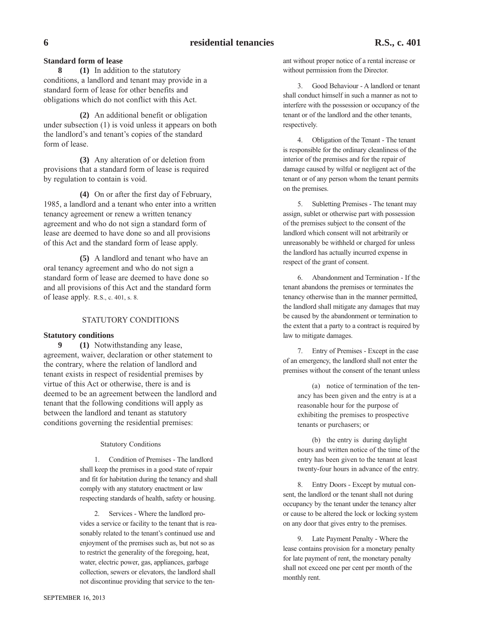# **Standard form of lease**

**8 (1)** In addition to the statutory conditions, a landlord and tenant may provide in a standard form of lease for other benefits and obligations which do not conflict with this Act.

**(2)** An additional benefit or obligation under subsection (1) is void unless it appears on both the landlord's and tenant's copies of the standard form of lease.

**(3)** Any alteration of or deletion from provisions that a standard form of lease is required by regulation to contain is void.

**(4)** On or after the first day of February, 1985, a landlord and a tenant who enter into a written tenancy agreement or renew a written tenancy agreement and who do not sign a standard form of lease are deemed to have done so and all provisions of this Act and the standard form of lease apply.

**(5)** A landlord and tenant who have an oral tenancy agreement and who do not sign a standard form of lease are deemed to have done so and all provisions of this Act and the standard form of lease apply. R.S., c. 401, s. 8.

#### STATUTORY CONDITIONS

#### **Statutory conditions**

**9 (1)** Notwithstanding any lease, agreement, waiver, declaration or other statement to the contrary, where the relation of landlord and tenant exists in respect of residential premises by virtue of this Act or otherwise, there is and is deemed to be an agreement between the landlord and tenant that the following conditions will apply as between the landlord and tenant as statutory conditions governing the residential premises:

Statutory Conditions

1. Condition of Premises - The landlord shall keep the premises in a good state of repair and fit for habitation during the tenancy and shall comply with any statutory enactment or law respecting standards of health, safety or housing.

2. Services - Where the landlord provides a service or facility to the tenant that is reasonably related to the tenant's continued use and enjoyment of the premises such as, but not so as to restrict the generality of the foregoing, heat, water, electric power, gas, appliances, garbage collection, sewers or elevators, the landlord shall not discontinue providing that service to the tenant without proper notice of a rental increase or without permission from the Director.

3. Good Behaviour - A landlord or tenant shall conduct himself in such a manner as not to interfere with the possession or occupancy of the tenant or of the landlord and the other tenants, respectively.

4. Obligation of the Tenant - The tenant is responsible for the ordinary cleanliness of the interior of the premises and for the repair of damage caused by wilful or negligent act of the tenant or of any person whom the tenant permits on the premises.

5. Subletting Premises - The tenant may assign, sublet or otherwise part with possession of the premises subject to the consent of the landlord which consent will not arbitrarily or unreasonably be withheld or charged for unless the landlord has actually incurred expense in respect of the grant of consent.

6. Abandonment and Termination - If the tenant abandons the premises or terminates the tenancy otherwise than in the manner permitted, the landlord shall mitigate any damages that may be caused by the abandonment or termination to the extent that a party to a contract is required by law to mitigate damages.

7. Entry of Premises - Except in the case of an emergency, the landlord shall not enter the premises without the consent of the tenant unless

(a) notice of termination of the tenancy has been given and the entry is at a reasonable hour for the purpose of exhibiting the premises to prospective tenants or purchasers; or

(b) the entry is during daylight hours and written notice of the time of the entry has been given to the tenant at least twenty-four hours in advance of the entry.

8. Entry Doors - Except by mutual consent, the landlord or the tenant shall not during occupancy by the tenant under the tenancy alter or cause to be altered the lock or locking system on any door that gives entry to the premises.

9. Late Payment Penalty - Where the lease contains provision for a monetary penalty for late payment of rent, the monetary penalty shall not exceed one per cent per month of the monthly rent.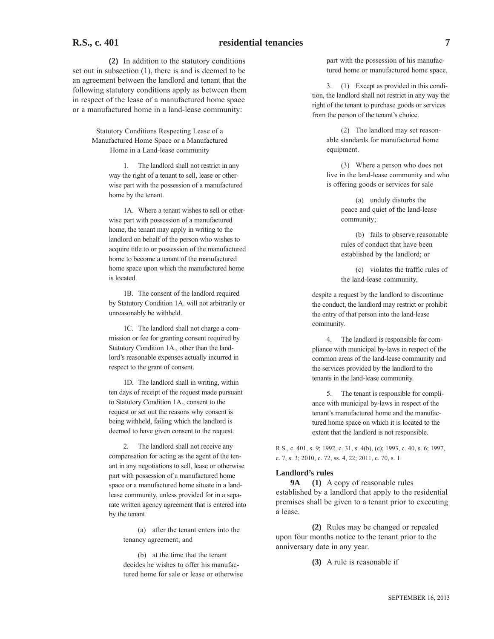# **R.S., c. 401 residential tenancies 7**

**(2)** In addition to the statutory conditions set out in subsection (1), there is and is deemed to be an agreement between the landlord and tenant that the following statutory conditions apply as between them in respect of the lease of a manufactured home space or a manufactured home in a land-lease community:

> Statutory Conditions Respecting Lease of a Manufactured Home Space or a Manufactured Home in a Land-lease community

> > 1. The landlord shall not restrict in any way the right of a tenant to sell, lease or otherwise part with the possession of a manufactured home by the tenant.

1A. Where a tenant wishes to sell or otherwise part with possession of a manufactured home, the tenant may apply in writing to the landlord on behalf of the person who wishes to acquire title to or possession of the manufactured home to become a tenant of the manufactured home space upon which the manufactured home is located.

1B. The consent of the landlord required by Statutory Condition 1A. will not arbitrarily or unreasonably be withheld.

1C. The landlord shall not charge a commission or fee for granting consent required by Statutory Condition 1A., other than the landlord's reasonable expenses actually incurred in respect to the grant of consent.

1D. The landlord shall in writing, within ten days of receipt of the request made pursuant to Statutory Condition 1A., consent to the request or set out the reasons why consent is being withheld, failing which the landlord is deemed to have given consent to the request.

2. The landlord shall not receive any compensation for acting as the agent of the tenant in any negotiations to sell, lease or otherwise part with possession of a manufactured home space or a manufactured home situate in a landlease community, unless provided for in a separate written agency agreement that is entered into by the tenant

> (a) after the tenant enters into the tenancy agreement; and

(b) at the time that the tenant decides he wishes to offer his manufactured home for sale or lease or otherwise part with the possession of his manufactured home or manufactured home space.

3. (1) Except as provided in this condition, the landlord shall not restrict in any way the right of the tenant to purchase goods or services from the person of the tenant's choice.

> (2) The landlord may set reasonable standards for manufactured home equipment.

(3) Where a person who does not live in the land-lease community and who is offering goods or services for sale

> (a) unduly disturbs the peace and quiet of the land-lease community;

(b) fails to observe reasonable rules of conduct that have been established by the landlord; or

(c) violates the traffic rules of the land-lease community,

despite a request by the landlord to discontinue the conduct, the landlord may restrict or prohibit the entry of that person into the land-lease community.

4. The landlord is responsible for compliance with municipal by-laws in respect of the common areas of the land-lease community and the services provided by the landlord to the tenants in the land-lease community.

5. The tenant is responsible for compliance with municipal by-laws in respect of the tenant's manufactured home and the manufactured home space on which it is located to the extent that the landlord is not responsible.

R.S., c. 401, s. 9; 1992, c. 31, s. 4(b), (c); 1993, c. 40, s. 6; 1997, c. 7, s. 3; 2010, c. 72, ss. 4, 22; 2011, c. 70, s. 1.

#### **Landlord's rules**

**9A (1)** A copy of reasonable rules established by a landlord that apply to the residential premises shall be given to a tenant prior to executing a lease.

**(2)** Rules may be changed or repealed upon four months notice to the tenant prior to the anniversary date in any year.

**(3)** A rule is reasonable if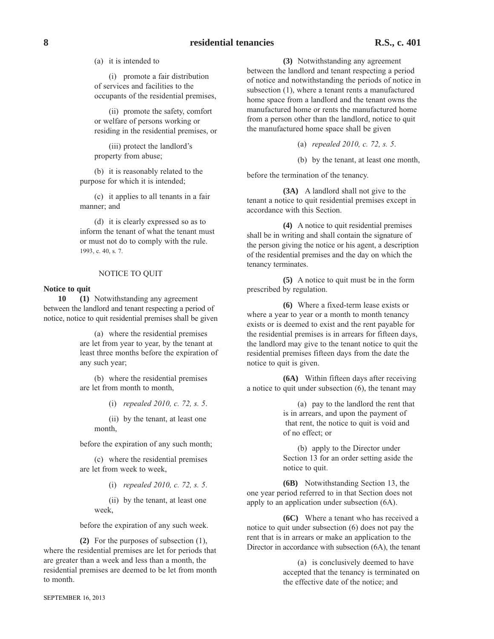(a) it is intended to

(i) promote a fair distribution of services and facilities to the occupants of the residential premises,

(ii) promote the safety, comfort or welfare of persons working or residing in the residential premises, or

(iii) protect the landlord's property from abuse;

(b) it is reasonably related to the purpose for which it is intended;

(c) it applies to all tenants in a fair manner; and

(d) it is clearly expressed so as to inform the tenant of what the tenant must or must not do to comply with the rule. 1993, c. 40, s. 7.

#### NOTICE TO QUIT

#### **Notice to quit**

**10 (1)** Notwithstanding any agreement between the landlord and tenant respecting a period of notice, notice to quit residential premises shall be given

> (a) where the residential premises are let from year to year, by the tenant at least three months before the expiration of any such year;

(b) where the residential premises are let from month to month,

(i) *repealed 2010, c. 72, s. 5*.

(ii) by the tenant, at least one month,

before the expiration of any such month;

(c) where the residential premises are let from week to week,

(i) *repealed 2010, c. 72, s. 5*.

(ii) by the tenant, at least one week,

before the expiration of any such week.

**(2)** For the purposes of subsection (1), where the residential premises are let for periods that are greater than a week and less than a month, the residential premises are deemed to be let from month to month.

between the landlord and tenant respecting a period of notice and notwithstanding the periods of notice in subsection (1), where a tenant rents a manufactured home space from a landlord and the tenant owns the manufactured home or rents the manufactured home from a person other than the landlord, notice to quit the manufactured home space shall be given (a) *repealed 2010, c. 72, s. 5*.

(b) by the tenant, at least one month,

**(3)** Notwithstanding any agreement

before the termination of the tenancy.

**(3A)** A landlord shall not give to the tenant a notice to quit residential premises except in accordance with this Section.

**(4)** A notice to quit residential premises shall be in writing and shall contain the signature of the person giving the notice or his agent, a description of the residential premises and the day on which the tenancy terminates.

**(5)** A notice to quit must be in the form prescribed by regulation.

**(6)** Where a fixed-term lease exists or where a year to year or a month to month tenancy exists or is deemed to exist and the rent payable for the residential premises is in arrears for fifteen days, the landlord may give to the tenant notice to quit the residential premises fifteen days from the date the notice to quit is given.

**(6A)** Within fifteen days after receiving a notice to quit under subsection (6), the tenant may

> (a) pay to the landlord the rent that is in arrears, and upon the payment of that rent, the notice to quit is void and of no effect; or

(b) apply to the Director under Section 13 for an order setting aside the notice to quit.

**(6B)** Notwithstanding Section 13, the one year period referred to in that Section does not apply to an application under subsection (6A).

**(6C)** Where a tenant who has received a notice to quit under subsection (6) does not pay the rent that is in arrears or make an application to the Director in accordance with subsection (6A), the tenant

> (a) is conclusively deemed to have accepted that the tenancy is terminated on the effective date of the notice; and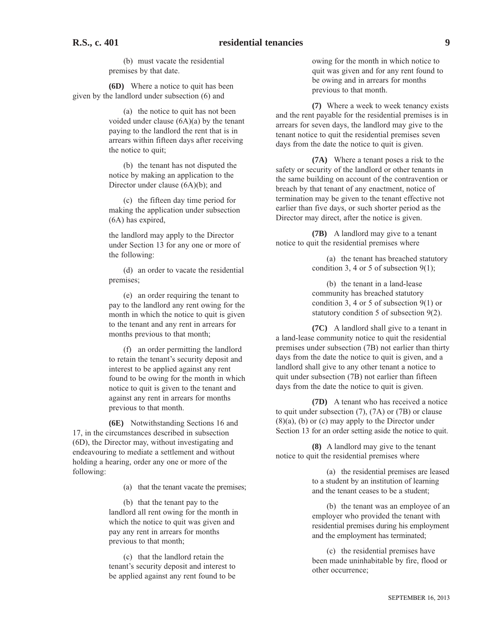# **R.S., c. 401 residential tenancies 9**

(b) must vacate the residential premises by that date.

**(6D)** Where a notice to quit has been given by the landlord under subsection (6) and

> (a) the notice to quit has not been voided under clause (6A)(a) by the tenant paying to the landlord the rent that is in arrears within fifteen days after receiving the notice to quit;

(b) the tenant has not disputed the notice by making an application to the Director under clause (6A)(b); and

(c) the fifteen day time period for making the application under subsection (6A) has expired,

the landlord may apply to the Director under Section 13 for any one or more of the following:

(d) an order to vacate the residential premises;

(e) an order requiring the tenant to pay to the landlord any rent owing for the month in which the notice to quit is given to the tenant and any rent in arrears for months previous to that month;

(f) an order permitting the landlord to retain the tenant's security deposit and interest to be applied against any rent found to be owing for the month in which notice to quit is given to the tenant and against any rent in arrears for months previous to that month.

**(6E)** Notwithstanding Sections 16 and 17, in the circumstances described in subsection (6D), the Director may, without investigating and endeavouring to mediate a settlement and without holding a hearing, order any one or more of the following:

(a) that the tenant vacate the premises;

(b) that the tenant pay to the landlord all rent owing for the month in which the notice to quit was given and pay any rent in arrears for months previous to that month;

(c) that the landlord retain the tenant's security deposit and interest to be applied against any rent found to be

owing for the month in which notice to quit was given and for any rent found to be owing and in arrears for months previous to that month.

**(7)** Where a week to week tenancy exists and the rent payable for the residential premises is in arrears for seven days, the landlord may give to the tenant notice to quit the residential premises seven days from the date the notice to quit is given.

**(7A)** Where a tenant poses a risk to the safety or security of the landlord or other tenants in the same building on account of the contravention or breach by that tenant of any enactment, notice of termination may be given to the tenant effective not earlier than five days, or such shorter period as the Director may direct, after the notice is given.

**(7B)** A landlord may give to a tenant notice to quit the residential premises where

> (a) the tenant has breached statutory condition 3, 4 or 5 of subsection  $9(1)$ ;

(b) the tenant in a land-lease community has breached statutory condition 3, 4 or 5 of subsection 9(1) or statutory condition 5 of subsection 9(2).

**(7C)** A landlord shall give to a tenant in a land-lease community notice to quit the residential premises under subsection (7B) not earlier than thirty days from the date the notice to quit is given, and a landlord shall give to any other tenant a notice to quit under subsection (7B) not earlier than fifteen days from the date the notice to quit is given.

**(7D)** A tenant who has received a notice to quit under subsection (7), (7A) or (7B) or clause  $(8)(a)$ , (b) or (c) may apply to the Director under Section 13 for an order setting aside the notice to quit.

**(8)** A landlord may give to the tenant notice to quit the residential premises where

> (a) the residential premises are leased to a student by an institution of learning and the tenant ceases to be a student;

> (b) the tenant was an employee of an employer who provided the tenant with residential premises during his employment and the employment has terminated;

(c) the residential premises have been made uninhabitable by fire, flood or other occurrence;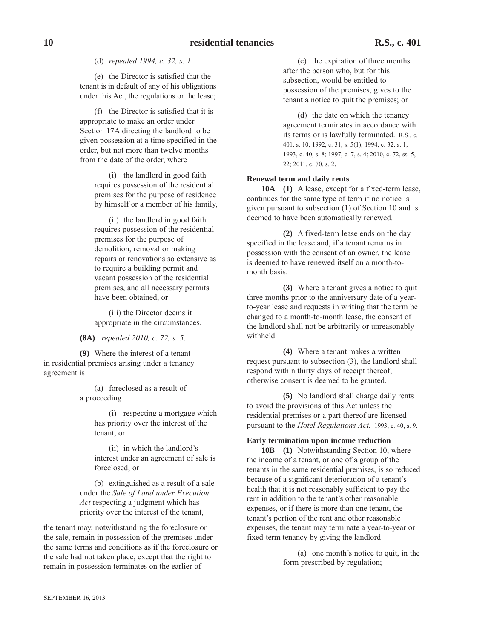(d) *repealed 1994, c. 32, s. 1*.

(e) the Director is satisfied that the tenant is in default of any of his obligations under this Act, the regulations or the lease;

(f) the Director is satisfied that it is appropriate to make an order under Section 17A directing the landlord to be given possession at a time specified in the order, but not more than twelve months from the date of the order, where

> (i) the landlord in good faith requires possession of the residential premises for the purpose of residence by himself or a member of his family,

> (ii) the landlord in good faith requires possession of the residential premises for the purpose of demolition, removal or making repairs or renovations so extensive as to require a building permit and vacant possession of the residential premises, and all necessary permits have been obtained, or

(iii) the Director deems it appropriate in the circumstances.

**(8A)** *repealed 2010, c. 72, s. 5*.

**(9)** Where the interest of a tenant in residential premises arising under a tenancy agreement is

> (a) foreclosed as a result of a proceeding

> > (i) respecting a mortgage which has priority over the interest of the tenant, or

> > (ii) in which the landlord's interest under an agreement of sale is foreclosed; or

(b) extinguished as a result of a sale under the *Sale of Land under Execution Act* respecting a judgment which has priority over the interest of the tenant,

the tenant may, notwithstanding the foreclosure or the sale, remain in possession of the premises under the same terms and conditions as if the foreclosure or the sale had not taken place, except that the right to remain in possession terminates on the earlier of

(c) the expiration of three months after the person who, but for this subsection, would be entitled to possession of the premises, gives to the tenant a notice to quit the premises; or

(d) the date on which the tenancy agreement terminates in accordance with its terms or is lawfully terminated. R.S., c. 401, s. 10; 1992, c. 31, s. 5(1); 1994, c. 32, s. 1; 1993, c. 40, s. 8; 1997, c. 7, s. 4; 2010, c. 72, ss. 5, 22; 2011, c. 70, s. 2.

#### **Renewal term and daily rents**

**10A (1)** A lease, except for a fixed-term lease, continues for the same type of term if no notice is given pursuant to subsection (1) of Section 10 and is deemed to have been automatically renewed.

**(2)** A fixed-term lease ends on the day specified in the lease and, if a tenant remains in possession with the consent of an owner, the lease is deemed to have renewed itself on a month-tomonth basis.

**(3)** Where a tenant gives a notice to quit three months prior to the anniversary date of a yearto-year lease and requests in writing that the term be changed to a month-to-month lease, the consent of the landlord shall not be arbitrarily or unreasonably withheld.

**(4)** Where a tenant makes a written request pursuant to subsection (3), the landlord shall respond within thirty days of receipt thereof, otherwise consent is deemed to be granted.

**(5)** No landlord shall charge daily rents to avoid the provisions of this Act unless the residential premises or a part thereof are licensed pursuant to the *Hotel Regulations Act.* 1993, c. 40, s. 9.

#### **Early termination upon income reduction**

**10B (1)** Notwithstanding Section 10, where the income of a tenant, or one of a group of the tenants in the same residential premises, is so reduced because of a significant deterioration of a tenant's health that it is not reasonably sufficient to pay the rent in addition to the tenant's other reasonable expenses, or if there is more than one tenant, the tenant's portion of the rent and other reasonable expenses, the tenant may terminate a year-to-year or fixed-term tenancy by giving the landlord

> (a) one month's notice to quit, in the form prescribed by regulation;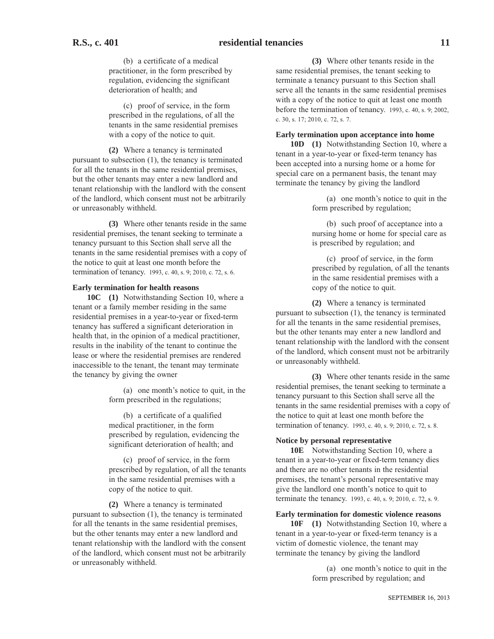# **R.S., c. 401 residential tenancies 11**

(b) a certificate of a medical practitioner, in the form prescribed by regulation, evidencing the significant deterioration of health; and

(c) proof of service, in the form prescribed in the regulations, of all the tenants in the same residential premises with a copy of the notice to quit.

**(2)** Where a tenancy is terminated pursuant to subsection (1), the tenancy is terminated for all the tenants in the same residential premises, but the other tenants may enter a new landlord and tenant relationship with the landlord with the consent of the landlord, which consent must not be arbitrarily or unreasonably withheld.

**(3)** Where other tenants reside in the same residential premises, the tenant seeking to terminate a tenancy pursuant to this Section shall serve all the tenants in the same residential premises with a copy of the notice to quit at least one month before the termination of tenancy. 1993, c. 40, s. 9; 2010, c. 72, s. 6.

### **Early termination for health reasons**

**10C (1)** Notwithstanding Section 10, where a tenant or a family member residing in the same residential premises in a year-to-year or fixed-term tenancy has suffered a significant deterioration in health that, in the opinion of a medical practitioner, results in the inability of the tenant to continue the lease or where the residential premises are rendered inaccessible to the tenant, the tenant may terminate the tenancy by giving the owner

> (a) one month's notice to quit, in the form prescribed in the regulations;

(b) a certificate of a qualified medical practitioner, in the form prescribed by regulation, evidencing the significant deterioration of health; and

(c) proof of service, in the form prescribed by regulation, of all the tenants in the same residential premises with a copy of the notice to quit.

**(2)** Where a tenancy is terminated pursuant to subsection (1), the tenancy is terminated for all the tenants in the same residential premises, but the other tenants may enter a new landlord and tenant relationship with the landlord with the consent of the landlord, which consent must not be arbitrarily or unreasonably withheld.

**(3)** Where other tenants reside in the same residential premises, the tenant seeking to terminate a tenancy pursuant to this Section shall serve all the tenants in the same residential premises with a copy of the notice to quit at least one month before the termination of tenancy. 1993, c. 40, s. 9; 2002, c. 30, s. 17; 2010, c. 72, s. 7.

#### **Early termination upon acceptance into home**

**10D (1)** Notwithstanding Section 10, where a tenant in a year-to-year or fixed-term tenancy has been accepted into a nursing home or a home for special care on a permanent basis, the tenant may terminate the tenancy by giving the landlord

> (a) one month's notice to quit in the form prescribed by regulation;

> (b) such proof of acceptance into a nursing home or home for special care as is prescribed by regulation; and

(c) proof of service, in the form prescribed by regulation, of all the tenants in the same residential premises with a copy of the notice to quit.

**(2)** Where a tenancy is terminated pursuant to subsection (1), the tenancy is terminated for all the tenants in the same residential premises, but the other tenants may enter a new landlord and tenant relationship with the landlord with the consent of the landlord, which consent must not be arbitrarily or unreasonably withheld.

**(3)** Where other tenants reside in the same residential premises, the tenant seeking to terminate a tenancy pursuant to this Section shall serve all the tenants in the same residential premises with a copy of the notice to quit at least one month before the termination of tenancy. 1993, c. 40, s. 9; 2010, c. 72, s. 8.

#### **Notice by personal representative**

**10E** Notwithstanding Section 10, where a tenant in a year-to-year or fixed-term tenancy dies and there are no other tenants in the residential premises, the tenant's personal representative may give the landlord one month's notice to quit to terminate the tenancy. 1993, c. 40, s. 9; 2010, c. 72, s. 9.

## **Early termination for domestic violence reasons**

**10F (1)** Notwithstanding Section 10, where a tenant in a year-to-year or fixed-term tenancy is a victim of domestic violence, the tenant may terminate the tenancy by giving the landlord

> (a) one month's notice to quit in the form prescribed by regulation; and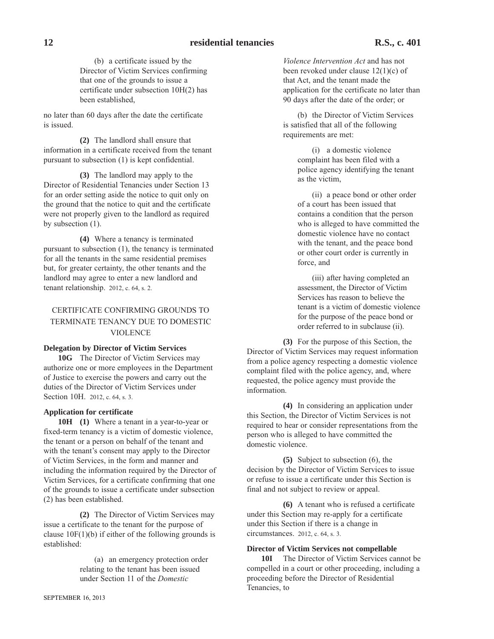(b) a certificate issued by the Director of Victim Services confirming that one of the grounds to issue a certificate under subsection 10H(2) has been established,

no later than 60 days after the date the certificate is issued.

**(2)** The landlord shall ensure that information in a certificate received from the tenant pursuant to subsection (1) is kept confidential.

**(3)** The landlord may apply to the Director of Residential Tenancies under Section 13 for an order setting aside the notice to quit only on the ground that the notice to quit and the certificate were not properly given to the landlord as required by subsection (1).

**(4)** Where a tenancy is terminated pursuant to subsection (1), the tenancy is terminated for all the tenants in the same residential premises but, for greater certainty, the other tenants and the landlord may agree to enter a new landlord and tenant relationship. 2012, c. 64, s. 2.

# CERTIFICATE CONFIRMING GROUNDS TO TERMINATE TENANCY DUE TO DOMESTIC VIOLENCE

### **Delegation by Director of Victim Services**

**10G** The Director of Victim Services may authorize one or more employees in the Department of Justice to exercise the powers and carry out the duties of the Director of Victim Services under Section 10H. 2012, c. 64, s. 3.

#### **Application for certificate**

**10H (1)** Where a tenant in a year-to-year or fixed-term tenancy is a victim of domestic violence, the tenant or a person on behalf of the tenant and with the tenant's consent may apply to the Director of Victim Services, in the form and manner and including the information required by the Director of Victim Services, for a certificate confirming that one of the grounds to issue a certificate under subsection (2) has been established.

**(2)** The Director of Victim Services may issue a certificate to the tenant for the purpose of clause  $10F(1)(b)$  if either of the following grounds is established:

> (a) an emergency protection order relating to the tenant has been issued under Section 11 of the *Domestic*

(b) the Director of Victim Services is satisfied that all of the following requirements are met:

(i) a domestic violence complaint has been filed with a police agency identifying the tenant as the victim,

(ii) a peace bond or other order of a court has been issued that contains a condition that the person who is alleged to have committed the domestic violence have no contact with the tenant, and the peace bond or other court order is currently in force, and

(iii) after having completed an assessment, the Director of Victim Services has reason to believe the tenant is a victim of domestic violence for the purpose of the peace bond or order referred to in subclause (ii).

**(3)** For the purpose of this Section, the Director of Victim Services may request information from a police agency respecting a domestic violence complaint filed with the police agency, and, where requested, the police agency must provide the information.

**(4)** In considering an application under this Section, the Director of Victim Services is not required to hear or consider representations from the person who is alleged to have committed the domestic violence.

**(5)** Subject to subsection (6), the decision by the Director of Victim Services to issue or refuse to issue a certificate under this Section is final and not subject to review or appeal.

**(6)** A tenant who is refused a certificate under this Section may re-apply for a certificate under this Section if there is a change in circumstances. 2012, c. 64, s. 3.

#### **Director of Victim Services not compellable**

**10I** The Director of Victim Services cannot be compelled in a court or other proceeding, including a proceeding before the Director of Residential Tenancies, to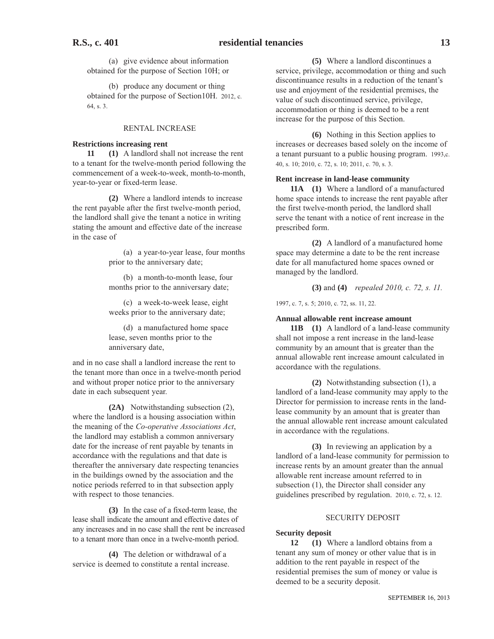# **R.S., c. 401 residential tenancies 13**

(a) give evidence about information obtained for the purpose of Section 10H; or

(b) produce any document or thing obtained for the purpose of Section10H. 2012, c. 64, s. 3.

# RENTAL INCREASE

# **Restrictions increasing rent**

**11 (1)** A landlord shall not increase the rent to a tenant for the twelve-month period following the commencement of a week-to-week, month-to-month, year-to-year or fixed-term lease.

**(2)** Where a landlord intends to increase the rent payable after the first twelve-month period, the landlord shall give the tenant a notice in writing stating the amount and effective date of the increase in the case of

> (a) a year-to-year lease, four months prior to the anniversary date;

(b) a month-to-month lease, four months prior to the anniversary date;

(c) a week-to-week lease, eight weeks prior to the anniversary date;

(d) a manufactured home space lease, seven months prior to the anniversary date,

and in no case shall a landlord increase the rent to the tenant more than once in a twelve-month period and without proper notice prior to the anniversary date in each subsequent year.

**(2A)** Notwithstanding subsection (2), where the landlord is a housing association within the meaning of the *Co-operative Associations Act*, the landlord may establish a common anniversary date for the increase of rent payable by tenants in accordance with the regulations and that date is thereafter the anniversary date respecting tenancies in the buildings owned by the association and the notice periods referred to in that subsection apply with respect to those tenancies.

**(3)** In the case of a fixed-term lease, the lease shall indicate the amount and effective dates of any increases and in no case shall the rent be increased to a tenant more than once in a twelve-month period.

**(4)** The deletion or withdrawal of a service is deemed to constitute a rental increase.

**(5)** Where a landlord discontinues a service, privilege, accommodation or thing and such discontinuance results in a reduction of the tenant's use and enjoyment of the residential premises, the value of such discontinued service, privilege, accommodation or thing is deemed to be a rent increase for the purpose of this Section.

**(6)** Nothing in this Section applies to increases or decreases based solely on the income of a tenant pursuant to a public housing program. 1993,c. 40, s. 10; 2010, c. 72, s. 10; 2011, c. 70, s. 3.

#### **Rent increase in land-lease community**

**11A (1)** Where a landlord of a manufactured home space intends to increase the rent payable after the first twelve-month period, the landlord shall serve the tenant with a notice of rent increase in the prescribed form.

**(2)** A landlord of a manufactured home space may determine a date to be the rent increase date for all manufactured home spaces owned or managed by the landlord.

**(3)** and **(4)** *repealed 2010, c. 72, s. 11.*

1997, c. 7, s. 5; 2010, c. 72, ss. 11, 22.

#### **Annual allowable rent increase amount**

**11B (1)** A landlord of a land-lease community shall not impose a rent increase in the land-lease community by an amount that is greater than the annual allowable rent increase amount calculated in accordance with the regulations.

**(2)** Notwithstanding subsection (1), a landlord of a land-lease community may apply to the Director for permission to increase rents in the landlease community by an amount that is greater than the annual allowable rent increase amount calculated in accordance with the regulations.

**(3)** In reviewing an application by a landlord of a land-lease community for permission to increase rents by an amount greater than the annual allowable rent increase amount referred to in subsection (1), the Director shall consider any guidelines prescribed by regulation. 2010, c. 72, s. 12.

### SECURITY DEPOSIT

# **Security deposit**

**12 (1)** Where a landlord obtains from a tenant any sum of money or other value that is in addition to the rent payable in respect of the residential premises the sum of money or value is deemed to be a security deposit.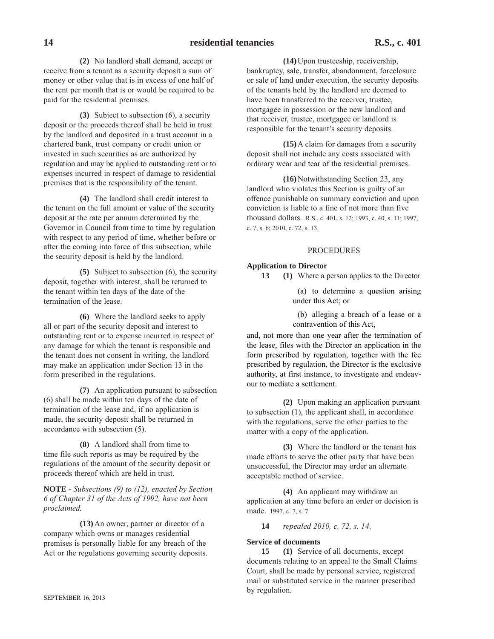**(2)** No landlord shall demand, accept or receive from a tenant as a security deposit a sum of money or other value that is in excess of one half of the rent per month that is or would be required to be paid for the residential premises.

**(3)** Subject to subsection (6), a security deposit or the proceeds thereof shall be held in trust by the landlord and deposited in a trust account in a chartered bank, trust company or credit union or invested in such securities as are authorized by regulation and may be applied to outstanding rent or to expenses incurred in respect of damage to residential premises that is the responsibility of the tenant.

**(4)** The landlord shall credit interest to the tenant on the full amount or value of the security deposit at the rate per annum determined by the Governor in Council from time to time by regulation with respect to any period of time, whether before or after the coming into force of this subsection, while the security deposit is held by the landlord.

**(5)** Subject to subsection (6), the security deposit, together with interest, shall be returned to the tenant within ten days of the date of the termination of the lease.

**(6)** Where the landlord seeks to apply all or part of the security deposit and interest to outstanding rent or to expense incurred in respect of any damage for which the tenant is responsible and the tenant does not consent in writing, the landlord may make an application under Section 13 in the form prescribed in the regulations.

**(7)** An application pursuant to subsection (6) shall be made within ten days of the date of termination of the lease and, if no application is made, the security deposit shall be returned in accordance with subsection (5).

**(8)** A landlord shall from time to time file such reports as may be required by the regulations of the amount of the security deposit or proceeds thereof which are held in trust.

**NOTE** - *Subsections (9) to (12), enacted by Section 6 of Chapter 31 of the Acts of 1992, have not been proclaimed.*

**(13)**An owner, partner or director of a company which owns or manages residential premises is personally liable for any breach of the Act or the regulations governing security deposits.

**(14)**Upon trusteeship, receivership, bankruptcy, sale, transfer, abandonment, foreclosure or sale of land under execution, the security deposits of the tenants held by the landlord are deemed to have been transferred to the receiver, trustee, mortgagee in possession or the new landlord and that receiver, trustee, mortgagee or landlord is responsible for the tenant's security deposits.

**(15)**A claim for damages from a security deposit shall not include any costs associated with ordinary wear and tear of the residential premises.

**(16)**Notwithstanding Section 23, any landlord who violates this Section is guilty of an offence punishable on summary conviction and upon conviction is liable to a fine of not more than five thousand dollars. R.S., c. 401, s. 12; 1993, c. 40, s. 11; 1997, c. 7, s. 6; 2010, c. 72, s. 13.

#### **PROCEDURES**

### **Application to Director**

**13 (1)** Where a person applies to the Director

(a) to determine a question arising under this Act; or

(b) alleging a breach of a lease or a contravention of this Act,

and, not more than one year after the termination of the lease, files with the Director an application in the form prescribed by regulation, together with the fee prescribed by regulation, the Director is the exclusive authority, at first instance, to investigate and endeavour to mediate a settlement.

**(2)** Upon making an application pursuant to subsection (1), the applicant shall, in accordance with the regulations, serve the other parties to the matter with a copy of the application.

**(3)** Where the landlord or the tenant has made efforts to serve the other party that have been unsuccessful, the Director may order an alternate acceptable method of service.

**(4)** An applicant may withdraw an application at any time before an order or decision is made. 1997, c. 7, s. 7.

**14** *repealed 2010, c. 72, s. 14*.

## **Service of documents**

**15 (1)** Service of all documents, except documents relating to an appeal to the Small Claims Court, shall be made by personal service, registered mail or substituted service in the manner prescribed by regulation.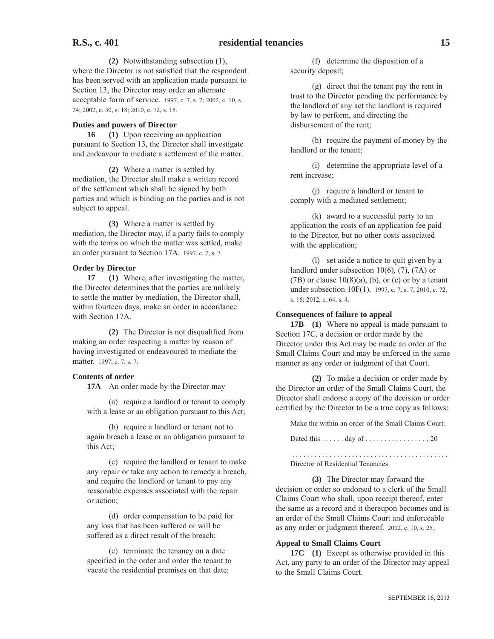# **R.S., c. 401 residential tenancies 15**

**(2)** Notwithstanding subsection (1), where the Director is not satisfied that the respondent has been served with an application made pursuant to Section 13, the Director may order an alternate acceptable form of service. 1997, c. 7, s. 7; 2002, c. 10, s. 24; 2002, c. 30, s. 18; 2010, c. 72, s. 15.

#### **Duties and powers of Director**

**16 (1)** Upon receiving an application pursuant to Section 13, the Director shall investigate and endeavour to mediate a settlement of the matter.

**(2)** Where a matter is settled by mediation, the Director shall make a written record of the settlement which shall be signed by both parties and which is binding on the parties and is not subject to appeal.

**(3)** Where a matter is settled by mediation, the Director may, if a party fails to comply with the terms on which the matter was settled, make an order pursuant to Section 17A. 1997, c. 7, s. 7.

#### **Order by Director**

**17 (1)** Where, after investigating the matter, the Director determines that the parties are unlikely to settle the matter by mediation, the Director shall, within fourteen days, make an order in accordance with Section 17A.

**(2)** The Director is not disqualified from making an order respecting a matter by reason of having investigated or endeavoured to mediate the matter. 1997, c. 7, s. 7.

#### **Contents of order**

17A An order made by the Director may

(a) require a landlord or tenant to comply with a lease or an obligation pursuant to this Act;

(b) require a landlord or tenant not to again breach a lease or an obligation pursuant to this Act;

(c) require the landlord or tenant to make any repair or take any action to remedy a breach, and require the landlord or tenant to pay any reasonable expenses associated with the repair or action;

(d) order compensation to be paid for any loss that has been suffered or will be suffered as a direct result of the breach;

(e) terminate the tenancy on a date specified in the order and order the tenant to vacate the residential premises on that date;

(f) determine the disposition of a security deposit;

(g) direct that the tenant pay the rent in trust to the Director pending the performance by the landlord of any act the landlord is required by law to perform, and directing the disbursement of the rent;

(h) require the payment of money by the landlord or the tenant;

(i) determine the appropriate level of a rent increase;

(j) require a landlord or tenant to comply with a mediated settlement;

(k) award to a successful party to an application the costs of an application fee paid to the Director, but no other costs associated with the application;

(l) set aside a notice to quit given by a landlord under subsection 10(6), (7), (7A) or  $(7B)$  or clause  $10(8)(a)$ , (b), or (c) or by a tenant under subsection 10F(1). 1997, c. 7, s. 7; 2010, c. 72, s. 16; 2012, c. 64, s. 4.

## **Consequences of failure to appeal**

**17B** (1) Where no appeal is made pursuant to Section 17C, a decision or order made by the Director under this Act may be made an order of the Small Claims Court and may be enforced in the same manner as any order or judgment of that Court.

**(2)** To make a decision or order made by the Director an order of the Small Claims Court, the Director shall endorse a copy of the decision or order certified by the Director to be a true copy as follows:

Make the within an order of the Small Claims Court.

Dated this . . . . . . day of . . . . . . . . . . . . . . . . . 20

. . . . . . . . . . . . . . . . . . . . . . . . . . . . . . . . . . . . . . . . . . Director of Residential Tenancies

**(3)** The Director may forward the decision or order so endorsed to a clerk of the Small Claims Court who shall, upon receipt thereof, enter the same as a record and it thereupon becomes and is an order of the Small Claims Court and enforceable as any order or judgment thereof. 2002, c. 10, s. 25.

#### **Appeal to Small Claims Court**

**17C (1)** Except as otherwise provided in this Act, any party to an order of the Director may appeal to the Small Claims Court.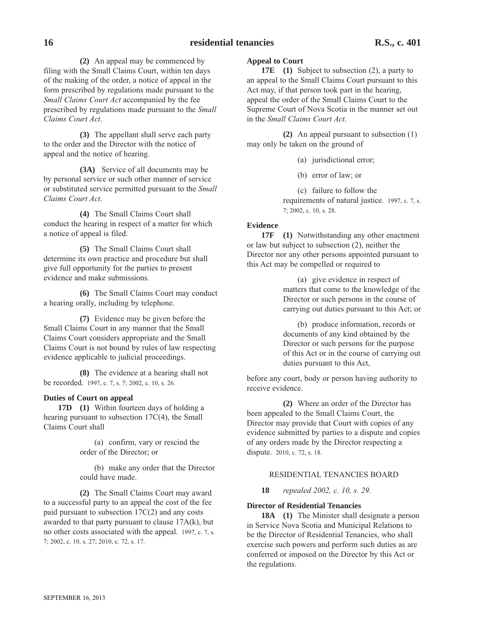**(2)** An appeal may be commenced by filing with the Small Claims Court, within ten days of the making of the order, a notice of appeal in the form prescribed by regulations made pursuant to the *Small Claims Court Act* accompanied by the fee prescribed by regulations made pursuant to the *Small Claims Court Act*.

**(3)** The appellant shall serve each party to the order and the Director with the notice of appeal and the notice of hearing.

**(3A)** Service of all documents may be by personal service or such other manner of service or substituted service permitted pursuant to the *Small Claims Court Act*.

**(4)** The Small Claims Court shall conduct the hearing in respect of a matter for which a notice of appeal is filed.

**(5)** The Small Claims Court shall determine its own practice and procedure but shall give full opportunity for the parties to present evidence and make submissions.

**(6)** The Small Claims Court may conduct a hearing orally, including by telephone.

**(7)** Evidence may be given before the Small Claims Court in any manner that the Small Claims Court considers appropriate and the Small Claims Court is not bound by rules of law respecting evidence applicable to judicial proceedings.

**(8)** The evidence at a hearing shall not be recorded. 1997, c. 7, s. 7; 2002, c. 10, s. 26.

#### **Duties of Court on appeal**

**17D (1)** Within fourteen days of holding a hearing pursuant to subsection 17C(4), the Small Claims Court shall

> (a) confirm, vary or rescind the order of the Director; or

(b) make any order that the Director could have made.

**(2)** The Small Claims Court may award to a successful party to an appeal the cost of the fee paid pursuant to subsection 17C(2) and any costs awarded to that party pursuant to clause 17A(k), but no other costs associated with the appeal. 1997, c. 7, s. 7; 2002, c. 10, s. 27; 2010, c. 72, s. 17.

### **Appeal to Court**

**17E (1)** Subject to subsection (2), a party to an appeal to the Small Claims Court pursuant to this Act may, if that person took part in the hearing, appeal the order of the Small Claims Court to the Supreme Court of Nova Scotia in the manner set out in the *Small Claims Court Act*.

**(2)** An appeal pursuant to subsection (1) may only be taken on the ground of

(a) jurisdictional error;

(b) error of law; or

(c) failure to follow the requirements of natural justice. 1997, c. 7, s. 7; 2002, c. 10, s. 28.

# **Evidence**

**17F (1)** Notwithstanding any other enactment or law but subject to subsection (2), neither the Director nor any other persons appointed pursuant to this Act may be compelled or required to

> (a) give evidence in respect of matters that come to the knowledge of the Director or such persons in the course of carrying out duties pursuant to this Act; or

> (b) produce information, records or documents of any kind obtained by the Director or such persons for the purpose of this Act or in the course of carrying out duties pursuant to this Act,

before any court, body or person having authority to receive evidence.

**(2)** Where an order of the Director has been appealed to the Small Claims Court, the Director may provide that Court with copies of any evidence submitted by parties to a dispute and copies of any orders made by the Director respecting a dispute. 2010, c. 72, s. 18.

#### RESIDENTIAL TENANCIES BOARD

#### **18** *repealed 2002, c. 10, s. 29.*

# **Director of Residential Tenancies**

**18A (1)** The Minister shall designate a person in Service Nova Scotia and Municipal Relations to be the Director of Residential Tenancies, who shall exercise such powers and perform such duties as are conferred or imposed on the Director by this Act or the regulations.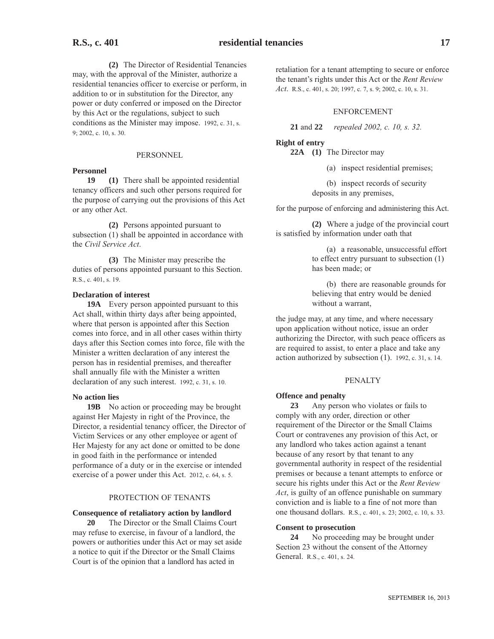# **R.S., c. 401 residential tenancies 17**

**(2)** The Director of Residential Tenancies may, with the approval of the Minister, authorize a residential tenancies officer to exercise or perform, in addition to or in substitution for the Director, any power or duty conferred or imposed on the Director by this Act or the regulations, subject to such conditions as the Minister may impose. 1992, c. 31, s. 9; 2002, c. 10, s. 30.

## PERSONNEL

#### **Personnel**

**19 (1)** There shall be appointed residential tenancy officers and such other persons required for the purpose of carrying out the provisions of this Act or any other Act.

**(2)** Persons appointed pursuant to subsection (1) shall be appointed in accordance with the *Civil Service Act*.

**(3)** The Minister may prescribe the duties of persons appointed pursuant to this Section. R.S., c. 401, s. 19.

#### **Declaration of interest**

**19A** Every person appointed pursuant to this Act shall, within thirty days after being appointed, where that person is appointed after this Section comes into force, and in all other cases within thirty days after this Section comes into force, file with the Minister a written declaration of any interest the person has in residential premises, and thereafter shall annually file with the Minister a written declaration of any such interest. 1992, c. 31, s. 10.

#### **No action lies**

**19B** No action or proceeding may be brought against Her Majesty in right of the Province, the Director, a residential tenancy officer, the Director of Victim Services or any other employee or agent of Her Majesty for any act done or omitted to be done in good faith in the performance or intended performance of a duty or in the exercise or intended exercise of a power under this Act. 2012, c. 64, s. 5.

### PROTECTION OF TENANTS

#### **Consequence of retaliatory action by landlord**

**20** The Director or the Small Claims Court may refuse to exercise, in favour of a landlord, the powers or authorities under this Act or may set aside a notice to quit if the Director or the Small Claims Court is of the opinion that a landlord has acted in

retaliation for a tenant attempting to secure or enforce the tenant's rights under this Act or the *Rent Review Act*. R.S., c. 401, s. 20; 1997, c. 7, s. 9; 2002, c. 10, s. 31.

#### ENFORCEMENT

**21** and **22** *repealed 2002, c. 10, s. 32.*

#### **Right of entry**

**22A (1)** The Director may

(a) inspect residential premises;

(b) inspect records of security

deposits in any premises,

for the purpose of enforcing and administering this Act.

**(2)** Where a judge of the provincial court is satisfied by information under oath that

> (a) a reasonable, unsuccessful effort to effect entry pursuant to subsection (1) has been made; or

> (b) there are reasonable grounds for believing that entry would be denied without a warrant,

the judge may, at any time, and where necessary upon application without notice, issue an order authorizing the Director, with such peace officers as are required to assist, to enter a place and take any action authorized by subsection (1). 1992, c. 31, s. 14.

#### PENALTY

#### **Offence and penalty**

**23** Any person who violates or fails to comply with any order, direction or other requirement of the Director or the Small Claims Court or contravenes any provision of this Act, or any landlord who takes action against a tenant because of any resort by that tenant to any governmental authority in respect of the residential premises or because a tenant attempts to enforce or secure his rights under this Act or the *Rent Review Act*, is guilty of an offence punishable on summary conviction and is liable to a fine of not more than one thousand dollars. R.S., c. 401, s. 23; 2002, c. 10, s. 33.

#### **Consent to prosecution**

**24** No proceeding may be brought under Section 23 without the consent of the Attorney General. R.S., c. 401, s. 24.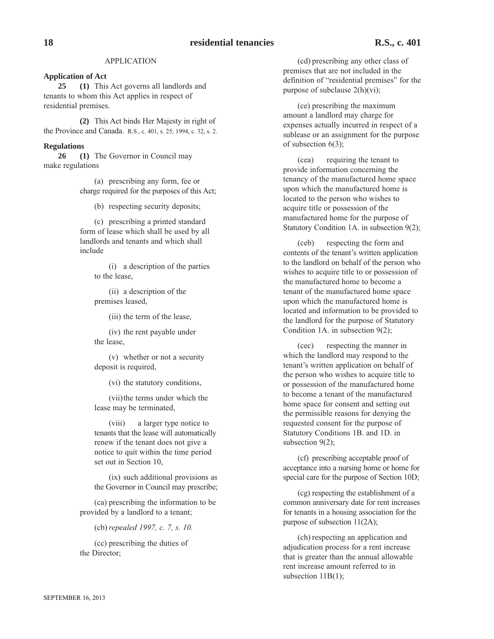# APPLICATION

## **Application of Act**

**25 (1)** This Act governs all landlords and tenants to whom this Act applies in respect of residential premises.

**(2)** This Act binds Her Majesty in right of the Province and Canada. R.S., c. 401, s. 25; 1994, c. 32, s. 2.

## **Regulations**

**26 (1)** The Governor in Council may make regulations

> (a) prescribing any form, fee or charge required for the purposes of this Act;

> > (b) respecting security deposits;

(c) prescribing a printed standard form of lease which shall be used by all landlords and tenants and which shall include

> (i) a description of the parties to the lease,

(ii) a description of the premises leased,

(iii) the term of the lease,

(iv) the rent payable under the lease,

(v) whether or not a security deposit is required,

(vi) the statutory conditions,

(vii)the terms under which the lease may be terminated,

(viii) a larger type notice to tenants that the lease will automatically renew if the tenant does not give a notice to quit within the time period set out in Section 10,

(ix) such additional provisions as the Governor in Council may prescribe;

(ca) prescribing the information to be provided by a landlord to a tenant;

(cb)*repealed 1997, c. 7, s. 10.*

(cc) prescribing the duties of the Director;

(cd) prescribing any other class of premises that are not included in the definition of "residential premises" for the purpose of subclause 2(h)(vi);

(ce) prescribing the maximum amount a landlord may charge for expenses actually incurred in respect of a sublease or an assignment for the purpose of subsection 6(3);

(cea) requiring the tenant to provide information concerning the tenancy of the manufactured home space upon which the manufactured home is located to the person who wishes to acquire title or possession of the manufactured home for the purpose of Statutory Condition 1A. in subsection 9(2);

(ceb) respecting the form and contents of the tenant's written application to the landlord on behalf of the person who wishes to acquire title to or possession of the manufactured home to become a tenant of the manufactured home space upon which the manufactured home is located and information to be provided to the landlord for the purpose of Statutory Condition 1A. in subsection 9(2);

(cec) respecting the manner in which the landlord may respond to the tenant's written application on behalf of the person who wishes to acquire title to or possession of the manufactured home to become a tenant of the manufactured home space for consent and setting out the permissible reasons for denying the requested consent for the purpose of Statutory Conditions 1B. and 1D. in subsection 9(2);

(cf) prescribing acceptable proof of acceptance into a nursing home or home for special care for the purpose of Section 10D;

(cg) respecting the establishment of a common anniversary date for rent increases for tenants in a housing association for the purpose of subsection 11(2A);

(ch) respecting an application and adjudication process for a rent increase that is greater than the annual allowable rent increase amount referred to in subsection 11B(1);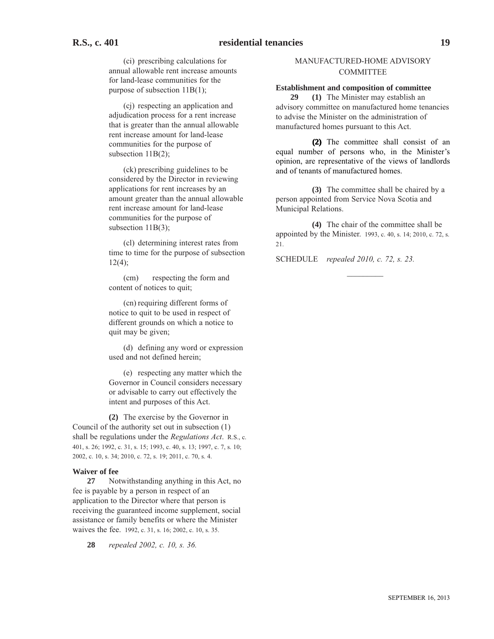(ci) prescribing calculations for annual allowable rent increase amounts for land-lease communities for the purpose of subsection 11B(1);

(cj) respecting an application and adjudication process for a rent increase that is greater than the annual allowable rent increase amount for land-lease communities for the purpose of subsection  $11B(2)$ ;

(ck) prescribing guidelines to be considered by the Director in reviewing applications for rent increases by an amount greater than the annual allowable rent increase amount for land-lease communities for the purpose of subsection 11B(3);

(cl) determining interest rates from time to time for the purpose of subsection  $12(4);$ 

(cm) respecting the form and content of notices to quit;

(cn) requiring different forms of notice to quit to be used in respect of different grounds on which a notice to quit may be given;

(d) defining any word or expression used and not defined herein;

(e) respecting any matter which the Governor in Council considers necessary or advisable to carry out effectively the intent and purposes of this Act.

**(2)** The exercise by the Governor in Council of the authority set out in subsection (1) shall be regulations under the *Regulations Act*. R.S., c. 401, s. 26; 1992, c. 31, s. 15; 1993, c. 40, s. 13; 1997, c. 7, s. 10; 2002, c. 10, s. 34; 2010, c. 72, s. 19; 2011, c. 70, s. 4.

#### **Waiver of fee**

**27** Notwithstanding anything in this Act, no fee is payable by a person in respect of an application to the Director where that person is receiving the guaranteed income supplement, social assistance or family benefits or where the Minister waives the fee. 1992, c. 31, s. 16; 2002, c. 10, s. 35.

**28** *repealed 2002, c. 10, s. 36.*

## MANUFACTURED-HOME ADVISORY COMMITTEE

#### **Establishment and composition of committee**

**29 (1)** The Minister may establish an advisory committee on manufactured home tenancies to advise the Minister on the administration of manufactured homes pursuant to this Act.

**(2)** The committee shall consist of an equal number of persons who, in the Minister's opinion, are representative of the views of landlords and of tenants of manufactured homes.

**(3)** The committee shall be chaired by a person appointed from Service Nova Scotia and Municipal Relations.

**(4)** The chair of the committee shall be appointed by the Minister. 1993, c. 40, s. 14; 2010, c. 72, s. 21.

 $\mathcal{L}$ 

SCHEDULE *repealed 2010, c. 72, s. 23.*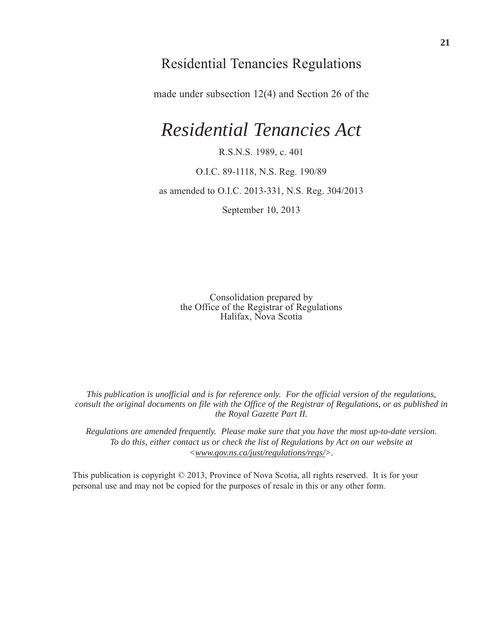# Residential Tenancies Regulations

made under subsection 12(4) and Section 26 of the

# *Residential Tenancies Act*

R.S.N.S. 1989, c. 401

O.I.C. 89-1118, N.S. Reg. 190/89

as amended to O.I.C. 2013-331, N.S. Reg. 304/2013

September 10, 2013

Consolidation prepared by the Office of the Registrar of Regulations Halifax, Nova Scotia

*This publication is unofficial and is for reference only. For the official version of the regulations, consult the original documents on file with the Office of the Registrar of Regulations, or as published in the Royal Gazette Part II.*

*Regulations are amended frequently. Please make sure that you have the most up-to-date version. To do this, either contact us or check the list of Regulations by Act on our website at <www.gov.ns.ca/just/regulations/regs/>.*

This publication is copyright © 2013, Province of Nova Scotia, all rights reserved. It is for your personal use and may not be copied for the purposes of resale in this or any other form.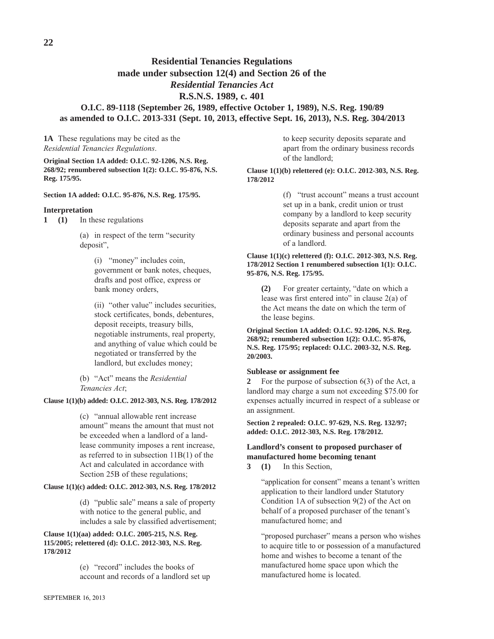# **Residential Tenancies Regulations made under subsection 12(4) and Section 26 of the** *Residential Tenancies Act* **R.S.N.S. 1989, c. 401**

# **O.I.C. 89-1118 (September 26, 1989, effective October 1, 1989), N.S. Reg. 190/89 as amended to O.I.C. 2013-331 (Sept. 10, 2013, effective Sept. 16, 2013), N.S. Reg. 304/2013**

**1A** These regulations may be cited as the *Residential Tenancies Regulations*.

**Original Section 1A added: O.I.C. 92-1206, N.S. Reg. 268/92; renumbered subsection 1(2): O.I.C. 95-876, N.S. Reg. 175/95.** 

#### **Section 1A added: O.I.C. 95-876, N.S. Reg. 175/95.**

#### **Interpretation**

**1 (1)** In these regulations

(a) in respect of the term "security deposit",

> (i) "money" includes coin, government or bank notes, cheques, drafts and post office, express or bank money orders,

(ii) "other value" includes securities, stock certificates, bonds, debentures, deposit receipts, treasury bills, negotiable instruments, real property, and anything of value which could be negotiated or transferred by the landlord, but excludes money;

(b) "Act" means the *Residential Tenancies Act*;

#### **Clause 1(1)(b) added: O.I.C. 2012-303, N.S. Reg. 178/2012**

(c) "annual allowable rent increase amount" means the amount that must not be exceeded when a landlord of a landlease community imposes a rent increase, as referred to in subsection 11B(1) of the Act and calculated in accordance with Section 25B of these regulations;

#### **Clause 1(1)(c) added: O.I.C. 2012-303, N.S. Reg. 178/2012**

(d) "public sale" means a sale of property with notice to the general public, and includes a sale by classified advertisement;

**Clause 1(1)(aa) added: O.I.C. 2005-215, N.S. Reg. 115/2005; relettered (d): O.I.C. 2012-303, N.S. Reg. 178/2012**

> (e) "record" includes the books of account and records of a landlord set up

to keep security deposits separate and apart from the ordinary business records of the landlord;

**Clause 1(1)(b) relettered (e): O.I.C. 2012-303, N.S. Reg. 178/2012**

> (f) "trust account" means a trust account set up in a bank, credit union or trust company by a landlord to keep security deposits separate and apart from the ordinary business and personal accounts of a landlord.

**Clause 1(1)(c) relettered (f): O.I.C. 2012-303, N.S. Reg. 178/2012 Section 1 renumbered subsection 1(1): O.I.C. 95-876, N.S. Reg. 175/95.**

**(2)** For greater certainty, "date on which a lease was first entered into" in clause 2(a) of the Act means the date on which the term of the lease begins.

**Original Section 1A added: O.I.C. 92-1206, N.S. Reg. 268/92; renumbered subsection 1(2): O.I.C. 95-876, N.S. Reg. 175/95; replaced: O.I.C. 2003-32, N.S. Reg. 20/2003.**

#### **Sublease or assignment fee**

**2** For the purpose of subsection 6(3) of the Act, a landlord may charge a sum not exceeding \$75.00 for expenses actually incurred in respect of a sublease or an assignment.

**Section 2 repealed: O.I.C. 97-629, N.S. Reg. 132/97; added: O.I.C. 2012-303, N.S. Reg. 178/2012.**

# **Landlord's consent to proposed purchaser of manufactured home becoming tenant**

**3 (1)** In this Section,

"application for consent" means a tenant's written application to their landlord under Statutory Condition 1A of subsection 9(2) of the Act on behalf of a proposed purchaser of the tenant's manufactured home; and

"proposed purchaser" means a person who wishes to acquire title to or possession of a manufactured home and wishes to become a tenant of the manufactured home space upon which the manufactured home is located.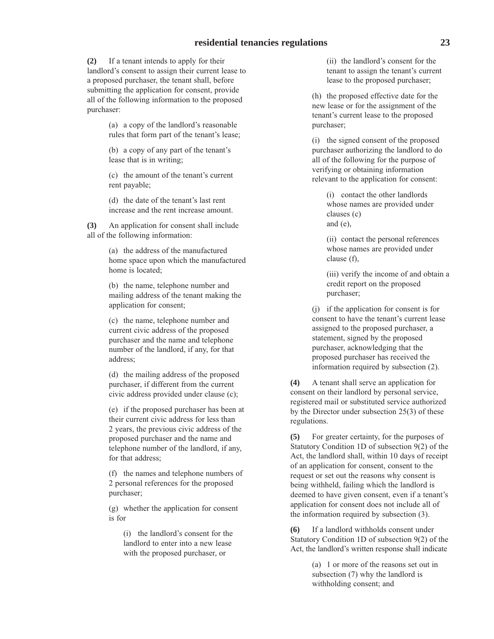# **residential tenancies regulations 23**

**(2)** If a tenant intends to apply for their landlord's consent to assign their current lease to a proposed purchaser, the tenant shall, before submitting the application for consent, provide all of the following information to the proposed purchaser:

> (a) a copy of the landlord's reasonable rules that form part of the tenant's lease;

(b) a copy of any part of the tenant's lease that is in writing;

(c) the amount of the tenant's current rent payable;

(d) the date of the tenant's last rent increase and the rent increase amount.

**(3)** An application for consent shall include all of the following information:

> (a) the address of the manufactured home space upon which the manufactured home is located;

(b) the name, telephone number and mailing address of the tenant making the application for consent;

(c) the name, telephone number and current civic address of the proposed purchaser and the name and telephone number of the landlord, if any, for that address;

(d) the mailing address of the proposed purchaser, if different from the current civic address provided under clause (c);

(e) if the proposed purchaser has been at their current civic address for less than 2 years, the previous civic address of the proposed purchaser and the name and telephone number of the landlord, if any, for that address;

(f) the names and telephone numbers of 2 personal references for the proposed purchaser;

(g) whether the application for consent is for

> (i) the landlord's consent for the landlord to enter into a new lease with the proposed purchaser, or

(ii) the landlord's consent for the tenant to assign the tenant's current lease to the proposed purchaser;

(h) the proposed effective date for the new lease or for the assignment of the tenant's current lease to the proposed purchaser;

(i) the signed consent of the proposed purchaser authorizing the landlord to do all of the following for the purpose of verifying or obtaining information relevant to the application for consent:

> (i) contact the other landlords whose names are provided under clauses (c) and (e),

(ii) contact the personal references whose names are provided under clause (f),

(iii) verify the income of and obtain a credit report on the proposed purchaser;

(j) if the application for consent is for consent to have the tenant's current lease assigned to the proposed purchaser, a statement, signed by the proposed purchaser, acknowledging that the proposed purchaser has received the information required by subsection (2).

**(4)** A tenant shall serve an application for consent on their landlord by personal service, registered mail or substituted service authorized by the Director under subsection 25(3) of these regulations.

**(5)** For greater certainty, for the purposes of Statutory Condition 1D of subsection 9(2) of the Act, the landlord shall, within 10 days of receipt of an application for consent, consent to the request or set out the reasons why consent is being withheld, failing which the landlord is deemed to have given consent, even if a tenant's application for consent does not include all of the information required by subsection (3).

**(6)** If a landlord withholds consent under Statutory Condition 1D of subsection 9(2) of the Act, the landlord's written response shall indicate

> (a) 1 or more of the reasons set out in subsection (7) why the landlord is withholding consent; and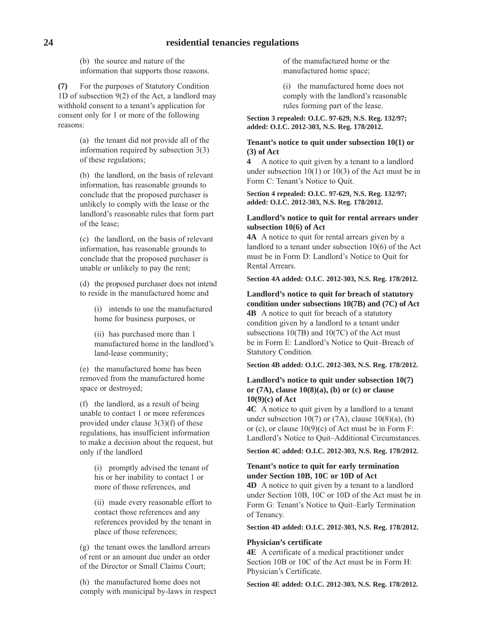(b) the source and nature of the information that supports those reasons.

**(7)** For the purposes of Statutory Condition 1D of subsection 9(2) of the Act, a landlord may withhold consent to a tenant's application for consent only for 1 or more of the following reasons:

> (a) the tenant did not provide all of the information required by subsection 3(3) of these regulations;

(b) the landlord, on the basis of relevant information, has reasonable grounds to conclude that the proposed purchaser is unlikely to comply with the lease or the landlord's reasonable rules that form part of the lease;

(c) the landlord, on the basis of relevant information, has reasonable grounds to conclude that the proposed purchaser is unable or unlikely to pay the rent;

(d) the proposed purchaser does not intend to reside in the manufactured home and

> (i) intends to use the manufactured home for business purposes, or

(ii) has purchased more than 1 manufactured home in the landlord's land-lease community;

(e) the manufactured home has been removed from the manufactured home space or destroyed;

(f) the landlord, as a result of being unable to contact 1 or more references provided under clause 3(3)(f) of these regulations, has insufficient information to make a decision about the request, but only if the landlord

> (i) promptly advised the tenant of his or her inability to contact 1 or more of those references, and

(ii) made every reasonable effort to contact those references and any references provided by the tenant in place of those references;

(g) the tenant owes the landlord arrears of rent or an amount due under an order of the Director or Small Claims Court;

(h) the manufactured home does not comply with municipal by-laws in respect of the manufactured home or the manufactured home space;

(i) the manufactured home does not comply with the landlord's reasonable rules forming part of the lease.

**Section 3 repealed: O.I.C. 97-629, N.S. Reg. 132/97; added: O.I.C. 2012-303, N.S. Reg. 178/2012.**

#### **Tenant's notice to quit under subsection 10(1) or (3) of Act**

**4** A notice to quit given by a tenant to a landlord under subsection 10(1) or 10(3) of the Act must be in Form C: Tenant's Notice to Quit.

#### **Section 4 repealed: O.I.C. 97-629, N.S. Reg. 132/97; added: O.I.C. 2012-303, N.S. Reg. 178/2012.**

## **Landlord's notice to quit for rental arrears under subsection 10(6) of Act**

**4A** A notice to quit for rental arrears given by a landlord to a tenant under subsection 10(6) of the Act must be in Form D: Landlord's Notice to Quit for Rental Arrears.

**Section 4A added: O.I.C. 2012-303, N.S. Reg. 178/2012.**

# **Landlord's notice to quit for breach of statutory condition under subsections 10(7B) and (7C) of Act 4B** A notice to quit for breach of a statutory condition given by a landlord to a tenant under subsections 10(7B) and 10(7C) of the Act must be in Form E: Landlord's Notice to Quit–Breach of

**Section 4B added: O.I.C. 2012-303, N.S. Reg. 178/2012.**

# **Landlord's notice to quit under subsection 10(7) or (7A), clause 10(8)(a), (b) or (c) or clause 10(9)(c) of Act**

**4C** A notice to quit given by a landlord to a tenant under subsection  $10(7)$  or  $(7A)$ , clause  $10(8)(a)$ , (b) or (c), or clause 10(9)(c) of Act must be in Form F: Landlord's Notice to Quit–Additional Circumstances.

**Section 4C added: O.I.C. 2012-303, N.S. Reg. 178/2012.**

# **Tenant's notice to quit for early termination under Section 10B, 10C or 10D of Act**

**4D** A notice to quit given by a tenant to a landlord under Section 10B, 10C or 10D of the Act must be in Form G: Tenant's Notice to Quit–Early Termination of Tenancy.

**Section 4D added: O.I.C. 2012-303, N.S. Reg. 178/2012.**

#### **Physician's certificate**

Statutory Condition.

**4E** A certificate of a medical practitioner under Section 10B or 10C of the Act must be in Form H: Physician's Certificate.

**Section 4E added: O.I.C. 2012-303, N.S. Reg. 178/2012.**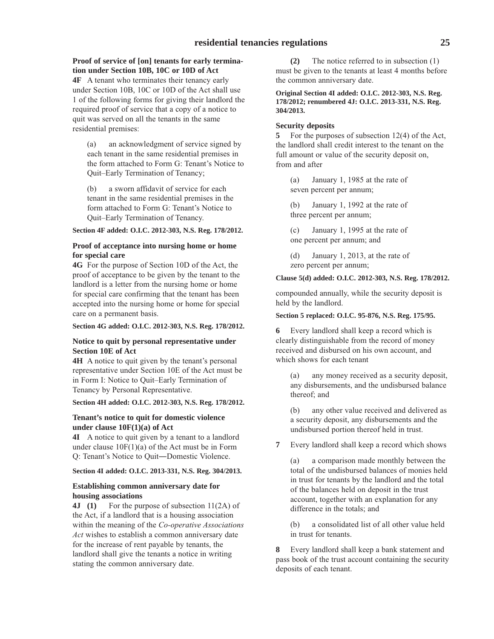# **Proof of service of [on] tenants for early termination under Section 10B, 10C or 10D of Act**

**4F** A tenant who terminates their tenancy early under Section 10B, 10C or 10D of the Act shall use 1 of the following forms for giving their landlord the required proof of service that a copy of a notice to quit was served on all the tenants in the same residential premises:

(a) an acknowledgment of service signed by each tenant in the same residential premises in the form attached to Form G: Tenant's Notice to Quit–Early Termination of Tenancy;

(b) a sworn affidavit of service for each tenant in the same residential premises in the form attached to Form G: Tenant's Notice to Quit–Early Termination of Tenancy.

## **Section 4F added: O.I.C. 2012-303, N.S. Reg. 178/2012.**

## **Proof of acceptance into nursing home or home for special care**

**4G** For the purpose of Section 10D of the Act, the proof of acceptance to be given by the tenant to the landlord is a letter from the nursing home or home for special care confirming that the tenant has been accepted into the nursing home or home for special care on a permanent basis.

### **Section 4G added: O.I.C. 2012-303, N.S. Reg. 178/2012.**

# **Notice to quit by personal representative under Section 10E of Act**

**4H** A notice to quit given by the tenant's personal representative under Section 10E of the Act must be in Form I: Notice to Quit–Early Termination of Tenancy by Personal Representative.

**Section 4H added: O.I.C. 2012-303, N.S. Reg. 178/2012.**

## **Tenant's notice to quit for domestic violence under clause 10F(1)(a) of Act**

**4I** A notice to quit given by a tenant to a landlord under clause  $10F(1)(a)$  of the Act must be in Form Q: Tenant's Notice to Quit―Domestic Violence.

## **Section 4I added: O.I.C. 2013-331, N.S. Reg. 304/2013.**

## **Establishing common anniversary date for housing associations**

**4J (1)** For the purpose of subsection 11(2A) of the Act, if a landlord that is a housing association within the meaning of the *Co-operative Associations Act* wishes to establish a common anniversary date for the increase of rent payable by tenants, the landlord shall give the tenants a notice in writing stating the common anniversary date.

**(2)** The notice referred to in subsection (1) must be given to the tenants at least 4 months before the common anniversary date.

**Original Section 4I added: O.I.C. 2012-303, N.S. Reg. 178/2012; renumbered 4J: O.I.C. 2013-331, N.S. Reg. 304/2013.**

### **Security deposits**

**5** For the purposes of subsection 12(4) of the Act, the landlord shall credit interest to the tenant on the full amount or value of the security deposit on, from and after

(a) January 1, 1985 at the rate of seven percent per annum;

(b) January 1, 1992 at the rate of three percent per annum;

(c) January 1, 1995 at the rate of one percent per annum; and

(d) January 1, 2013, at the rate of zero percent per annum;

#### **Clause 5(d) added: O.I.C. 2012-303, N.S. Reg. 178/2012.**

compounded annually, while the security deposit is held by the landlord.

#### **Section 5 replaced: O.I.C. 95-876, N.S. Reg. 175/95.**

**6** Every landlord shall keep a record which is clearly distinguishable from the record of money received and disbursed on his own account, and which shows for each tenant

(a) any money received as a security deposit, any disbursements, and the undisbursed balance thereof; and

(b) any other value received and delivered as a security deposit, any disbursements and the undisbursed portion thereof held in trust.

**7** Every landlord shall keep a record which shows

(a) a comparison made monthly between the total of the undisbursed balances of monies held in trust for tenants by the landlord and the total of the balances held on deposit in the trust account, together with an explanation for any difference in the totals; and

(b) a consolidated list of all other value held in trust for tenants.

**8** Every landlord shall keep a bank statement and pass book of the trust account containing the security deposits of each tenant.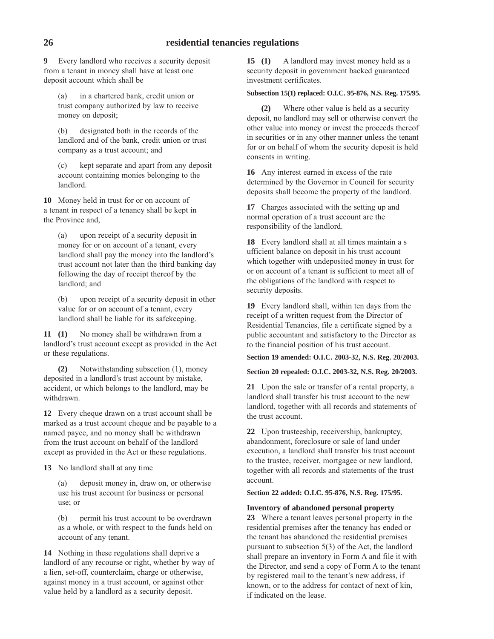# **26 residential tenancies regulations**

**9** Every landlord who receives a security deposit from a tenant in money shall have at least one deposit account which shall be

(a) in a chartered bank, credit union or trust company authorized by law to receive money on deposit;

(b) designated both in the records of the landlord and of the bank, credit union or trust company as a trust account; and

(c) kept separate and apart from any deposit account containing monies belonging to the landlord.

**10** Money held in trust for or on account of a tenant in respect of a tenancy shall be kept in the Province and,

(a) upon receipt of a security deposit in money for or on account of a tenant, every landlord shall pay the money into the landlord's trust account not later than the third banking day following the day of receipt thereof by the landlord; and

(b) upon receipt of a security deposit in other value for or on account of a tenant, every landlord shall be liable for its safekeeping.

**11 (1)** No money shall be withdrawn from a landlord's trust account except as provided in the Act or these regulations.

**(2)** Notwithstanding subsection (1), money deposited in a landlord's trust account by mistake, accident, or which belongs to the landlord, may be withdrawn.

**12** Every cheque drawn on a trust account shall be marked as a trust account cheque and be payable to a named payee, and no money shall be withdrawn from the trust account on behalf of the landlord except as provided in the Act or these regulations.

**13** No landlord shall at any time

(a) deposit money in, draw on, or otherwise use his trust account for business or personal use; or

(b) permit his trust account to be overdrawn as a whole, or with respect to the funds held on account of any tenant.

**14** Nothing in these regulations shall deprive a landlord of any recourse or right, whether by way of a lien, set-off, counterclaim, charge or otherwise, against money in a trust account, or against other value held by a landlord as a security deposit.

**15 (1)** A landlord may invest money held as a security deposit in government backed guaranteed investment certificates.

#### **Subsection 15(1) replaced: O.I.C. 95-876, N.S. Reg. 175/95.**

**(2)** Where other value is held as a security deposit, no landlord may sell or otherwise convert the other value into money or invest the proceeds thereof in securities or in any other manner unless the tenant for or on behalf of whom the security deposit is held consents in writing.

**16** Any interest earned in excess of the rate determined by the Governor in Council for security deposits shall become the property of the landlord.

**17** Charges associated with the setting up and normal operation of a trust account are the responsibility of the landlord.

**18** Every landlord shall at all times maintain a s ufficient balance on deposit in his trust account which together with undeposited money in trust for or on account of a tenant is sufficient to meet all of the obligations of the landlord with respect to security deposits.

**19** Every landlord shall, within ten days from the receipt of a written request from the Director of Residential Tenancies, file a certificate signed by a public accountant and satisfactory to the Director as to the financial position of his trust account.

**Section 19 amended: O.I.C. 2003-32, N.S. Reg. 20/2003.**

**Section 20 repealed: O.I.C. 2003-32, N.S. Reg. 20/2003.**

**21** Upon the sale or transfer of a rental property, a landlord shall transfer his trust account to the new landlord, together with all records and statements of the trust account.

**22** Upon trusteeship, receivership, bankruptcy, abandonment, foreclosure or sale of land under execution, a landlord shall transfer his trust account to the trustee, receiver, mortgagee or new landlord, together with all records and statements of the trust account.

**Section 22 added: O.I.C. 95-876, N.S. Reg. 175/95.**

#### **Inventory of abandoned personal property**

**23** Where a tenant leaves personal property in the residential premises after the tenancy has ended or the tenant has abandoned the residential premises pursuant to subsection 5(3) of the Act, the landlord shall prepare an inventory in Form A and file it with the Director, and send a copy of Form A to the tenant by registered mail to the tenant's new address, if known, or to the address for contact of next of kin, if indicated on the lease.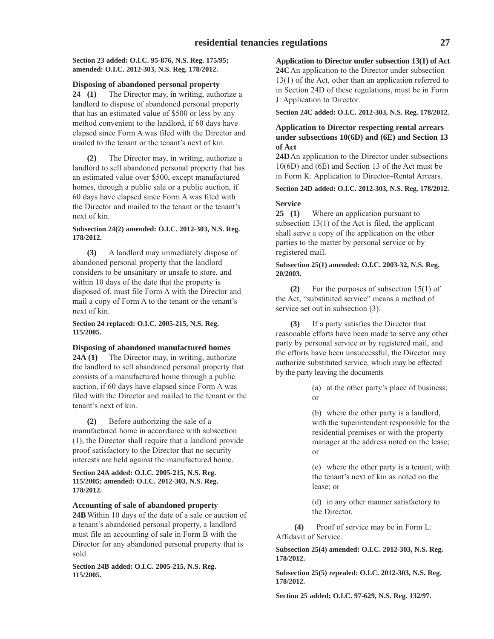## **Section 23 added: O.I.C. 95-876, N.S. Reg. 175/95; amended: O.I.C. 2012-303, N.S. Reg. 178/2012.**

# **Disposing of abandoned personal property**

**24 (1)** The Director may, in writing, authorize a landlord to dispose of abandoned personal property that has an estimated value of \$500 or less by any method convenient to the landlord, if 60 days have elapsed since Form A was filed with the Director and mailed to the tenant or the tenant's next of kin.

**(2)** The Director may, in writing, authorize a landlord to sell abandoned personal property that has an estimated value over \$500, except manufactured homes, through a public sale or a public auction, if 60 days have elapsed since Form A was filed with the Director and mailed to the tenant or the tenant's next of kin.

# **Subsection 24(2) amended: O.I.C. 2012-303, N.S. Reg. 178/2012.**

**(3)** A landlord may immediately dispose of abandoned personal property that the landlord considers to be unsanitary or unsafe to store, and within 10 days of the date that the property is disposed of, must file Form A with the Director and mail a copy of Form A to the tenant or the tenant's next of kin.

**Section 24 replaced: O.I.C. 2005-215, N.S. Reg. 115/2005.**

#### **Disposing of abandoned manufactured homes**

**24A (1)** The Director may, in writing, authorize the landlord to sell abandoned personal property that consists of a manufactured home through a public auction, if 60 days have elapsed since Form A was filed with the Director and mailed to the tenant or the tenant's next of kin.

**(2)** Before authorizing the sale of a manufactured home in accordance with subsection (1), the Director shall require that a landlord provide proof satisfactory to the Director that no security interests are held against the manufactured home.

**Section 24A added: O.I.C. 2005-215, N.S. Reg. 115/2005; amended: O.I.C. 2012-303, N.S. Reg. 178/2012.**

**Accounting of sale of abandoned property 24B**Within 10 days of the date of a sale or auction of a tenant's abandoned personal property, a landlord must file an accounting of sale in Form B with the Director for any abandoned personal property that is sold.

**Section 24B added: O.I.C. 2005-215, N.S. Reg. 115/2005.**

# **Application to Director under subsection 13(1) of Act 24C**An application to the Director under subsection 13(1) of the Act, other than an application referred to

in Section 24D of these regulations, must be in Form J: Application to Director.

**Section 24C added: O.I.C. 2012-303, N.S. Reg. 178/2012.**

# **Application to Director respecting rental arrears under subsections 10(6D) and (6E) and Section 13 of Act**

**24D**An application to the Director under subsections 10(6D) and (6E) and Section 13 of the Act must be in Form K: Application to Director–Rental Arrears.

# **Section 24D added: O.I.C. 2012-303, N.S. Reg. 178/2012.**

# **Service**

**25 (1)** Where an application pursuant to subsection 13(1) of the Act is filed, the applicant shall serve a copy of the application on the other parties to the matter by personal service or by registered mail.

### **Subsection 25(1) amended: O.I.C. 2003-32, N.S. Reg. 20/2003.**

**(2)** For the purposes of subsection 15(1) of the Act, "substituted service" means a method of service set out in subsection (3).

**(3)** If a party satisfies the Director that reasonable efforts have been made to serve any other party by personal service or by registered mail, and the efforts have been unsuccessful, the Director may authorize substituted service, which may be effected by the party leaving the documents

> (a) at the other party's place of business; or

(b) where the other party is a landlord, with the superintendent responsible for the residential premises or with the property manager at the address noted on the lease; or

(c) where the other party is a tenant, with the tenant's next of kin as noted on the lease; or

(d) in any other manner satisfactory to the Director.

**(4)** Proof of service may be in Form L: Affidavit of Service.

**Subsection 25(4) amended: O.I.C. 2012-303, N.S. Reg. 178/2012.**

**Subsection 25(5) repealed: O.I.C. 2012-303, N.S. Reg. 178/2012.**

**Section 25 added: O.I.C. 97-629, N.S. Reg. 132/97.**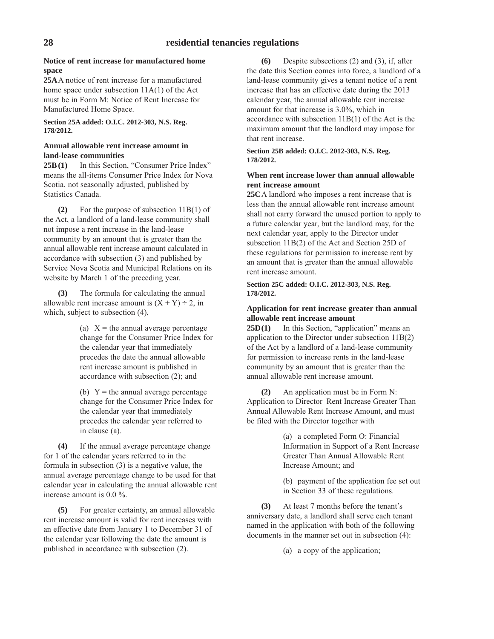## **Notice of rent increase for manufactured home space**

**25A**A notice of rent increase for a manufactured home space under subsection 11A(1) of the Act must be in Form M: Notice of Rent Increase for Manufactured Home Space.

**Section 25A added: O.I.C. 2012-303, N.S. Reg. 178/2012.**

# **Annual allowable rent increase amount in land-lease communities**

**25B (1)** In this Section, "Consumer Price Index" means the all-items Consumer Price Index for Nova Scotia, not seasonally adjusted, published by Statistics Canada.

**(2)** For the purpose of subsection 11B(1) of the Act, a landlord of a land-lease community shall not impose a rent increase in the land-lease community by an amount that is greater than the annual allowable rent increase amount calculated in accordance with subsection (3) and published by Service Nova Scotia and Municipal Relations on its website by March 1 of the preceding year.

**(3)** The formula for calculating the annual allowable rent increase amount is  $(X + Y) \div 2$ , in which, subject to subsection (4),

> (a)  $X =$  the annual average percentage change for the Consumer Price Index for the calendar year that immediately precedes the date the annual allowable rent increase amount is published in accordance with subsection (2); and

> (b)  $Y =$  the annual average percentage change for the Consumer Price Index for the calendar year that immediately precedes the calendar year referred to in clause (a).

**(4)** If the annual average percentage change for 1 of the calendar years referred to in the formula in subsection (3) is a negative value, the annual average percentage change to be used for that calendar year in calculating the annual allowable rent increase amount is 0.0 %.

**(5)** For greater certainty, an annual allowable rent increase amount is valid for rent increases with an effective date from January 1 to December 31 of the calendar year following the date the amount is published in accordance with subsection (2).

**(6)** Despite subsections (2) and (3), if, after the date this Section comes into force, a landlord of a land-lease community gives a tenant notice of a rent increase that has an effective date during the 2013 calendar year, the annual allowable rent increase amount for that increase is 3.0%, which in accordance with subsection 11B(1) of the Act is the maximum amount that the landlord may impose for that rent increase.

#### **Section 25B added: O.I.C. 2012-303, N.S. Reg. 178/2012.**

## **When rent increase lower than annual allowable rent increase amount**

**25C**A landlord who imposes a rent increase that is less than the annual allowable rent increase amount shall not carry forward the unused portion to apply to a future calendar year, but the landlord may, for the next calendar year, apply to the Director under subsection 11B(2) of the Act and Section 25D of these regulations for permission to increase rent by an amount that is greater than the annual allowable rent increase amount.

### **Section 25C added: O.I.C. 2012-303, N.S. Reg. 178/2012.**

## **Application for rent increase greater than annual allowable rent increase amount**

**25D(1)** In this Section, "application" means an application to the Director under subsection 11B(2) of the Act by a landlord of a land-lease community for permission to increase rents in the land-lease community by an amount that is greater than the annual allowable rent increase amount.

**(2)** An application must be in Form N: Application to Director–Rent Increase Greater Than Annual Allowable Rent Increase Amount, and must be filed with the Director together with

> (a) a completed Form O: Financial Information in Support of a Rent Increase Greater Than Annual Allowable Rent Increase Amount; and

> (b) payment of the application fee set out in Section 33 of these regulations.

**(3)** At least 7 months before the tenant's anniversary date, a landlord shall serve each tenant named in the application with both of the following documents in the manner set out in subsection (4):

(a) a copy of the application;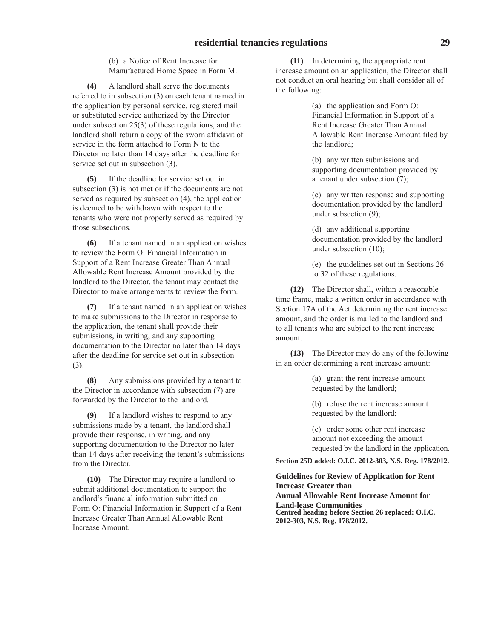(b) a Notice of Rent Increase for Manufactured Home Space in Form M.

**(4)** A landlord shall serve the documents referred to in subsection (3) on each tenant named in the application by personal service, registered mail or substituted service authorized by the Director under subsection 25(3) of these regulations, and the landlord shall return a copy of the sworn affidavit of service in the form attached to Form N to the Director no later than 14 days after the deadline for service set out in subsection (3).

**(5)** If the deadline for service set out in subsection (3) is not met or if the documents are not served as required by subsection (4), the application is deemed to be withdrawn with respect to the tenants who were not properly served as required by those subsections.

**(6)** If a tenant named in an application wishes to review the Form O: Financial Information in Support of a Rent Increase Greater Than Annual Allowable Rent Increase Amount provided by the landlord to the Director, the tenant may contact the Director to make arrangements to review the form.

**(7)** If a tenant named in an application wishes to make submissions to the Director in response to the application, the tenant shall provide their submissions, in writing, and any supporting documentation to the Director no later than 14 days after the deadline for service set out in subsection (3).

**(8)** Any submissions provided by a tenant to the Director in accordance with subsection (7) are forwarded by the Director to the landlord.

**(9)** If a landlord wishes to respond to any submissions made by a tenant, the landlord shall provide their response, in writing, and any supporting documentation to the Director no later than 14 days after receiving the tenant's submissions from the Director.

**(10)** The Director may require a landlord to submit additional documentation to support the andlord's financial information submitted on Form O: Financial Information in Support of a Rent Increase Greater Than Annual Allowable Rent Increase Amount.

**(11)** In determining the appropriate rent increase amount on an application, the Director shall not conduct an oral hearing but shall consider all of the following:

> (a) the application and Form O: Financial Information in Support of a Rent Increase Greater Than Annual Allowable Rent Increase Amount filed by the landlord;

(b) any written submissions and supporting documentation provided by a tenant under subsection (7);

(c) any written response and supporting documentation provided by the landlord under subsection (9);

(d) any additional supporting documentation provided by the landlord under subsection (10);

(e) the guidelines set out in Sections 26 to 32 of these regulations.

**(12)** The Director shall, within a reasonable time frame, make a written order in accordance with Section 17A of the Act determining the rent increase amount, and the order is mailed to the landlord and to all tenants who are subject to the rent increase amount.

**(13)** The Director may do any of the following in an order determining a rent increase amount:

> (a) grant the rent increase amount requested by the landlord;

(b) refuse the rent increase amount requested by the landlord;

(c) order some other rent increase amount not exceeding the amount requested by the landlord in the application.

**Section 25D added: O.I.C. 2012-303, N.S. Reg. 178/2012.**

### **Guidelines for Review of Application for Rent Increase Greater than Annual Allowable Rent Increase Amount for Land-lease Communities Centred heading before Section 26 replaced: O.I.C. 2012-303, N.S. Reg. 178/2012.**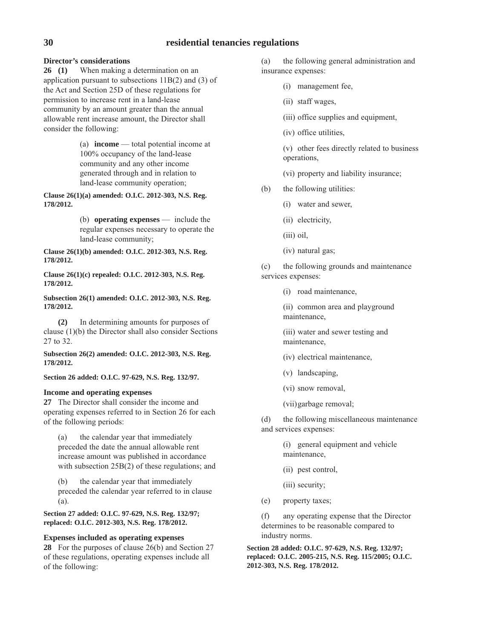# **30 residential tenancies regulations**

**Director's considerations**

**26 (1)** When making a determination on an application pursuant to subsections 11B(2) and (3) of the Act and Section 25D of these regulations for permission to increase rent in a land-lease community by an amount greater than the annual allowable rent increase amount, the Director shall consider the following:

> (a) **income** — total potential income at 100% occupancy of the land-lease community and any other income generated through and in relation to land-lease community operation;

**Clause 26(1)(a) amended: O.I.C. 2012-303, N.S. Reg. 178/2012.**

> (b) **operating expenses** — include the regular expenses necessary to operate the land-lease community;

**Clause 26(1)(b) amended: O.I.C. 2012-303, N.S. Reg. 178/2012.**

**Clause 26(1)(c) repealed: O.I.C. 2012-303, N.S. Reg. 178/2012.**

**Subsection 26(1) amended: O.I.C. 2012-303, N.S. Reg. 178/2012.**

**(2)** In determining amounts for purposes of clause (1)(b) the Director shall also consider Sections 27 to 32.

**Subsection 26(2) amended: O.I.C. 2012-303, N.S. Reg. 178/2012.**

**Section 26 added: O.I.C. 97-629, N.S. Reg. 132/97.**

## **Income and operating expenses**

**27** The Director shall consider the income and operating expenses referred to in Section 26 for each of the following periods:

(a) the calendar year that immediately preceded the date the annual allowable rent increase amount was published in accordance with subsection  $25B(2)$  of these regulations; and

(b) the calendar year that immediately preceded the calendar year referred to in clause (a).

**Section 27 added: O.I.C. 97-629, N.S. Reg. 132/97; replaced: O.I.C. 2012-303, N.S. Reg. 178/2012.**

### **Expenses included as operating expenses**

**28** For the purposes of clause 26(b) and Section 27 of these regulations, operating expenses include all of the following:

(a) the following general administration and insurance expenses:

- (i) management fee,
- (ii) staff wages,
- (iii) office supplies and equipment,
- (iv) office utilities,

(v) other fees directly related to business operations,

(vi) property and liability insurance;

- (b) the following utilities:
	- (i) water and sewer,
	- (ii) electricity,
	- (iii) oil,
	- (iv) natural gas;

(c) the following grounds and maintenance services expenses:

(i) road maintenance,

(ii) common area and playground maintenance,

(iii) water and sewer testing and maintenance,

- (iv) electrical maintenance,
- (v) landscaping,
- (vi) snow removal,
- (vii)garbage removal;

(d) the following miscellaneous maintenance and services expenses:

> (i) general equipment and vehicle maintenance,

(ii) pest control,

- (iii) security;
- (e) property taxes;

(f) any operating expense that the Director determines to be reasonable compared to industry norms.

**Section 28 added: O.I.C. 97-629, N.S. Reg. 132/97; replaced: O.I.C. 2005-215, N.S. Reg. 115/2005; O.I.C. 2012-303, N.S. Reg. 178/2012.**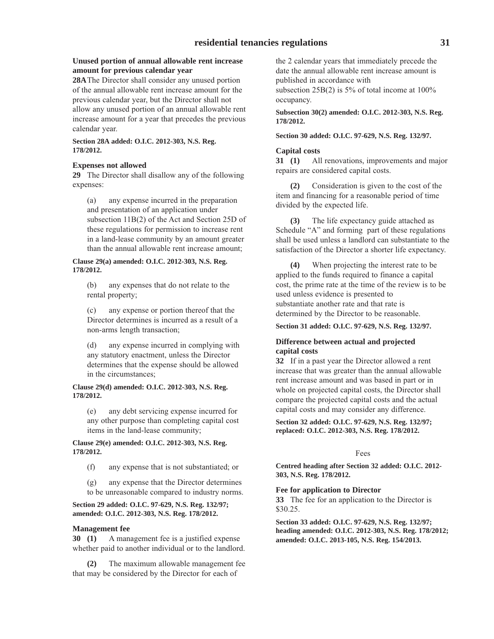## **Unused portion of annual allowable rent increase amount for previous calendar year**

**28A**The Director shall consider any unused portion of the annual allowable rent increase amount for the previous calendar year, but the Director shall not allow any unused portion of an annual allowable rent increase amount for a year that precedes the previous calendar year.

## **Section 28A added: O.I.C. 2012-303, N.S. Reg. 178/2012.**

#### **Expenses not allowed**

**29** The Director shall disallow any of the following expenses:

(a) any expense incurred in the preparation and presentation of an application under subsection 11B(2) of the Act and Section 25D of these regulations for permission to increase rent in a land-lease community by an amount greater than the annual allowable rent increase amount;

#### **Clause 29(a) amended: O.I.C. 2012-303, N.S. Reg. 178/2012.**

(b) any expenses that do not relate to the rental property;

(c) any expense or portion thereof that the Director determines is incurred as a result of a non-arms length transaction;

(d) any expense incurred in complying with any statutory enactment, unless the Director determines that the expense should be allowed in the circumstances;

**Clause 29(d) amended: O.I.C. 2012-303, N.S. Reg. 178/2012.**

(e) any debt servicing expense incurred for any other purpose than completing capital cost items in the land-lease community;

**Clause 29(e) amended: O.I.C. 2012-303, N.S. Reg. 178/2012.**

(f) any expense that is not substantiated; or

(g) any expense that the Director determines to be unreasonable compared to industry norms.

**Section 29 added: O.I.C. 97-629, N.S. Reg. 132/97; amended: O.I.C. 2012-303, N.S. Reg. 178/2012.**

#### **Management fee**

**30 (1)** A management fee is a justified expense whether paid to another individual or to the landlord.

**(2)** The maximum allowable management fee that may be considered by the Director for each of

the 2 calendar years that immediately precede the date the annual allowable rent increase amount is published in accordance with

subsection 25B(2) is 5% of total income at 100% occupancy.

**Subsection 30(2) amended: O.I.C. 2012-303, N.S. Reg. 178/2012.**

#### **Section 30 added: O.I.C. 97-629, N.S. Reg. 132/97.**

## **Capital costs**

**31 (1)** All renovations, improvements and major repairs are considered capital costs.

**(2)** Consideration is given to the cost of the item and financing for a reasonable period of time divided by the expected life.

**(3)** The life expectancy guide attached as Schedule "A" and forming part of these regulations shall be used unless a landlord can substantiate to the satisfaction of the Director a shorter life expectancy.

**(4)** When projecting the interest rate to be applied to the funds required to finance a capital cost, the prime rate at the time of the review is to be used unless evidence is presented to substantiate another rate and that rate is determined by the Director to be reasonable.

### **Section 31 added: O.I.C. 97-629, N.S. Reg. 132/97.**

## **Difference between actual and projected capital costs**

**32** If in a past year the Director allowed a rent increase that was greater than the annual allowable rent increase amount and was based in part or in whole on projected capital costs, the Director shall compare the projected capital costs and the actual capital costs and may consider any difference.

**Section 32 added: O.I.C. 97-629, N.S. Reg. 132/97; replaced: O.I.C. 2012-303, N.S. Reg. 178/2012.**

#### Fees

**Centred heading after Section 32 added: O.I.C. 2012- 303, N.S. Reg. 178/2012.**

**Fee for application to Director**

**33** The fee for an application to the Director is \$30.25.

**Section 33 added: O.I.C. 97-629, N.S. Reg. 132/97; heading amended: O.I.C. 2012-303, N.S. Reg. 178/2012; amended: O.I.C. 2013-105, N.S. Reg. 154/2013.**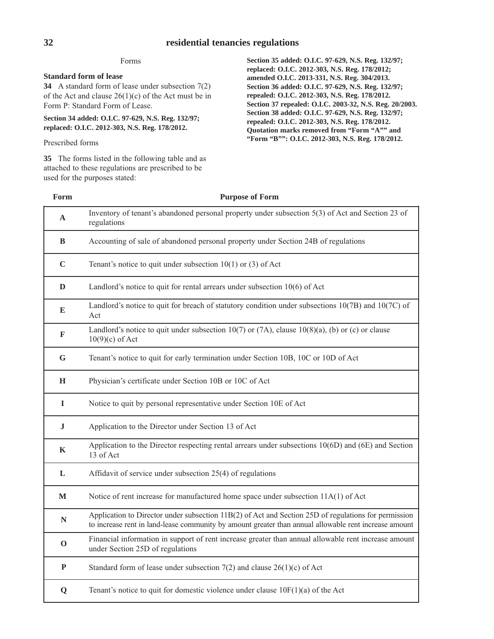# **32 residential tenancies regulations**

#### Forms

# **Standard form of lease**

**34** A standard form of lease under subsection 7(2) of the Act and clause 26(1)(c) of the Act must be in Form P: Standard Form of Lease.

**Section 34 added: O.I.C. 97-629, N.S. Reg. 132/97; replaced: O.I.C. 2012-303, N.S. Reg. 178/2012.**

## Prescribed forms

**35** The forms listed in the following table and as attached to these regulations are prescribed to be used for the purposes stated:

**Section 35 added: O.I.C. 97-629, N.S. Reg. 132/97; replaced: O.I.C. 2012-303, N.S. Reg. 178/2012; amended O.I.C. 2013-331, N.S. Reg. 304/2013. Section 36 added: O.I.C. 97-629, N.S. Reg. 132/97; repealed: O.I.C. 2012-303, N.S. Reg. 178/2012. Section 37 repealed: O.I.C. 2003-32, N.S. Reg. 20/2003. Section 38 added: O.I.C. 97-629, N.S. Reg. 132/97; repealed: O.I.C. 2012-303, N.S. Reg. 178/2012. Quotation marks removed from "Form "A"" and "Form "B"": O.I.C. 2012-303, N.S. Reg. 178/2012.**

| Form        | <b>Purpose of Form</b>                                                                                                                                                                                        |  |  |  |  |
|-------------|---------------------------------------------------------------------------------------------------------------------------------------------------------------------------------------------------------------|--|--|--|--|
| $\mathbf A$ | Inventory of tenant's abandoned personal property under subsection 5(3) of Act and Section 23 of<br>regulations                                                                                               |  |  |  |  |
| B           | Accounting of sale of abandoned personal property under Section 24B of regulations                                                                                                                            |  |  |  |  |
| C           | Tenant's notice to quit under subsection $10(1)$ or (3) of Act                                                                                                                                                |  |  |  |  |
| D           | Landlord's notice to quit for rental arrears under subsection 10(6) of Act                                                                                                                                    |  |  |  |  |
| E           | Landlord's notice to quit for breach of statutory condition under subsections $10(7B)$ and $10(7C)$ of<br>Act                                                                                                 |  |  |  |  |
| F           | Landlord's notice to quit under subsection $10(7)$ or $(7A)$ , clause $10(8)(a)$ , (b) or (c) or clause<br>$10(9)(c)$ of Act                                                                                  |  |  |  |  |
| $\mathbf G$ | Tenant's notice to quit for early termination under Section 10B, 10C or 10D of Act                                                                                                                            |  |  |  |  |
| $\bf H$     | Physician's certificate under Section 10B or 10C of Act                                                                                                                                                       |  |  |  |  |
| I           | Notice to quit by personal representative under Section 10E of Act                                                                                                                                            |  |  |  |  |
| $\bf J$     | Application to the Director under Section 13 of Act                                                                                                                                                           |  |  |  |  |
| K           | Application to the Director respecting rental arrears under subsections 10(6D) and (6E) and Section<br>13 of Act                                                                                              |  |  |  |  |
| L           | Affidavit of service under subsection 25(4) of regulations                                                                                                                                                    |  |  |  |  |
| M           | Notice of rent increase for manufactured home space under subsection 11A(1) of Act                                                                                                                            |  |  |  |  |
| ${\bf N}$   | Application to Director under subsection 11B(2) of Act and Section 25D of regulations for permission<br>to increase rent in land-lease community by amount greater than annual allowable rent increase amount |  |  |  |  |
| O           | Financial information in support of rent increase greater than annual allowable rent increase amount<br>under Section 25D of regulations                                                                      |  |  |  |  |
| P           | Standard form of lease under subsection $7(2)$ and clause $26(1)(c)$ of Act                                                                                                                                   |  |  |  |  |
| Q           | Tenant's notice to quit for domestic violence under clause $10F(1)(a)$ of the Act                                                                                                                             |  |  |  |  |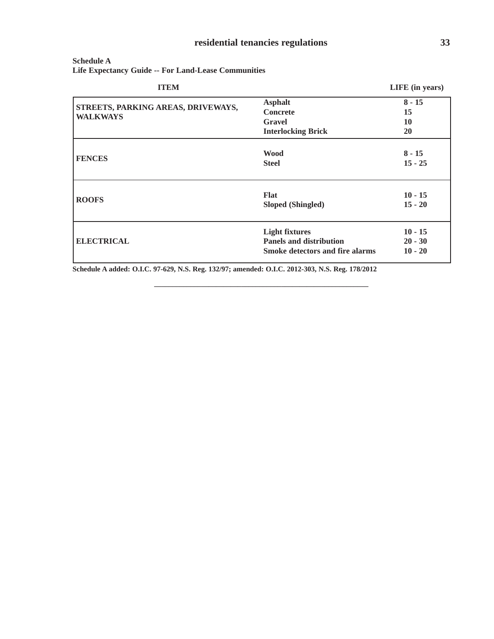# **residential tenancies regulations 33**

# **Schedule A Life Expectancy Guide -- For Land-Lease Communities**

| <b>ITEM</b>                        |                                        | LIFE (in years) |
|------------------------------------|----------------------------------------|-----------------|
| STREETS, PARKING AREAS, DRIVEWAYS, | <b>Asphalt</b>                         | $8 - 15$        |
| <b>WALKWAYS</b>                    | <b>Concrete</b>                        | 15              |
|                                    | Gravel                                 | 10              |
|                                    | <b>Interlocking Brick</b>              | <b>20</b>       |
|                                    |                                        |                 |
| <b>FENCES</b>                      | <b>Wood</b>                            | $8 - 15$        |
|                                    | <b>Steel</b>                           | $15 - 25$       |
|                                    | <b>Flat</b>                            | $10 - 15$       |
| <b>ROOFS</b>                       | Sloped (Shingled)                      | $15 - 20$       |
|                                    |                                        |                 |
|                                    | <b>Light fixtures</b>                  | $10 - 15$       |
| <b>ELECTRICAL</b>                  | <b>Panels and distribution</b>         | $20 - 30$       |
|                                    | <b>Smoke detectors and fire alarms</b> | $10 - 20$       |

**\_\_\_\_\_\_\_\_\_\_\_\_\_\_\_\_\_\_\_\_\_\_\_\_\_\_\_\_\_\_\_\_\_\_\_\_\_\_\_\_\_\_\_\_\_\_\_\_\_\_\_\_\_\_\_\_\_\_\_**

**Schedule A added: O.I.C. 97-629, N.S. Reg. 132/97; amended: O.I.C. 2012-303, N.S. Reg. 178/2012**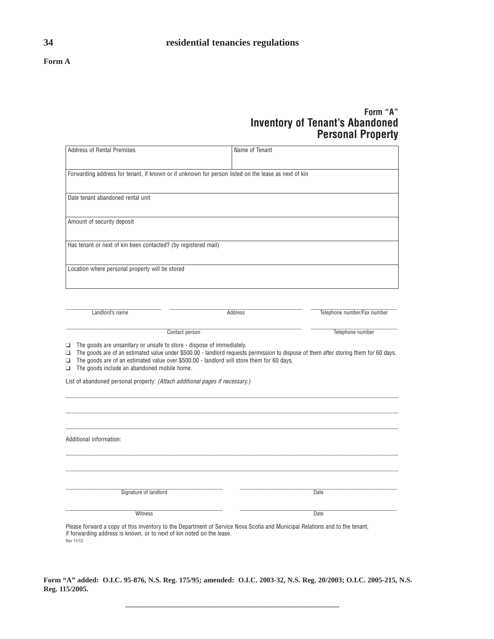**Form A**

# **Form "A" Inventory of Tenant's Abandoned Personal Property**

| <b>Address of Rental Premises</b>                                                                                                                                                                                 | Name of Tenant                                                                            |                                                                                                                                      |
|-------------------------------------------------------------------------------------------------------------------------------------------------------------------------------------------------------------------|-------------------------------------------------------------------------------------------|--------------------------------------------------------------------------------------------------------------------------------------|
|                                                                                                                                                                                                                   |                                                                                           |                                                                                                                                      |
| Forwarding address for tenant, if known or if unknown for person listed on the lease as next of kin                                                                                                               |                                                                                           |                                                                                                                                      |
| Date tenant abandoned rental unit                                                                                                                                                                                 |                                                                                           |                                                                                                                                      |
| Amount of security deposit                                                                                                                                                                                        |                                                                                           |                                                                                                                                      |
| Has tenant or next of kin been contacted? (by registered mail)                                                                                                                                                    |                                                                                           |                                                                                                                                      |
| Location where personal property will be stored                                                                                                                                                                   |                                                                                           |                                                                                                                                      |
| Landlord's name                                                                                                                                                                                                   | <b>Address</b>                                                                            | Telephone number/Fax number                                                                                                          |
|                                                                                                                                                                                                                   | Contact person                                                                            | Telephone number                                                                                                                     |
| $\Box$ The goods are unsanitary or unsafe to store - dispose of immediately.<br>$\Box$<br>O.<br>The goods include an abandoned mobile home.<br>▫                                                                  | The goods are of an estimated value over \$500.00 - landlord will store them for 60 days. | The goods are of an estimated value under \$500.00 - landlord requests permission to dispose of them after storing them for 60 days. |
| List of abandoned personal property: (Attach additional pages if necessary.)                                                                                                                                      |                                                                                           |                                                                                                                                      |
|                                                                                                                                                                                                                   |                                                                                           |                                                                                                                                      |
| Additional information:                                                                                                                                                                                           |                                                                                           |                                                                                                                                      |
|                                                                                                                                                                                                                   |                                                                                           |                                                                                                                                      |
| Signature of landlord                                                                                                                                                                                             |                                                                                           | Date                                                                                                                                 |
| <b>Witness</b>                                                                                                                                                                                                    |                                                                                           | <b>Date</b>                                                                                                                          |
| Please forward a copy of this inventory to the Department of Service Nova Scotia and Municipal Relations and to the tenant,<br>if forwarding address is known, or to next of kin noted on the lease.<br>Rev 11/12 |                                                                                           |                                                                                                                                      |

**Form "A" added: O.I.C. 95-876, N.S. Reg. 175/95; amended: O.I.C. 2003-32, N.S. Reg. 20/2003; O.I.C. 2005-215, N.S. Reg. 115/2005.**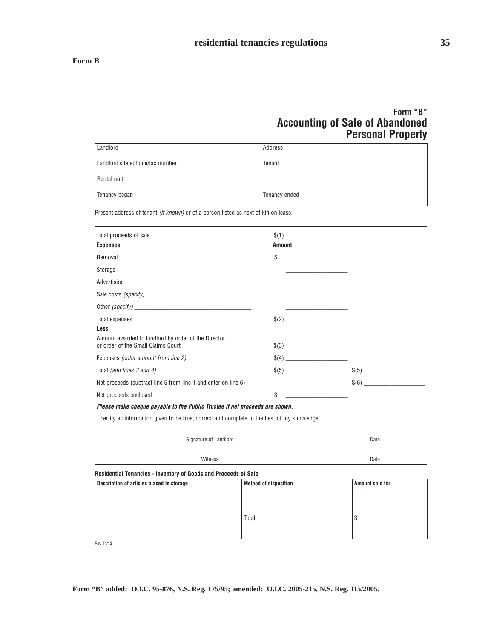#### **Form B**

# **Form "B" Accounting of Sale of Abandoned Personal Property**

| Landlord                        | Address       |
|---------------------------------|---------------|
| Landlord's telephone/fax number | Tenant        |
| Rental unit                     |               |
| Tenancy began                   | Tenancy ended |

Present address of tenant *(if known)* or of a person listed as next of kin on lease.

| Total proceeds of sale<br><b>Expenses</b>                                                 | $\$(1)$<br>Amount                                                                         |  |
|-------------------------------------------------------------------------------------------|-------------------------------------------------------------------------------------------|--|
| Removal                                                                                   | \$<br><u> 1989 - Johann Barbara, martxa a</u>                                             |  |
| Storage                                                                                   |                                                                                           |  |
| Advertising                                                                               | the control of the control of the control of the control of the control of the control of |  |
|                                                                                           |                                                                                           |  |
|                                                                                           | <u> De Barbara (1995)</u>                                                                 |  |
| Total expenses                                                                            | $\$(2)$                                                                                   |  |
| <b>Less</b>                                                                               |                                                                                           |  |
| Amount awarded to landlord by order of the Director<br>or order of the Small Claims Court | $\frac{\$(3)}{>}$                                                                         |  |
| Expenses (enter amount from line 2)                                                       |                                                                                           |  |
| Total (add lines 3 and 4)                                                                 |                                                                                           |  |
| Net proceeds (subtract line 5 from line 1 and enter on line 6)                            |                                                                                           |  |
| Net proceeds enclosed                                                                     | \$                                                                                        |  |

*Please make cheque payable to the Public Trustee if net proceeds are shown.*

| I certify all information given to be true, correct and complete to the best of my knowledge: |      |
|-----------------------------------------------------------------------------------------------|------|
| Signature of Landlord                                                                         | Date |
| Witness                                                                                       | Date |

#### **Residential Tenancies - Inventory of Goods and Proceeds of Sale**

| Description of articles placed in storage | <b>Method of disposition</b> | <b>Amount sold for</b> |
|-------------------------------------------|------------------------------|------------------------|
|                                           |                              |                        |
|                                           |                              |                        |
|                                           | Total                        | u                      |
|                                           |                              |                        |

**\_\_\_\_\_\_\_\_\_\_\_\_\_\_\_\_\_\_\_\_\_\_\_\_\_\_\_\_\_\_\_\_\_\_\_\_\_\_\_\_\_\_\_\_\_\_\_\_\_\_\_\_\_\_\_\_\_\_\_**

Rev 11/12

**Form "B" added: O.I.C. 95-876, N.S. Reg. 175/95; amended: O.I.C. 2005-215, N.S. Reg. 115/2005.**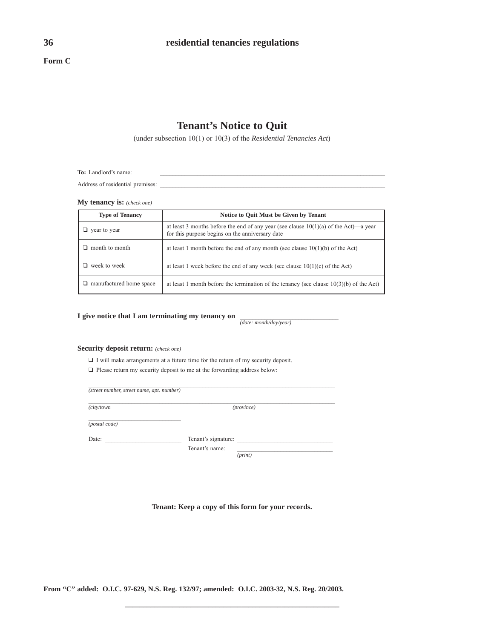# **Tenant's Notice to Quit**

(under subsection 10(1) or 10(3) of the *Residential Tenancies Act*)

| To: Landlord's name:             |  |
|----------------------------------|--|
|                                  |  |
| Address of residential premises: |  |

**My tenancy is:** *(check one)*

| <b>Type of Tenancy</b>  | Notice to Ouit Must be Given by Tenant                                                                                                    |  |  |
|-------------------------|-------------------------------------------------------------------------------------------------------------------------------------------|--|--|
| $\Box$ year to year     | at least 3 months before the end of any year (see clause $10(1)(a)$ of the Act)—a year<br>for this purpose begins on the anniversary date |  |  |
| $\Box$ month to month   | at least 1 month before the end of any month (see clause $10(1)(b)$ of the Act)                                                           |  |  |
| $\Box$ week to week     | at least 1 week before the end of any week (see clause $10(1)(c)$ of the Act)                                                             |  |  |
| manufactured home space | at least 1 month before the termination of the tenancy (see clause $10(3)(b)$ ) of the Act)                                               |  |  |

## **I** give notice that I am terminating my tenancy on

*(date: month/day/year)*

#### **Security deposit return:** *(check one)*

❑ I will make arrangements at a future time for the return of my security deposit.

❑ Please return my security deposit to me at the forwarding address below:

\_\_\_\_\_\_\_\_\_\_\_\_\_\_\_\_\_\_\_\_\_\_\_\_\_\_\_\_\_\_\_\_\_\_\_\_\_\_\_\_\_\_\_\_\_\_\_\_\_\_\_\_\_\_\_\_\_\_\_\_\_\_\_\_\_\_\_\_\_\_\_\_\_\_\_\_\_\_\_\_ *(street number, street name, apt. number)*

\_\_\_\_\_\_\_\_\_\_\_\_\_\_\_\_\_\_\_\_\_\_\_\_\_\_\_\_\_\_

*(city/town (province)*

*(postal code)*

Date: \_\_\_\_\_\_\_\_\_\_\_\_\_\_\_\_\_\_\_\_\_\_\_\_\_ Tenant's signature: \_\_\_\_\_\_\_\_\_\_\_\_\_\_\_\_\_\_\_\_\_\_\_\_\_\_\_\_\_\_\_ Tenant's name:

 $\_$  , and the set of the set of the set of the set of the set of the set of the set of the set of the set of the set of the set of the set of the set of the set of the set of the set of the set of the set of the set of th

*(print)*

**Tenant: Keep a copy of this form for your records.**

**\_\_\_\_\_\_\_\_\_\_\_\_\_\_\_\_\_\_\_\_\_\_\_\_\_\_\_\_\_\_\_\_\_\_\_\_\_\_\_\_\_\_\_\_\_\_\_\_\_\_\_\_\_\_\_\_\_\_\_**

**From "C" added: O.I.C. 97-629, N.S. Reg. 132/97; amended: O.I.C. 2003-32, N.S. Reg. 20/2003.**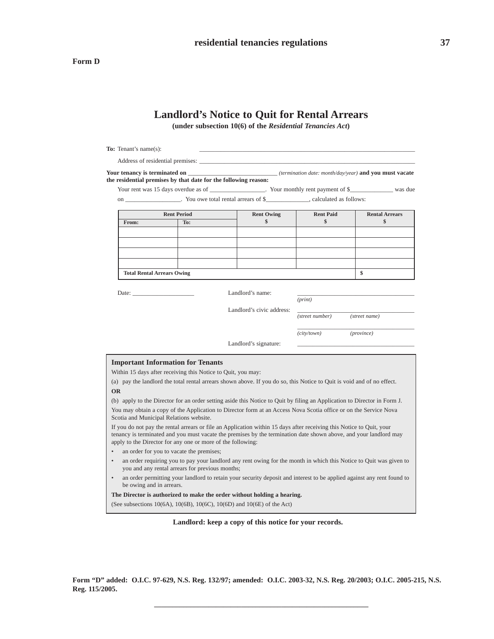**Form D**

# **Landlord's Notice to Quit for Rental Arrears**

**(under subsection 10(6) of the** *Residential Tenancies Act***)**

| <b>To:</b> Tenant's name(s):                                                                                |                                                                                                          |                                                                                                                                                                                                                                           |                  |                                                        |
|-------------------------------------------------------------------------------------------------------------|----------------------------------------------------------------------------------------------------------|-------------------------------------------------------------------------------------------------------------------------------------------------------------------------------------------------------------------------------------------|------------------|--------------------------------------------------------|
|                                                                                                             |                                                                                                          |                                                                                                                                                                                                                                           |                  |                                                        |
| Your tenancy is terminated on                                                                               | the residential premises by that date for the following reason:                                          |                                                                                                                                                                                                                                           |                  | (termination date: month/day/year) and you must vacate |
| Your rent was 15 days overdue as of __________________. Your monthly rent payment of \$____________ was due |                                                                                                          |                                                                                                                                                                                                                                           |                  |                                                        |
|                                                                                                             |                                                                                                          | on __________________. You owe total rental arrears of \$______________, calculated as follows:                                                                                                                                           |                  |                                                        |
|                                                                                                             | <b>Rent Period</b>                                                                                       | <b>Rent Owing</b>                                                                                                                                                                                                                         | <b>Rent Paid</b> | <b>Rental Arrears</b>                                  |
| From:                                                                                                       | To:                                                                                                      | \$                                                                                                                                                                                                                                        | \$               | $\boldsymbol{\hat{\mathbf{s}}}$                        |
|                                                                                                             |                                                                                                          |                                                                                                                                                                                                                                           |                  |                                                        |
|                                                                                                             |                                                                                                          |                                                                                                                                                                                                                                           |                  |                                                        |
| <b>Total Rental Arrears Owing</b>                                                                           |                                                                                                          |                                                                                                                                                                                                                                           |                  | \$                                                     |
|                                                                                                             |                                                                                                          |                                                                                                                                                                                                                                           |                  |                                                        |
|                                                                                                             |                                                                                                          | Landlord's name:                                                                                                                                                                                                                          | (print)          |                                                        |
|                                                                                                             |                                                                                                          | Landlord's civic address:                                                                                                                                                                                                                 |                  |                                                        |
|                                                                                                             |                                                                                                          |                                                                                                                                                                                                                                           | (street number)  | (street name)                                          |
|                                                                                                             |                                                                                                          |                                                                                                                                                                                                                                           | (city/town)      | (province)                                             |
|                                                                                                             |                                                                                                          | Landlord's signature:                                                                                                                                                                                                                     |                  |                                                        |
|                                                                                                             |                                                                                                          |                                                                                                                                                                                                                                           |                  |                                                        |
|                                                                                                             | <b>Important Information for Tenants</b><br>Within 15 days after receiving this Notice to Quit, you may: |                                                                                                                                                                                                                                           |                  |                                                        |
|                                                                                                             |                                                                                                          | (a) pay the landlord the total rental arrears shown above. If you do so, this Notice to Quit is void and of no effect.                                                                                                                    |                  |                                                        |
| <b>OR</b>                                                                                                   |                                                                                                          |                                                                                                                                                                                                                                           |                  |                                                        |
|                                                                                                             |                                                                                                          | (b) apply to the Director for an order setting aside this Notice to Quit by filing an Application to Director in Form J.                                                                                                                  |                  |                                                        |
| Scotia and Municipal Relations website.                                                                     |                                                                                                          | You may obtain a copy of the Application to Director form at an Access Nova Scotia office or on the Service Nova                                                                                                                          |                  |                                                        |
|                                                                                                             | apply to the Director for any one or more of the following:                                              | If you do not pay the rental arrears or file an Application within 15 days after receiving this Notice to Quit, your<br>tenancy is terminated and you must vacate the premises by the termination date shown above, and your landlord may |                  |                                                        |
| $\bullet$                                                                                                   | an order for you to vacate the premises;                                                                 |                                                                                                                                                                                                                                           |                  |                                                        |
| $\bullet$                                                                                                   | you and any rental arrears for previous months;                                                          | an order requiring you to pay your landlord any rent owing for the month in which this Notice to Quit was given to                                                                                                                        |                  |                                                        |
| $\bullet$<br>be owing and in arrears.                                                                       |                                                                                                          | an order permitting your landlord to retain your security deposit and interest to be applied against any rent found to                                                                                                                    |                  |                                                        |
|                                                                                                             |                                                                                                          | The Director is authorized to make the order without holding a hearing.                                                                                                                                                                   |                  |                                                        |
|                                                                                                             |                                                                                                          | (See subsections 10(6A), 10(6B), 10(6C), 10(6D) and 10(6E) of the Act)                                                                                                                                                                    |                  |                                                        |

**Landlord: keep a copy of this notice for your records.**

**Form "D" added: O.I.C. 97-629, N.S. Reg. 132/97; amended: O.I.C. 2003-32, N.S. Reg. 20/2003; O.I.C. 2005-215, N.S. Reg. 115/2005.**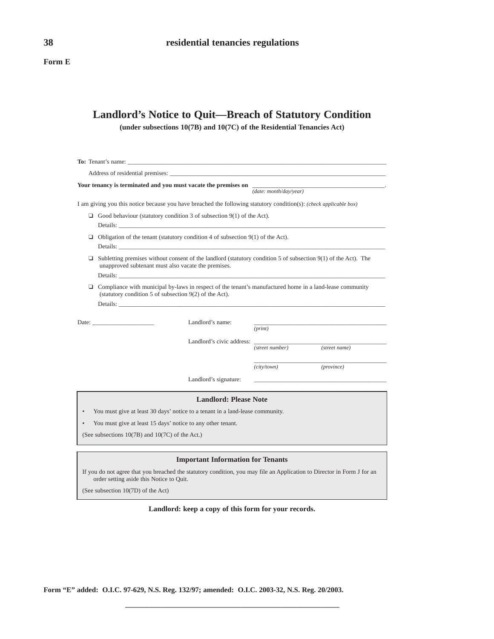# **Landlord's Notice to Quit—Breach of Statutory Condition**

**(under subsections 10(7B) and 10(7C) of the Residential Tenancies Act)**

| Your tenancy is terminated and you must vacate the premises on                                                                                                                                                                                     | (data: month/day/year)           |
|----------------------------------------------------------------------------------------------------------------------------------------------------------------------------------------------------------------------------------------------------|----------------------------------|
| I am giving you this notice because you have breached the following statutory condition(s): (check applicable box)                                                                                                                                 |                                  |
| $\Box$ Good behaviour (statutory condition 3 of subsection 9(1) of the Act).<br>Details:                                                                                                                                                           |                                  |
| $\Box$ Obligation of the tenant (statutory condition 4 of subsection 9(1) of the Act).                                                                                                                                                             |                                  |
| $\Box$ Subletting premises without consent of the landlord (statutory condition 5 of subsection 9(1) of the Act). The<br>unapproved subtenant must also vacate the premises.<br>Details:                                                           |                                  |
| $\Box$ Compliance with municipal by-laws in respect of the tenant's manufactured home in a land-lease community<br>(statutory condition 5 of subsection 9(2) of the Act).<br>Details:                                                              |                                  |
| Landlord's name:<br>Date: the contract of the contract of the contract of the contract of the contract of the contract of the contract of the contract of the contract of the contract of the contract of the contract of the contract of the cont | (print)                          |
| Landlord's civic address:                                                                                                                                                                                                                          | (street number)<br>(street name) |
|                                                                                                                                                                                                                                                    | (city/town)<br>(province)        |
| Landlord's signature:                                                                                                                                                                                                                              |                                  |
| <b>Landlord: Please Note</b>                                                                                                                                                                                                                       |                                  |
| You must give at least 30 days' notice to a tenant in a land-lease community.                                                                                                                                                                      |                                  |
| You must give at least 15 days' notice to any other tenant.                                                                                                                                                                                        |                                  |
| (See subsections $10(7B)$ and $10(7C)$ of the Act.)                                                                                                                                                                                                |                                  |
| <b>Important Information for Tenants</b>                                                                                                                                                                                                           |                                  |

If you do not agree that you breached the statutory condition, you may file an Application to Director in Form J for an order setting aside this Notice to Quit.

(See subsection 10(7D) of the Act)

**Landlord: keep a copy of this form for your records.**

**\_\_\_\_\_\_\_\_\_\_\_\_\_\_\_\_\_\_\_\_\_\_\_\_\_\_\_\_\_\_\_\_\_\_\_\_\_\_\_\_\_\_\_\_\_\_\_\_\_\_\_\_\_\_\_\_\_\_\_**

**Form "E" added: O.I.C. 97-629, N.S. Reg. 132/97; amended: O.I.C. 2003-32, N.S. Reg. 20/2003.**

**Form E**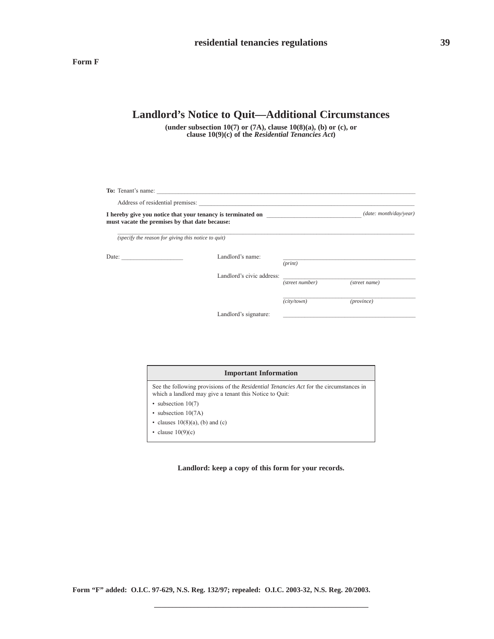# **Landlord's Notice to Quit—Additional Circumstances**

**(under subsection 10(7) or (7A), clause 10(8)(a), (b) or (c), or clause 10(9)(c) of the** *Residential Tenancies Act***)**

| To: Tenant's name:                                  |                                                             |                 |                        |
|-----------------------------------------------------|-------------------------------------------------------------|-----------------|------------------------|
| Address of residential premises:                    |                                                             |                 |                        |
| must vacate the premises by that date because:      | I hereby give you notice that your tenancy is terminated on |                 | (date: month/day/year) |
| (specify the reason for giving this notice to quit) |                                                             |                 |                        |
| Date: $\qquad \qquad$                               | Landlord's name:                                            | (print)         |                        |
|                                                     | Landlord's civic address:                                   | (street number) | (street name)          |
|                                                     |                                                             | (city/town)     | (province)             |
|                                                     | Landlord's signature:                                       |                 |                        |

| <b>Important Information</b>                                                                                                                             |
|----------------------------------------------------------------------------------------------------------------------------------------------------------|
| See the following provisions of the <i>Residential Tenancies Act</i> for the circumstances in<br>which a landlord may give a tenant this Notice to Quit: |
| • subsection $10(7)$                                                                                                                                     |
| • subsection $10(7A)$                                                                                                                                    |
| • clauses $10(8)(a)$ , (b) and (c)                                                                                                                       |
| • clause $10(9)(c)$                                                                                                                                      |

**Landlord: keep a copy of this form for your records.**

**\_\_\_\_\_\_\_\_\_\_\_\_\_\_\_\_\_\_\_\_\_\_\_\_\_\_\_\_\_\_\_\_\_\_\_\_\_\_\_\_\_\_\_\_\_\_\_\_\_\_\_\_\_\_\_\_\_\_\_**

**Form "F" added: O.I.C. 97-629, N.S. Reg. 132/97; repealed: O.I.C. 2003-32, N.S. Reg. 20/2003.**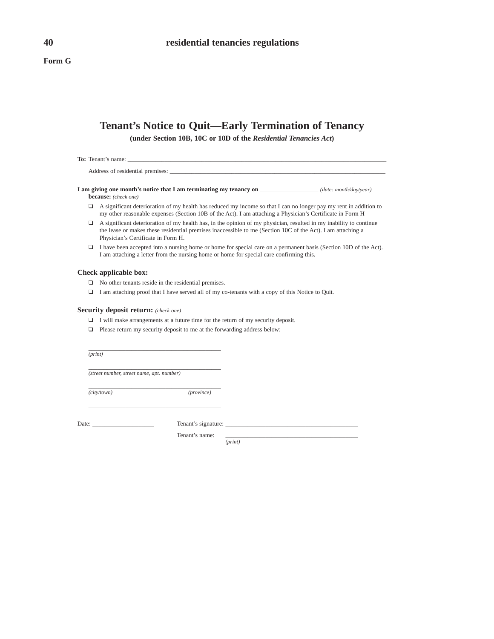# **Tenant's Notice to Quit—Early Termination of Tenancy**

**(under Section 10B, 10C or 10D of the** *Residential Tenancies Act***)**

|        |                                                                                                                                                                                                                                |                | Address of residential premises:                                                                                                                                                                                                      |  |
|--------|--------------------------------------------------------------------------------------------------------------------------------------------------------------------------------------------------------------------------------|----------------|---------------------------------------------------------------------------------------------------------------------------------------------------------------------------------------------------------------------------------------|--|
|        | because: (check one)                                                                                                                                                                                                           |                | I am giving one month's notice that I am terminating my tenancy on ________________(date: month/day/year)                                                                                                                             |  |
|        |                                                                                                                                                                                                                                |                | $\Box$ A significant deterioration of my health has reduced my income so that I can no longer pay my rent in addition to<br>my other reasonable expenses (Section 10B of the Act). I am attaching a Physician's Certificate in Form H |  |
| $\Box$ | Physician's Certificate in Form H.                                                                                                                                                                                             |                | A significant deterioration of my health has, in the opinion of my physician, resulted in my inability to continue<br>the lease or makes these residential premises inaccessible to me (Section 10C of the Act). I am attaching a     |  |
|        |                                                                                                                                                                                                                                |                | $\Box$ I have been accepted into a nursing home or home for special care on a permanent basis (Section 10D of the Act).<br>I am attaching a letter from the nursing home or home for special care confirming this.                    |  |
|        | Check applicable box:                                                                                                                                                                                                          |                |                                                                                                                                                                                                                                       |  |
|        | $\Box$ No other tenants reside in the residential premises.                                                                                                                                                                    |                |                                                                                                                                                                                                                                       |  |
|        |                                                                                                                                                                                                                                |                | $\Box$ I am attaching proof that I have served all of my co-tenants with a copy of this Notice to Quit.                                                                                                                               |  |
|        | <b>Security deposit return:</b> (check one)                                                                                                                                                                                    |                |                                                                                                                                                                                                                                       |  |
|        | $\Box$ I will make arrangements at a future time for the return of my security deposit.                                                                                                                                        |                |                                                                                                                                                                                                                                       |  |
|        | $\Box$ Please return my security deposit to me at the forwarding address below:                                                                                                                                                |                |                                                                                                                                                                                                                                       |  |
|        |                                                                                                                                                                                                                                |                |                                                                                                                                                                                                                                       |  |
|        | (print)                                                                                                                                                                                                                        |                |                                                                                                                                                                                                                                       |  |
|        | (street number, street name, apt. number)                                                                                                                                                                                      |                |                                                                                                                                                                                                                                       |  |
|        | (city/town)                                                                                                                                                                                                                    | (province)     |                                                                                                                                                                                                                                       |  |
|        | Date: the contract of the contract of the contract of the contract of the contract of the contract of the contract of the contract of the contract of the contract of the contract of the contract of the contract of the cont |                | Tenant's signature:                                                                                                                                                                                                                   |  |
|        |                                                                                                                                                                                                                                | Tenant's name: |                                                                                                                                                                                                                                       |  |
|        |                                                                                                                                                                                                                                |                | (print)                                                                                                                                                                                                                               |  |
|        |                                                                                                                                                                                                                                |                |                                                                                                                                                                                                                                       |  |
|        |                                                                                                                                                                                                                                |                |                                                                                                                                                                                                                                       |  |
|        |                                                                                                                                                                                                                                |                |                                                                                                                                                                                                                                       |  |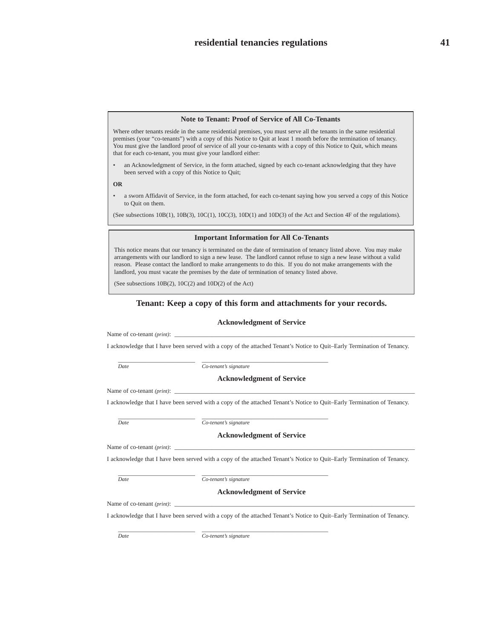#### **Note to Tenant: Proof of Service of All Co-Tenants**

Where other tenants reside in the same residential premises, you must serve all the tenants in the same residential premises (your "co-tenants") with a copy of this Notice to Quit at least 1 month before the termination of tenancy. You must give the landlord proof of service of all your co-tenants with a copy of this Notice to Quit, which means that for each co-tenant, you must give your landlord either:

• an Acknowledgment of Service, in the form attached, signed by each co-tenant acknowledging that they have been served with a copy of this Notice to Quit;

**OR**

• a sworn Affidavit of Service, in the form attached, for each co-tenant saying how you served a copy of this Notice to Quit on them.

(See subsections 10B(1), 10B(3), 10C(1), 10C(3), 10D(1) and 10D(3) of the Act and Section 4F of the regulations).

#### **Important Information for All Co-Tenants**

This notice means that our tenancy is terminated on the date of termination of tenancy listed above. You may make arrangements with our landlord to sign a new lease. The landlord cannot refuse to sign a new lease without a valid reason. Please contact the landlord to make arrangements to do this. If you do not make arrangements with the landlord, you must vacate the premises by the date of termination of tenancy listed above.

(See subsections  $10B(2)$ ,  $10C(2)$  and  $10D(2)$  of the Act)

#### **Tenant: Keep a copy of this form and attachments for your records.**

#### **Acknowledgment of Service**

I acknowledge that I have been served with a copy of the attached Tenant's Notice to Quit–Early Termination of Tenancy.

\_\_\_\_\_\_\_\_\_\_\_\_\_\_\_\_\_\_\_\_\_\_\_\_\_ \_\_\_\_\_\_\_\_\_\_\_\_\_\_\_\_\_\_\_\_\_\_\_\_\_\_\_\_\_\_\_\_\_\_\_\_\_\_\_\_\_ *Date Co-tenant's signature*

#### **Acknowledgment of Service**

Name of co-tenant *(print)*:

Name of co-tenant *(print)*:

I acknowledge that I have been served with a copy of the attached Tenant's Notice to Quit–Early Termination of Tenancy.

\_\_\_\_\_\_\_\_\_\_\_\_\_\_\_\_\_\_\_\_\_\_\_\_\_ \_\_\_\_\_\_\_\_\_\_\_\_\_\_\_\_\_\_\_\_\_\_\_\_\_\_\_\_\_\_\_\_\_\_\_\_\_\_\_\_\_

# *Date Co-tenant's signature*

#### **Acknowledgment of Service**

Name of co-tenant *(print)*:

I acknowledge that I have been served with a copy of the attached Tenant's Notice to Quit–Early Termination of Tenancy.

*Date Co-tenant's signature*

#### **Acknowledgment of Service**

Name of co-tenant *(print)*:

I acknowledge that I have been served with a copy of the attached Tenant's Notice to Quit–Early Termination of Tenancy.

\_\_\_\_\_\_\_\_\_\_\_\_\_\_\_\_\_\_\_\_\_\_\_\_\_ \_\_\_\_\_\_\_\_\_\_\_\_\_\_\_\_\_\_\_\_\_\_\_\_\_\_\_\_\_\_\_\_\_\_\_\_\_\_\_\_\_ *Date Co-tenant's signature*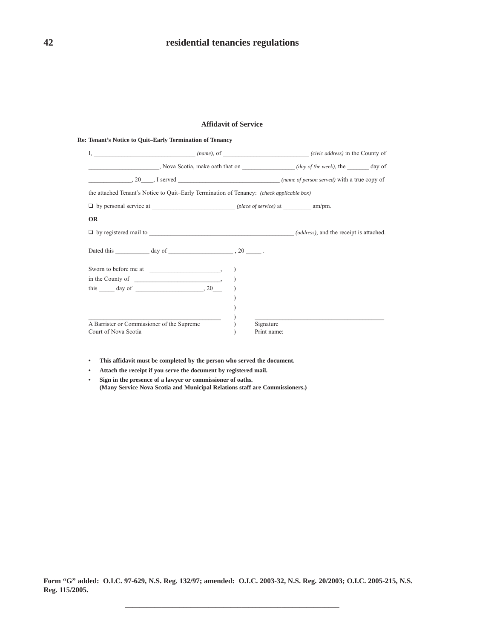#### **Affidavit of Service**

#### **Re: Tenant's Notice to Quit–Early Termination of Tenancy**

|                                                                                                  |                          | I, ( <i>name</i> ), of ( <i>civic address</i> ) in the County of            |
|--------------------------------------------------------------------------------------------------|--------------------------|-----------------------------------------------------------------------------|
|                                                                                                  |                          | Nova Scotia, make oath that on $\qquad (day\ of\ the\ week)$ , the day of   |
|                                                                                                  |                          | 20, I served the set of person served) with a true copy of                  |
| the attached Tenant's Notice to Quit-Early Termination of Tenancy: <i>(check applicable box)</i> |                          |                                                                             |
|                                                                                                  |                          |                                                                             |
| <b>OR</b>                                                                                        |                          |                                                                             |
|                                                                                                  |                          | $\Box$ by registered mail to $\Box$ (address), and the receipt is attached. |
| Dated this $\frac{1}{\sqrt{2}}$ day of $\frac{1}{\sqrt{2}}$ , 20 $\frac{1}{\sqrt{2}}$ .          |                          |                                                                             |
| this $\_\_\_$ day of $\_\_\_\_\_$ , 20 $\_\_\_\$                                                 |                          |                                                                             |
| A Barrister or Commissioner of the Supreme<br>Court of Nova Scotia                               | Signature<br>Print name: |                                                                             |

- **This affidavit must be completed by the person who served the document.**
- **Attach the receipt if you serve the document by registered mail.**
- **Sign in the presence of a lawyer or commissioner of oaths.**
- **(Many Service Nova Scotia and Municipal Relations staff are Commissioners.)**

**Form "G" added: O.I.C. 97-629, N.S. Reg. 132/97; amended: O.I.C. 2003-32, N.S. Reg. 20/2003; O.I.C. 2005-215, N.S. Reg. 115/2005.**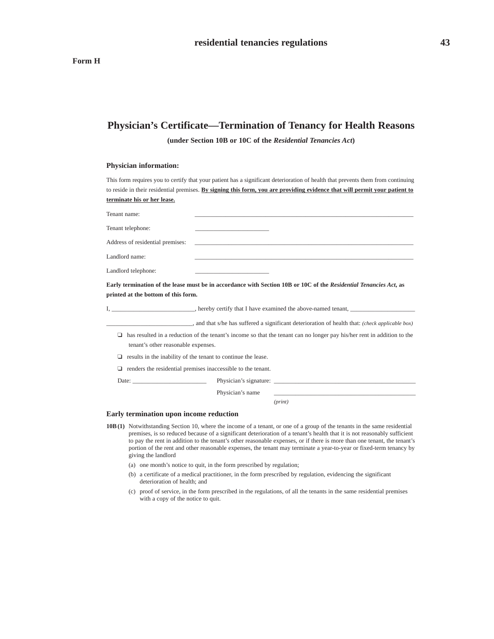# **Physician's Certificate—Termination of Tenancy for Health Reasons**

**(under Section 10B or 10C of the** *Residential Tenancies Act***)**

#### **Physician information:**

|                                                |                                                                            | This form requires you to certify that your patient has a significant deterioration of health that prevents them from continuing                                                                                                                      |
|------------------------------------------------|----------------------------------------------------------------------------|-------------------------------------------------------------------------------------------------------------------------------------------------------------------------------------------------------------------------------------------------------|
| terminate his or her lease.                    |                                                                            | to reside in their residential premises. By signing this form, you are providing evidence that will permit your patient to                                                                                                                            |
| Tenant name:                                   |                                                                            |                                                                                                                                                                                                                                                       |
| Tenant telephone:                              | the control of the control of the control of the control of the control of |                                                                                                                                                                                                                                                       |
| Address of residential premises:               |                                                                            |                                                                                                                                                                                                                                                       |
| Landlord name:                                 |                                                                            |                                                                                                                                                                                                                                                       |
| Landlord telephone:                            |                                                                            |                                                                                                                                                                                                                                                       |
| printed at the bottom of this form.            |                                                                            | Early termination of the lease must be in accordance with Section 10B or 10C of the Residential Tenancies Act, as                                                                                                                                     |
|                                                |                                                                            |                                                                                                                                                                                                                                                       |
|                                                |                                                                            | , and that s/he has suffered a significant deterioration of health that: <i>(check applicable box)</i>                                                                                                                                                |
| tenant's other reasonable expenses.            |                                                                            | $\Box$ has resulted in a reduction of the tenant's income so that the tenant can no longer pay his/her rent in addition to the                                                                                                                        |
| □                                              | results in the inability of the tenant to continue the lease.              |                                                                                                                                                                                                                                                       |
| u.                                             | renders the residential premises inaccessible to the tenant.               |                                                                                                                                                                                                                                                       |
|                                                |                                                                            | Physician's signature:                                                                                                                                                                                                                                |
|                                                | Physician's name                                                           | (print)                                                                                                                                                                                                                                               |
| <b>Early termination upon income reduction</b> |                                                                            |                                                                                                                                                                                                                                                       |
|                                                |                                                                            | 10B(1) Notwithstanding Section 10, where the income of a tenant, or one of a group of the tenants in the same residential<br>premises, is so reduced because of a significant deterioration of a tenant's health that it is not reasonably sufficient |

- to pay the rent in addition to the tenant's other reasonable expenses, or if there is more than one tenant, the tenant's portion of the rent and other reasonable expenses, the tenant may terminate a year-to-year or fixed-term tenancy by giving the landlord
	- (a) one month's notice to quit, in the form prescribed by regulation;
	- (b) a certificate of a medical practitioner, in the form prescribed by regulation, evidencing the significant deterioration of health; and
	- (c) proof of service, in the form prescribed in the regulations, of all the tenants in the same residential premises with a copy of the notice to quit.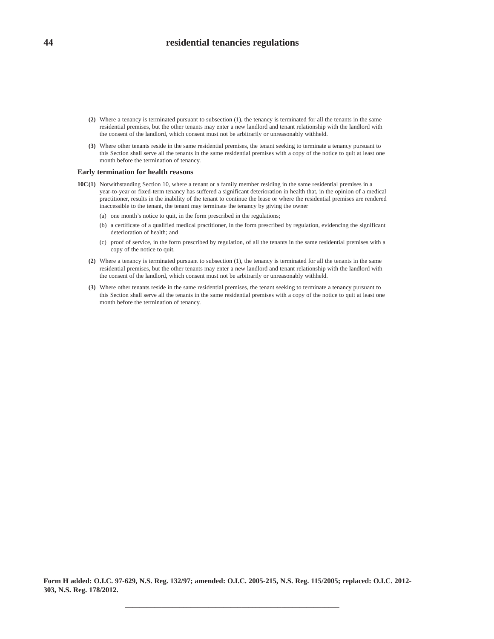- **(2)** Where a tenancy is terminated pursuant to subsection (1), the tenancy is terminated for all the tenants in the same residential premises, but the other tenants may enter a new landlord and tenant relationship with the landlord with the consent of the landlord, which consent must not be arbitrarily or unreasonably withheld.
- **(3)** Where other tenants reside in the same residential premises, the tenant seeking to terminate a tenancy pursuant to this Section shall serve all the tenants in the same residential premises with a copy of the notice to quit at least one month before the termination of tenancy.

#### **Early termination for health reasons**

- **10C(1)** Notwithstanding Section 10, where a tenant or a family member residing in the same residential premises in a year-to-year or fixed-term tenancy has suffered a significant deterioration in health that, in the opinion of a medical practitioner, results in the inability of the tenant to continue the lease or where the residential premises are rendered inaccessible to the tenant, the tenant may terminate the tenancy by giving the owner
	- (a) one month's notice to quit, in the form prescribed in the regulations;
	- (b) a certificate of a qualified medical practitioner, in the form prescribed by regulation, evidencing the significant deterioration of health; and
	- (c) proof of service, in the form prescribed by regulation, of all the tenants in the same residential premises with a copy of the notice to quit.
	- **(2)** Where a tenancy is terminated pursuant to subsection (1), the tenancy is terminated for all the tenants in the same residential premises, but the other tenants may enter a new landlord and tenant relationship with the landlord with the consent of the landlord, which consent must not be arbitrarily or unreasonably withheld.
	- **(3)** Where other tenants reside in the same residential premises, the tenant seeking to terminate a tenancy pursuant to this Section shall serve all the tenants in the same residential premises with a copy of the notice to quit at least one month before the termination of tenancy.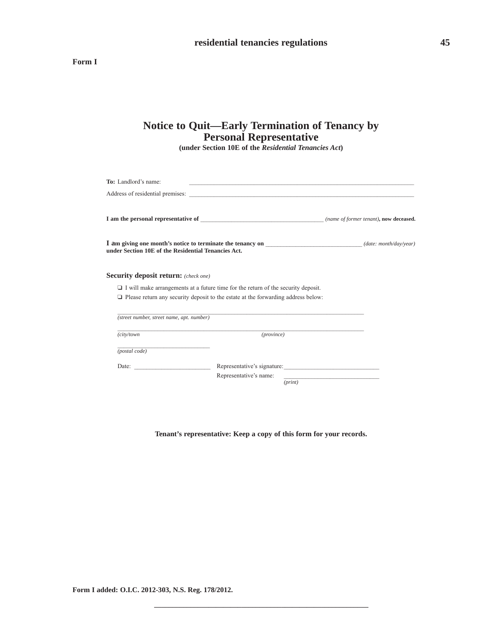**Form I**

# **Notice to Quit—Early Termination of Tenancy by Personal Representative**

**(under Section 10E of the** *Residential Tenancies Act***)**

| <b>To:</b> Landlord's name:                         | <u> 1989 - Johann Stoff, deutscher Stoff, der Stoff, der Stoff, der Stoff, der Stoff, der Stoff, der Stoff, der S</u> |         |
|-----------------------------------------------------|-----------------------------------------------------------------------------------------------------------------------|---------|
|                                                     |                                                                                                                       |         |
|                                                     | I am the personal representative of <b>Example 2</b> (name of former tenant), now deceased.                           |         |
| under Section 10E of the Residential Tenancies Act. | I am giving one month's notice to terminate the tenancy on <i>(date: month/day/year)</i> (date: month/day/year)       |         |
| <b>Security deposit return:</b> (check one)         |                                                                                                                       |         |
|                                                     | $\Box$ I will make arrangements at a future time for the return of the security deposit.                              |         |
|                                                     | $\Box$ Please return any security deposit to the estate at the forwarding address below:                              |         |
| (street number, street name, apt. number)           |                                                                                                                       |         |
| (city/town                                          | the control of the control of the control of the control of the control of<br>(province)                              |         |
| (postal code)                                       |                                                                                                                       |         |
| Date: $\qquad \qquad$                               | Representative's signature:                                                                                           |         |
|                                                     | Representative's name:                                                                                                | (print) |

**Tenant's representative: Keep a copy of this form for your records.**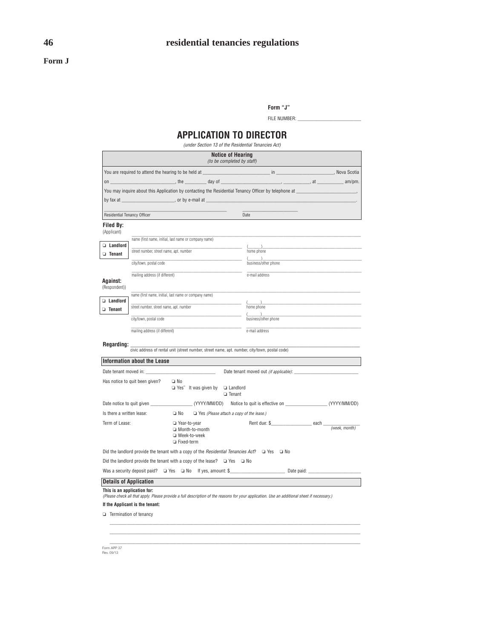FILE NUMBER: \_\_\_\_\_\_\_\_\_\_\_\_\_\_\_\_\_\_\_\_\_\_\_\_\_\_\_

# **APPLICATION TO DIRECTOR**

*(under Section 13 of the Residential Tenancies Act)*

|                                    |                                         |                                                                                                                                             | <b>Notice of Hearing</b><br>(to be completed by staff) |                      |                                                                                                                                                                                                                                      |
|------------------------------------|-----------------------------------------|---------------------------------------------------------------------------------------------------------------------------------------------|--------------------------------------------------------|----------------------|--------------------------------------------------------------------------------------------------------------------------------------------------------------------------------------------------------------------------------------|
|                                    |                                         | You are required to attend the hearing to be held at _________                                                                              |                                                        |                      | <u>and Community and Community and Community and Community and Community and Community and Community and Community and Community and Community and Community and Community and Community and Community and Community and Communi</u> |
| on                                 |                                         |                                                                                                                                             |                                                        |                      | $\frac{1}{1000}$ , $\frac{1}{1000}$ , at $\frac{1}{1000}$ am/pm.                                                                                                                                                                     |
|                                    |                                         | You may inquire about this Application by contacting the Residential Tenancy Officer by telephone at ___                                    |                                                        |                      |                                                                                                                                                                                                                                      |
| by fax at $\_{$                    |                                         | _______________, or by e-mail at _______                                                                                                    |                                                        |                      |                                                                                                                                                                                                                                      |
| <b>Residential Tenancy Officer</b> |                                         |                                                                                                                                             |                                                        | Date                 |                                                                                                                                                                                                                                      |
| Filed By:<br>(Applicant)           |                                         |                                                                                                                                             |                                                        |                      |                                                                                                                                                                                                                                      |
|                                    |                                         | name (first name, initial, last name or company name)                                                                                       |                                                        |                      |                                                                                                                                                                                                                                      |
| <b>Landlord</b><br>$\Box$ Tenant   | street number, street name, apt. number |                                                                                                                                             |                                                        | home phone           |                                                                                                                                                                                                                                      |
|                                    | city/town, postal code                  |                                                                                                                                             |                                                        | business/other phone |                                                                                                                                                                                                                                      |
| Against:                           | mailing address (if different)          |                                                                                                                                             |                                                        | e-mail address       |                                                                                                                                                                                                                                      |
| (Respondent))                      |                                         |                                                                                                                                             |                                                        |                      |                                                                                                                                                                                                                                      |
| <b>Landlord</b>                    |                                         | name (first name, initial, last name or company name)                                                                                       |                                                        |                      |                                                                                                                                                                                                                                      |
| <b>D</b> Tenant                    | street number, street name, apt. number |                                                                                                                                             |                                                        | home phone           |                                                                                                                                                                                                                                      |
|                                    | city/town, postal code                  |                                                                                                                                             |                                                        | business/other phone |                                                                                                                                                                                                                                      |
|                                    | mailing address (if different)          |                                                                                                                                             |                                                        | e-mail address       |                                                                                                                                                                                                                                      |
| Regarding:                         |                                         | civic address of rental unit (street number, street name, apt. number, city/town, postal code)                                              |                                                        |                      |                                                                                                                                                                                                                                      |
|                                    | Information about the Lease             |                                                                                                                                             |                                                        |                      |                                                                                                                                                                                                                                      |
| Date tenant moved in: ____         |                                         |                                                                                                                                             |                                                        |                      |                                                                                                                                                                                                                                      |
|                                    | Has notice to quit been given?          | □ No<br>$\Box$ Yes" It was given by                                                                                                         | $\Box$ Landlord<br><b>D</b> Tenant                     |                      |                                                                                                                                                                                                                                      |
| Date notice to quit given __       |                                         | _ (YYYY/MM/DD) _                                                                                                                            |                                                        |                      |                                                                                                                                                                                                                                      |
| Is there a written lease:          |                                         | $\square$ No<br>$\Box$ Yes (Please attach a copy of the lease.)                                                                             |                                                        |                      |                                                                                                                                                                                                                                      |
| Term of Lease:                     |                                         | □ Year-to-year<br>□ Month-to-month<br>□ Week-to-week<br>□ Fixed-term                                                                        |                                                        |                      | (week. month)                                                                                                                                                                                                                        |
|                                    |                                         | Did the landlord provide the tenant with a copy of the <i>Residential Tenancies Act</i> ? $\Box$ Yes $\Box$ No                              |                                                        |                      |                                                                                                                                                                                                                                      |
|                                    |                                         | Did the landlord provide the tenant with a copy of the lease? $\Box$ Yes $\Box$ No                                                          |                                                        |                      |                                                                                                                                                                                                                                      |
|                                    |                                         | Was a security deposit paid? $\square$ Yes $\square$ No If yes, amount: \$                                                                  |                                                        |                      |                                                                                                                                                                                                                                      |
| <b>Details of Application</b>      |                                         |                                                                                                                                             |                                                        |                      |                                                                                                                                                                                                                                      |
| This is an application for:        |                                         | (Please check all that apply. Please provide a full description of the reasons for your application. Use an additional sheet if necessary.) |                                                        |                      |                                                                                                                                                                                                                                      |
|                                    | If the Applicant is the tenant:         |                                                                                                                                             |                                                        |                      |                                                                                                                                                                                                                                      |
| $\Box$ Termination of tenancy      |                                         |                                                                                                                                             |                                                        |                      |                                                                                                                                                                                                                                      |

\_\_\_\_\_\_\_\_\_\_\_\_\_\_\_\_\_\_\_\_\_\_\_\_\_\_\_\_\_\_\_\_\_\_\_\_\_\_\_\_\_\_\_\_\_\_\_\_\_\_\_\_\_\_\_\_\_\_\_\_\_\_\_\_\_\_\_\_\_\_\_\_\_\_\_\_\_\_\_\_\_\_\_\_\_\_\_\_\_\_\_\_\_\_\_\_\_\_\_\_\_\_\_\_\_ \_\_\_\_\_\_\_\_\_\_\_\_\_\_\_\_\_\_\_\_\_\_\_\_\_\_\_\_\_\_\_\_\_\_\_\_\_\_\_\_\_\_\_\_\_\_\_\_\_\_\_\_\_\_\_\_\_\_\_\_\_\_\_\_\_\_\_\_\_\_\_\_\_\_\_\_\_\_\_\_\_\_\_\_\_\_\_\_\_\_\_\_\_\_\_\_\_\_\_\_\_\_\_\_\_

Form APP 37 Rev. 09/13

 $\overline{1}$ 

 $\overline{1}$  $\overline{\phantom{a}}$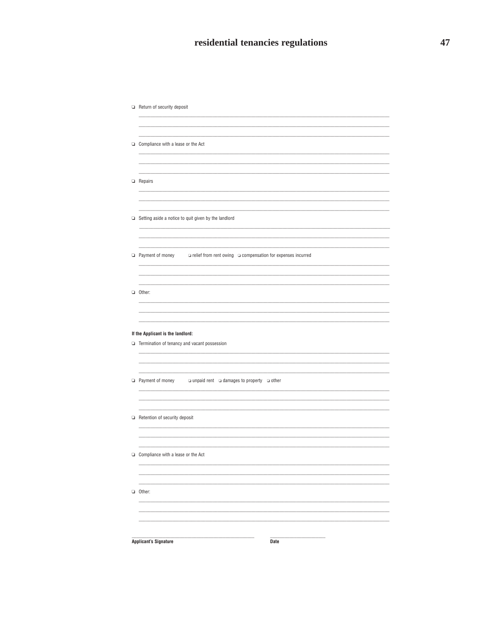| Return of security deposit                                                                      |
|-------------------------------------------------------------------------------------------------|
|                                                                                                 |
| $\Box$ Compliance with a lease or the Act                                                       |
|                                                                                                 |
| Repairs                                                                                         |
|                                                                                                 |
| □ Setting aside a notice to quit given by the landlord                                          |
|                                                                                                 |
| $\Box$ Payment of money $\Box$ relief from rent owing $\Box$ compensation for expenses incurred |
| $\Box$ Other:                                                                                   |
|                                                                                                 |
| If the Applicant is the landlord:                                                               |
| $\Box$ Termination of tenancy and vacant possession                                             |
|                                                                                                 |
| Payment of money<br>□ unpaid rent □ damages to property □ other                                 |
|                                                                                                 |
| Retention of security deposit                                                                   |
| Compliance with a lease or the Act                                                              |
|                                                                                                 |
| Other:                                                                                          |
|                                                                                                 |
|                                                                                                 |
| <b>Applicant's Signature</b><br><b>Date</b>                                                     |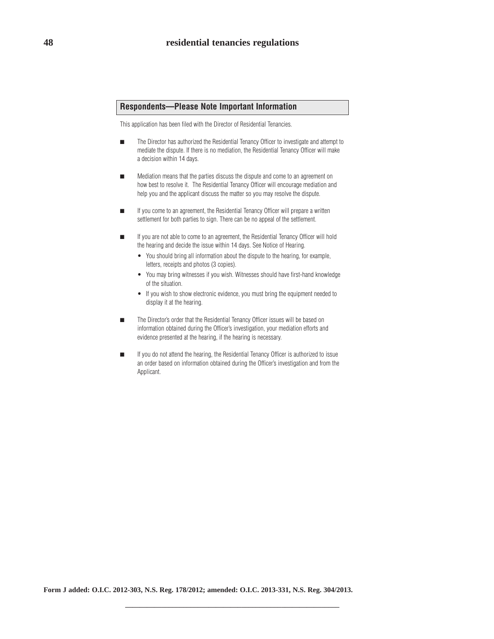# **Respondents—Please Note Important Information**

This application has been filed with the Director of Residential Tenancies.

- The Director has authorized the Residential Tenancy Officer to investigate and attempt to mediate the dispute. If there is no mediation, the Residential Tenancy Officer will make a decision within 14 days.
- Mediation means that the parties discuss the dispute and come to an agreement on how best to resolve it. The Residential Tenancy Officer will encourage mediation and help you and the applicant discuss the matter so you may resolve the dispute.
- If you come to an agreement, the Residential Tenancy Officer will prepare a written settlement for both parties to sign. There can be no appeal of the settlement.
- If you are not able to come to an agreement, the Residential Tenancy Officer will hold the hearing and decide the issue within 14 days. See Notice of Hearing.
	- You should bring all information about the dispute to the hearing, for example, letters, receipts and photos (3 copies).
	- You may bring witnesses if you wish. Witnesses should have first-hand knowledge of the situation.
	- If you wish to show electronic evidence, you must bring the equipment needed to display it at the hearing.
- The Director's order that the Residential Tenancy Officer issues will be based on information obtained during the Officer's investigation, your mediation efforts and evidence presented at the hearing, if the hearing is necessary.
- If you do not attend the hearing, the Residential Tenancy Officer is authorized to issue an order based on information obtained during the Officer's investigation and from the Applicant.

**Form J added: O.I.C. 2012-303, N.S. Reg. 178/2012; amended: O.I.C. 2013-331, N.S. Reg. 304/2013.**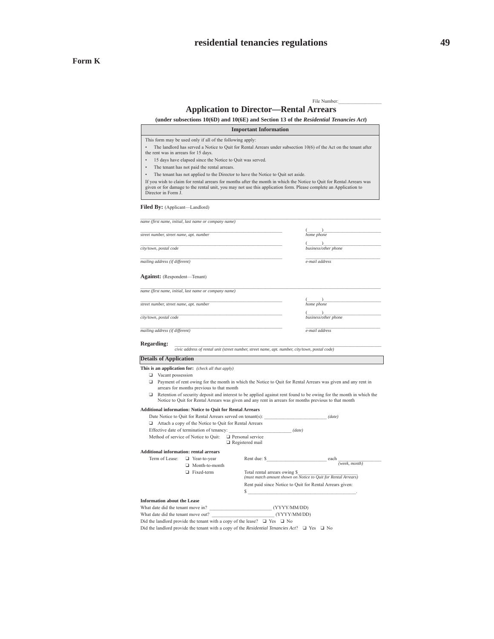|                                                                                                                                                                                                                                                                                       |                                                                                                 | File Number:                                   |
|---------------------------------------------------------------------------------------------------------------------------------------------------------------------------------------------------------------------------------------------------------------------------------------|-------------------------------------------------------------------------------------------------|------------------------------------------------|
|                                                                                                                                                                                                                                                                                       | <b>Application to Director-Rental Arrears</b>                                                   |                                                |
| (under subsections $10(6D)$ and $10(6E)$ and Section 13 of the Residential Tenancies Act)                                                                                                                                                                                             |                                                                                                 |                                                |
|                                                                                                                                                                                                                                                                                       | <b>Important Information</b>                                                                    |                                                |
|                                                                                                                                                                                                                                                                                       |                                                                                                 |                                                |
| This form may be used only if all of the following apply:<br>The landlord has served a Notice to Quit for Rental Arrears under subsection $10(6)$ of the Act on the tenant after<br>the rent was in arrears for 15 days.<br>15 days have elapsed since the Notice to Quit was served. |                                                                                                 |                                                |
| The tenant has not paid the rental arrears.<br>$\bullet$                                                                                                                                                                                                                              |                                                                                                 |                                                |
| The tenant has not applied to the Director to have the Notice to Quit set aside.                                                                                                                                                                                                      |                                                                                                 |                                                |
| If you wish to claim for rental arrears for months after the month in which the Notice to Quit for Rental Arrears was<br>given or for damage to the rental unit, you may not use this application form. Please complete an Application to<br>Director in Form J.                      |                                                                                                 |                                                |
| <b>Filed By:</b> (Applicant—Landlord)                                                                                                                                                                                                                                                 |                                                                                                 |                                                |
| name (first name, initial, last name or company name)                                                                                                                                                                                                                                 |                                                                                                 |                                                |
| street number, street name, apt. number                                                                                                                                                                                                                                               |                                                                                                 |                                                |
| city/town, postal code                                                                                                                                                                                                                                                                |                                                                                                 | $\frac{1}{\text{business}/\text{other phone}}$ |
| mailing address (if different)                                                                                                                                                                                                                                                        |                                                                                                 | e-mail address                                 |
| Against: (Respondent-Tenant)                                                                                                                                                                                                                                                          |                                                                                                 |                                                |
| name (first name, initial, last name or company name)                                                                                                                                                                                                                                 |                                                                                                 |                                                |
| street number, street name, apt. number                                                                                                                                                                                                                                               |                                                                                                 | $\frac{(-)}{home~phone}$                       |
| city/town, postal code                                                                                                                                                                                                                                                                |                                                                                                 | $_{\_})$<br>business/other phone               |
| mailing address (if different)                                                                                                                                                                                                                                                        |                                                                                                 | e-mail address                                 |
| Regarding:                                                                                                                                                                                                                                                                            | civic address of rental unit (street number, street name, apt. number, city/town, postal code)  |                                                |
| <b>Details of Application</b>                                                                                                                                                                                                                                                         |                                                                                                 |                                                |
| This is an application for: (check all that apply)                                                                                                                                                                                                                                    |                                                                                                 |                                                |
| $\Box$ Vacant possession                                                                                                                                                                                                                                                              |                                                                                                 |                                                |
| $\Box$ Payment of rent owing for the month in which the Notice to Quit for Rental Arrears was given and any rent in<br>arrears for months previous to that month                                                                                                                      |                                                                                                 |                                                |
| Retention of security deposit and interest to be applied against rent found to be owing for the month in which the<br>□<br>Notice to Quit for Rental Arrears was given and any rent in arrears for months previous to that month                                                      |                                                                                                 |                                                |
| <b>Additional information: Notice to Quit for Rental Arrears</b>                                                                                                                                                                                                                      |                                                                                                 |                                                |
| Date Notice to Quit for Rental Arrears served on tenant(s): $(date)$                                                                                                                                                                                                                  |                                                                                                 |                                                |
| Attach a copy of the Notice to Quit for Rental Arrears                                                                                                                                                                                                                                |                                                                                                 |                                                |
| Effective date of termination of tenancy:<br>Method of service of Notice to Quit:                                                                                                                                                                                                     | (date)<br><b>Q</b> Personal service<br>Registered mail                                          |                                                |
| <b>Additional information: rental arrears</b>                                                                                                                                                                                                                                         |                                                                                                 |                                                |
| Term of Lease: □ Year-to-year                                                                                                                                                                                                                                                         | Rent due: \$                                                                                    | each                                           |
| Month-to-month                                                                                                                                                                                                                                                                        |                                                                                                 | (week, month)                                  |
| $\Box$ Fixed-term                                                                                                                                                                                                                                                                     | Total rental arrears owing \$<br>(must match amount shown on Notice to Quit for Rental Arrears) |                                                |
|                                                                                                                                                                                                                                                                                       | Rent paid since Notice to Quit for Rental Arrears given:                                        |                                                |
| <b>Information about the Lease</b>                                                                                                                                                                                                                                                    |                                                                                                 |                                                |
| What date did the tenant move in? (YYYY/MM/DD)                                                                                                                                                                                                                                        |                                                                                                 |                                                |
| Did the landlord provide the tenant with a copy of the lease? $\Box$ Yes $\Box$ No                                                                                                                                                                                                    |                                                                                                 |                                                |
| Did the landlord provide the tenant with a copy of the <i>Residential Tenancies Act</i> ? $\Box$ Yes $\Box$ No                                                                                                                                                                        |                                                                                                 |                                                |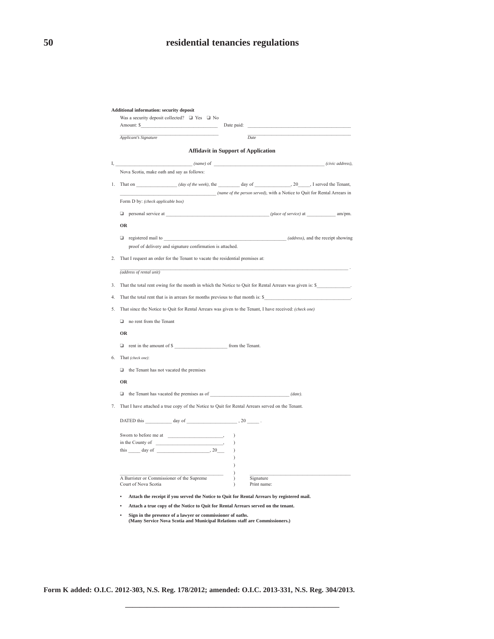|    | Was a security deposit collected? $\Box$ Yes $\Box$ No<br>Amount: \$<br>Date paid:                                                                                                                                            |  |  |  |  |
|----|-------------------------------------------------------------------------------------------------------------------------------------------------------------------------------------------------------------------------------|--|--|--|--|
|    | Applicant's Signature<br>Date                                                                                                                                                                                                 |  |  |  |  |
|    |                                                                                                                                                                                                                               |  |  |  |  |
|    | <b>Affidavit in Support of Application</b>                                                                                                                                                                                    |  |  |  |  |
| I, | $(name)$ of<br><i>civic address</i> ),<br>Nova Scotia, make oath and say as follows:                                                                                                                                          |  |  |  |  |
|    |                                                                                                                                                                                                                               |  |  |  |  |
| 1. | (name of the person served), with a Notice to Quit for Rental Arrears in                                                                                                                                                      |  |  |  |  |
|    | Form D by: (check applicable box)                                                                                                                                                                                             |  |  |  |  |
|    |                                                                                                                                                                                                                               |  |  |  |  |
|    | OR                                                                                                                                                                                                                            |  |  |  |  |
|    | (address), and the receipt showing<br>$\Box$ registered mail to                                                                                                                                                               |  |  |  |  |
|    | proof of delivery and signature confirmation is attached.                                                                                                                                                                     |  |  |  |  |
| 2. | That I request an order for the Tenant to vacate the residential premises at:                                                                                                                                                 |  |  |  |  |
|    | (address of rental unit)                                                                                                                                                                                                      |  |  |  |  |
| 3. | That the total rent owing for the month in which the Notice to Quit for Rental Arrears was given is: \$                                                                                                                       |  |  |  |  |
| 4. | That the total rent that is in arrears for months previous to that month is: $\$                                                                                                                                              |  |  |  |  |
| 5. | That since the Notice to Quit for Rental Arrears was given to the Tenant, I have received: (check one)                                                                                                                        |  |  |  |  |
|    | $\Box$ no rent from the Tenant                                                                                                                                                                                                |  |  |  |  |
|    | <b>OR</b>                                                                                                                                                                                                                     |  |  |  |  |
|    | $\Box$ rent in the amount of \$                                                                                                                                                                                               |  |  |  |  |
|    |                                                                                                                                                                                                                               |  |  |  |  |
| 6. | That (check one):                                                                                                                                                                                                             |  |  |  |  |
|    | $\Box$ the Tenant has not vacated the premises                                                                                                                                                                                |  |  |  |  |
|    | OR                                                                                                                                                                                                                            |  |  |  |  |
|    |                                                                                                                                                                                                                               |  |  |  |  |
| 7. | That I have attached a true copy of the Notice to Quit for Rental Arrears served on the Tenant.                                                                                                                               |  |  |  |  |
|    |                                                                                                                                                                                                                               |  |  |  |  |
|    | $\mathcal{E}$                                                                                                                                                                                                                 |  |  |  |  |
|    | in the County of Theorem 2014                                                                                                                                                                                                 |  |  |  |  |
|    | this day of 30 and 30 and 30 and 30 and 30 and 30 and 30 and 30 and 30 and 30 and 30 and 30 and 30 and 30 and 30 and 30 and 30 and 30 and 30 and 30 and 30 and 30 and 30 and 30 and 30 and 30 and 30 and 30 and 30 and 30 and |  |  |  |  |
|    |                                                                                                                                                                                                                               |  |  |  |  |
|    | $\mathcal{E}$                                                                                                                                                                                                                 |  |  |  |  |
|    | A Barrister or Commissioner of the Supreme<br>Signature<br>$\mathcal{E}$                                                                                                                                                      |  |  |  |  |

- **Attach a true copy of the Notice to Quit for Rental Arrears served on the tenant.**
- **Sign in the presence of a lawyer or commissioner of oaths. (Many Service Nova Scotia and Municipal Relations staff are Commissioners.)**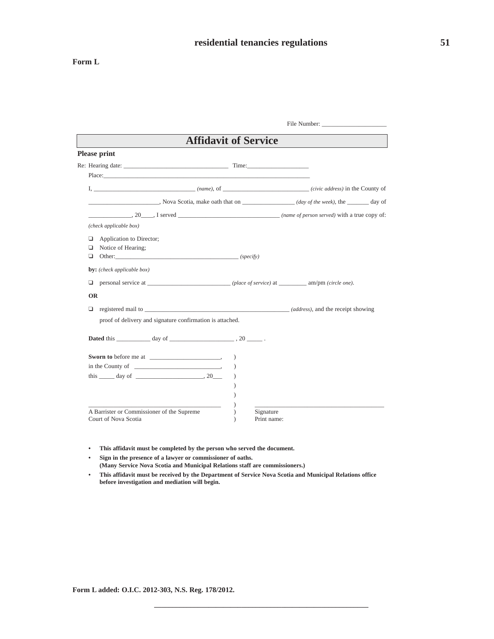# **Form L**

|                                                                                                               |                                       | File Number: |
|---------------------------------------------------------------------------------------------------------------|---------------------------------------|--------------|
|                                                                                                               | <b>Affidavit of Service</b>           |              |
| <b>Please print</b>                                                                                           |                                       |              |
|                                                                                                               |                                       |              |
| Place: No. 2014 19:00 Place: No. 2014 19:00 Place: No. 2014 19:00 Place: No. 2014 19:00 Place: No. 2014 19:00 |                                       |              |
|                                                                                                               |                                       |              |
| Nova Scotia, make oath that on _______________(day of the week), the ________ day of                          |                                       |              |
| $\ldots$ , 20, F served $\ldots$ , T served $\ldots$ , T served $\ldots$                                      |                                       |              |
| (check applicable box)                                                                                        |                                       |              |
| Application to Director;<br>□<br>Notice of Hearing;<br>□<br>□                                                 |                                       |              |
| by: (check applicable box)                                                                                    |                                       |              |
| ⊔                                                                                                             |                                       |              |
| <b>OR</b>                                                                                                     |                                       |              |
| registered mail to (address), and the receipt showing<br>❏                                                    |                                       |              |
| proof of delivery and signature confirmation is attached.                                                     |                                       |              |
| Dated this $\qquad \qquad \text{day of} \qquad \qquad .20 \qquad .$                                           |                                       |              |
|                                                                                                               |                                       |              |
| in the County of the country of                                                                               |                                       |              |
| this $\qquad \qquad$ day of $\qquad \qquad$ , 20                                                              |                                       |              |
|                                                                                                               |                                       |              |
|                                                                                                               |                                       |              |
| A Barrister or Commissioner of the Supreme<br>Court of Nova Scotia                                            | Signature<br>$\lambda$<br>Print name: |              |

- **This affidavit must be completed by the person who served the document.**
- **Sign in the presence of a lawyer or commissioner of oaths. (Many Service Nova Scotia and Municipal Relations staff are commissioners.)**
- **This affidavit must be received by the Department of Service Nova Scotia and Municipal Relations office before investigation and mediation will begin.**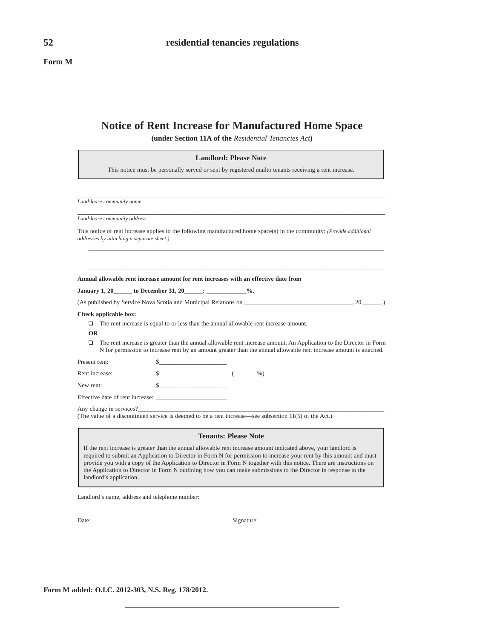# **Notice of Rent Increase for Manufactured Home Space**

**(under Section 11A of the** *Residential Tenancies Act***)**

|                                              | <b>Landlord: Please Note</b>                                                                                                                                                                                                                                                                                                                                                                                                                                                                                        |
|----------------------------------------------|---------------------------------------------------------------------------------------------------------------------------------------------------------------------------------------------------------------------------------------------------------------------------------------------------------------------------------------------------------------------------------------------------------------------------------------------------------------------------------------------------------------------|
|                                              | This notice must be personally served or sent by registered mail to tenants receiving a rent increase.                                                                                                                                                                                                                                                                                                                                                                                                              |
|                                              |                                                                                                                                                                                                                                                                                                                                                                                                                                                                                                                     |
| Land-lease community name                    |                                                                                                                                                                                                                                                                                                                                                                                                                                                                                                                     |
| Land-lease community address                 |                                                                                                                                                                                                                                                                                                                                                                                                                                                                                                                     |
| addresses by attaching a separate sheet.)    | This notice of rent increase applies to the following manufactured home space(s) in the community: (Provide additional                                                                                                                                                                                                                                                                                                                                                                                              |
|                                              | Annual allowable rent increase amount for rent increases with an effective date from                                                                                                                                                                                                                                                                                                                                                                                                                                |
|                                              | January 1, 20_______ to December 31, 20______: ____________%.                                                                                                                                                                                                                                                                                                                                                                                                                                                       |
|                                              |                                                                                                                                                                                                                                                                                                                                                                                                                                                                                                                     |
| Check applicable box:<br><b>OR</b><br>$\Box$ | $\Box$ The rent increase is equal to or less than the annual allowable rent increase amount.<br>The rent increase is greater than the annual allowable rent increase amount. An Application to the Director in Form                                                                                                                                                                                                                                                                                                 |
| Present rent:                                | N for permission to increase rent by an amount greater than the annual allowable rent increase amount is attached.<br>$\sim$                                                                                                                                                                                                                                                                                                                                                                                        |
| Rent increase:                               |                                                                                                                                                                                                                                                                                                                                                                                                                                                                                                                     |
| New rent:                                    | $\begin{picture}(20,10) \put(0,0){\vector(1,0){100}} \put(15,0){\vector(1,0){100}} \put(15,0){\vector(1,0){100}} \put(15,0){\vector(1,0){100}} \put(15,0){\vector(1,0){100}} \put(15,0){\vector(1,0){100}} \put(15,0){\vector(1,0){100}} \put(15,0){\vector(1,0){100}} \put(15,0){\vector(1,0){100}} \put(15,0){\vector(1,0){100}} \put(15,0){\vector(1,0){100}} \$                                                                                                                                                 |
| Effective date of rent increase:             |                                                                                                                                                                                                                                                                                                                                                                                                                                                                                                                     |
| Any change in services?_                     |                                                                                                                                                                                                                                                                                                                                                                                                                                                                                                                     |
|                                              | (The value of a discontinued service is deemed to be a rent increase—see subsection 11(5) of the Act.)                                                                                                                                                                                                                                                                                                                                                                                                              |
|                                              | <b>Tenants: Please Note</b><br>If the rent increase is greater than the annual allowable rent increase amount indicated above, your landlord is<br>required to submit an Application to Director in Form N for permission to increase your rent by this amount and must<br>provide you with a copy of the Application to Director in Form N together with this notice. There are instructions on<br>the Application to Director in Form N outlining how you can make submissions to the Director in response to the |
| landlord's application.                      |                                                                                                                                                                                                                                                                                                                                                                                                                                                                                                                     |

Landlord's name, address and telephone number:

Date:\_\_\_\_\_\_\_\_\_\_\_\_\_\_\_\_\_\_\_\_\_\_\_\_\_\_\_\_\_\_\_\_\_\_\_\_\_ Signature:\_\_\_\_\_\_\_\_\_\_\_\_\_\_\_\_\_\_\_\_\_\_\_\_\_\_\_\_\_\_\_\_\_\_\_\_\_\_\_\_\_

\_\_\_\_\_\_\_\_\_\_\_\_\_\_\_\_\_\_\_\_\_\_\_\_\_\_\_\_\_\_\_\_\_\_\_\_\_\_\_\_\_\_\_\_\_\_\_\_\_\_\_\_\_\_\_\_\_\_\_\_\_\_\_\_\_\_\_\_\_\_\_\_\_\_\_\_\_\_\_\_\_\_\_\_\_\_\_\_\_\_\_\_\_\_\_\_\_\_\_\_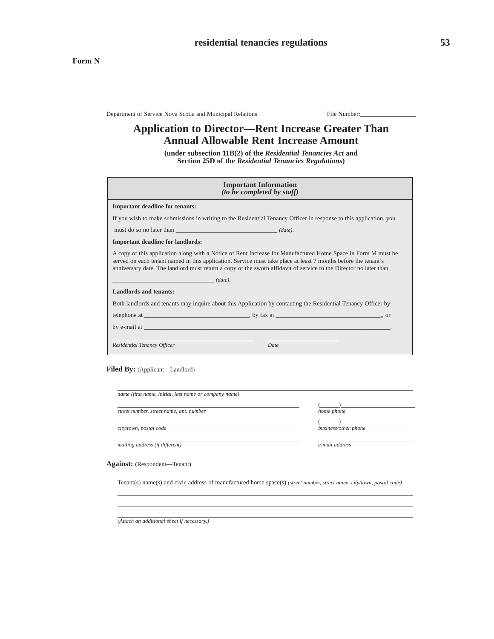Department of Service Nova Scotia and Municipal Relations

| File Number: |
|--------------|
|--------------|

# **Application to Director—Rent Increase Greater Than Annual Allowable Rent Increase Amount**

**(under subsection 11B(2) of the** *Residential Tenancies Act* **and Section 25D of the** *Residential Tenancies Regulations***)**

| <b>Important Information</b><br><i>(to be completed by staff)</i>                                                                                                                                                                                                                                                                                    |  |  |  |  |  |  |  |
|------------------------------------------------------------------------------------------------------------------------------------------------------------------------------------------------------------------------------------------------------------------------------------------------------------------------------------------------------|--|--|--|--|--|--|--|
| <b>Important deadline for tenants:</b>                                                                                                                                                                                                                                                                                                               |  |  |  |  |  |  |  |
| If you wish to make submissions in writing to the Residential Tenancy Officer in response to this application, you                                                                                                                                                                                                                                   |  |  |  |  |  |  |  |
|                                                                                                                                                                                                                                                                                                                                                      |  |  |  |  |  |  |  |
| <b>Important deadline for landlords:</b>                                                                                                                                                                                                                                                                                                             |  |  |  |  |  |  |  |
| A copy of this application along with a Notice of Rent Increase for Manufactured Home Space in Form M must be<br>served on each tenant named in this application. Service must take place at least 7 months before the tenant's<br>anniversary date. The landlord must return a copy of the sworn affidavit of service to the Director no later than |  |  |  |  |  |  |  |
| $\qquad \qquad (date).$                                                                                                                                                                                                                                                                                                                              |  |  |  |  |  |  |  |
| <b>Landlords and tenants:</b>                                                                                                                                                                                                                                                                                                                        |  |  |  |  |  |  |  |
| Both landlords and tenants may inquire about this Application by contacting the Residential Tenancy Officer by                                                                                                                                                                                                                                       |  |  |  |  |  |  |  |
|                                                                                                                                                                                                                                                                                                                                                      |  |  |  |  |  |  |  |
|                                                                                                                                                                                                                                                                                                                                                      |  |  |  |  |  |  |  |
| Residential Tenancy Officer<br>Date.                                                                                                                                                                                                                                                                                                                 |  |  |  |  |  |  |  |

**Filed By:** (Applicant—Landlord)

| name (first name, initial, last name or company name) |                      |
|-------------------------------------------------------|----------------------|
|                                                       |                      |
| street number, street name, apt. number               | home phone           |
|                                                       |                      |
| city/town, postal code                                | business/other phone |
|                                                       |                      |
| mailing address (if different)                        | e-mail address       |

#### **Against:** (Respondent—Tenant)

Tenant(s) name(s) and civic address of manufactured home space(s) *(street number, street name, city/town, postal code)*

\_\_\_\_\_\_\_\_\_\_\_\_\_\_\_\_\_\_\_\_\_\_\_\_\_\_\_\_\_\_\_\_\_\_\_\_\_\_\_\_\_\_\_\_\_\_\_\_\_\_\_\_\_\_\_\_\_\_\_\_\_\_\_\_\_\_\_\_\_\_\_\_\_\_\_\_\_\_\_\_\_\_\_\_\_\_\_\_\_\_\_\_\_\_\_\_ \_\_\_\_\_\_\_\_\_\_\_\_\_\_\_\_\_\_\_\_\_\_\_\_\_\_\_\_\_\_\_\_\_\_\_\_\_\_\_\_\_\_\_\_\_\_\_\_\_\_\_\_\_\_\_\_\_\_\_\_\_\_\_\_\_\_\_\_\_\_\_\_\_\_\_\_\_\_\_\_\_\_\_\_\_\_\_\_\_\_\_\_\_\_\_\_

\_\_\_\_\_\_\_\_\_\_\_\_\_\_\_\_\_\_\_\_\_\_\_\_\_\_\_\_\_\_\_\_\_\_\_\_\_\_\_\_\_\_\_\_\_\_\_\_\_\_\_\_\_\_\_\_\_\_\_\_\_\_\_\_\_\_\_\_\_\_\_\_\_\_\_\_\_\_\_\_\_\_\_\_\_\_\_\_\_\_\_\_\_\_\_\_ *(Attach an additional sheet if necessary.)*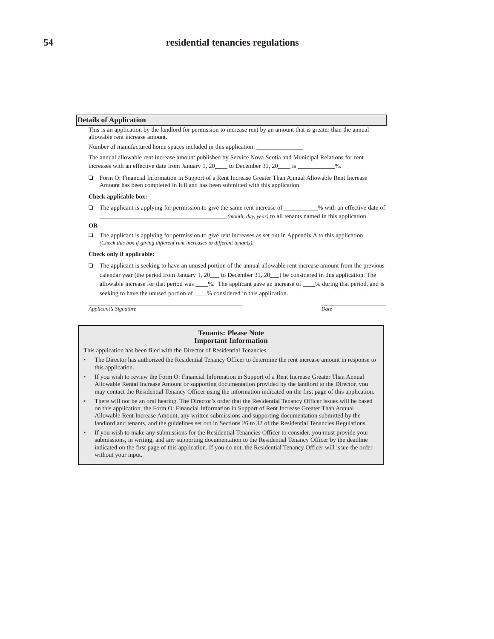#### **Details of Application**

This is an application by the landlord for permission to increase rent by an amount that is greater than the annual allowable rent increase amount.

Number of manufactured home spaces included in this application:

The annual allowable rent increase amount published by Service Nova Scotia and Municipal Relations for rent increases with an effective date from January 1, 20\_\_\_\_\_ to December 31, 20\_\_\_\_\_ is \_

❑ Form O: Financial Information in Support of a Rent Increase Greater Than Annual Allowable Rent Increase Amount has been completed in full and has been submitted with this application.

#### **Check applicable box:**

❑ The applicant is applying for permission to give the same rent increase of \_\_\_\_\_\_\_\_\_\_\_% with an effective date of \_\_\_\_\_\_\_\_\_\_\_\_\_\_\_\_\_\_\_\_\_\_\_\_\_\_\_\_\_\_\_\_\_\_\_\_\_\_\_\_\_ *(month, day, year)* to all tenants named in this application.

#### **OR**

❑ The applicant is applying for permission to give rent increases as set out in Appendix A to this application. *(Check this box if giving different rent increases to different tenants)*.

#### **Check only if applicable:**

❑ The applicant is seeking to have an unused portion of the annual allowable rent increase amount from the previous calendar year (the period from January 1, 20\_\_\_ to December 31, 20\_\_\_) be considered in this application. The allowable increase for that period was \_\_\_\_%. The applicant gave an increase of \_\_\_\_% during that period, and is seeking to have the unused portion of \_\_\_\_% considered in this application.

*Applicant's Signature Date*

\_\_\_\_\_\_\_\_\_\_\_\_\_\_\_\_\_\_\_\_\_\_\_\_\_\_\_\_\_\_\_\_\_\_\_\_\_\_\_\_\_\_\_\_\_\_\_\_\_\_ \_\_\_\_\_\_\_\_\_\_\_\_\_\_\_\_\_\_\_\_\_

#### **Tenants: Please Note Important Information**

This application has been filed with the Director of Residential Tenancies.

- The Director has authorized the Residential Tenancy Officer to determine the rent increase amount in response to this application.
- If you wish to review the Form O: Financial Information in Support of a Rent Increase Greater Than Annual Allowable Rental Increase Amount or supporting documentation provided by the landlord to the Director, you may contact the Residential Tenancy Officer using the information indicated on the first page of this application.
- There will not be an oral hearing. The Director's order that the Residential Tenancy Officer issues will be based on this application, the Form O: Financial Information in Support of Rent Increase Greater Than Annual Allowable Rent Increase Amount, any written submissions and supporting documentation submitted by the landlord and tenants, and the guidelines set out in Sections 26 to 32 of the Residential Tenancies Regulations.
- If you wish to make any submissions for the Residential Tenancies Officer to consider, you must provide your submissions, in writing, and any supporting documentation to the Residential Tenancy Officer by the deadline indicated on the first page of this application. If you do not, the Residential Tenancy Officer will issue the order without your input.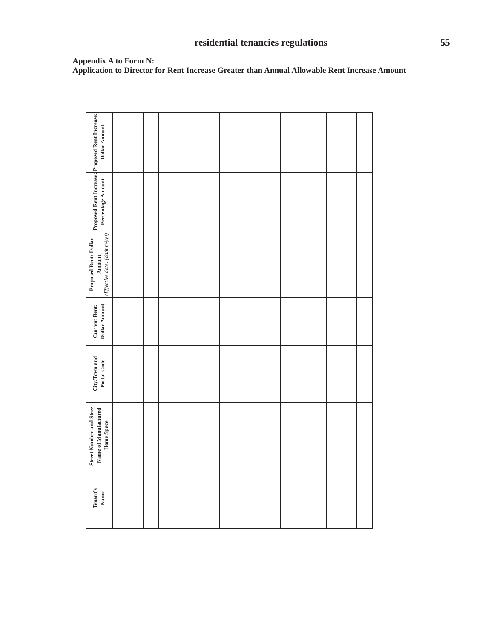| Proposed Rent Increase: Proposed Rent Increase:<br>Dollar Amount                                  |  |  |  |  |  |  |  |  |  |
|---------------------------------------------------------------------------------------------------|--|--|--|--|--|--|--|--|--|
| Percentage Amount                                                                                 |  |  |  |  |  |  |  |  |  |
| $(Ef$ ective date: $(dd{\textit{mm}}_\mathcal{Y\mathcal{Y}}))$<br>Proposed Rent: Dollar<br>Amount |  |  |  |  |  |  |  |  |  |
| Current Rent:<br>Dollar Amount                                                                    |  |  |  |  |  |  |  |  |  |
| $\mathrm{City/Down}$ and $\mathrm{Postal}$ Code                                                   |  |  |  |  |  |  |  |  |  |
| <b>Street Number and Street</b><br>Name of Manufactured<br>Home Space                             |  |  |  |  |  |  |  |  |  |
| Tenant's<br>Name                                                                                  |  |  |  |  |  |  |  |  |  |

**Appendix A to Form N: Application to Director for Rent Increase Greater than Annual Allowable Rent Increase Amount**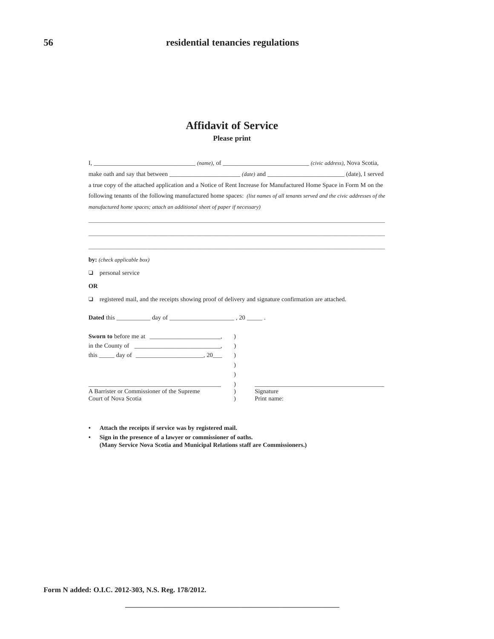# **Affidavit of Service Please print**

| a true copy of the attached application and a Notice of Rent Increase for Manufactured Home Space in Form M on the            |             |  |
|-------------------------------------------------------------------------------------------------------------------------------|-------------|--|
| following tenants of the following manufactured home spaces: (list names of all tenants served and the civic addresses of the |             |  |
| manufactured home spaces; attach an additional sheet of paper if necessary)                                                   |             |  |
|                                                                                                                               |             |  |
|                                                                                                                               |             |  |
|                                                                                                                               |             |  |
| $\mathbf{b}$ v: (check applicable box)                                                                                        |             |  |
| personal service<br>O.                                                                                                        |             |  |
| <b>OR</b>                                                                                                                     |             |  |
| registered mail, and the receipts showing proof of delivery and signature confirmation are attached.<br>⊔                     |             |  |
|                                                                                                                               |             |  |
|                                                                                                                               |             |  |
|                                                                                                                               |             |  |
|                                                                                                                               |             |  |
|                                                                                                                               |             |  |
|                                                                                                                               |             |  |
| A Barrister or Commissioner of the Supreme                                                                                    | Signature   |  |
| Court of Nova Scotia                                                                                                          | Print name: |  |

- **Attach the receipts if service was by registered mail.**
- **Sign in the presence of a lawyer or commissioner of oaths. (Many Service Nova Scotia and Municipal Relations staff are Commissioners.)**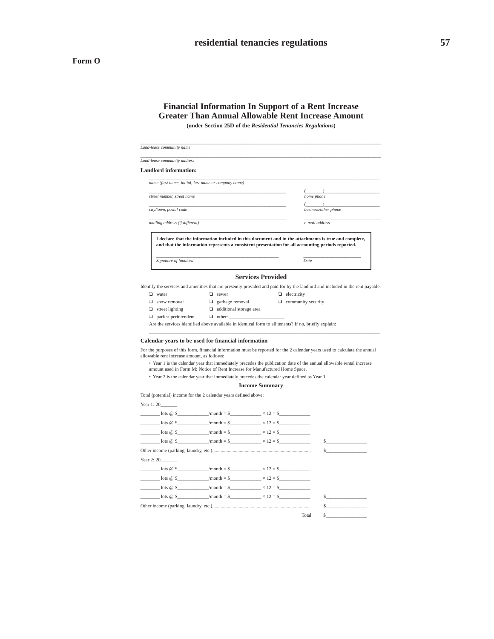# **Financial Information In Support of a Rent Increase Greater Than Annual Allowable Rent Increase Amount**

**(under Section 25D of the** *Residential Tenancies Regulations***)**

| Land-lease community address                                                                                                |                                                                                                               |
|-----------------------------------------------------------------------------------------------------------------------------|---------------------------------------------------------------------------------------------------------------|
| <b>Landlord information:</b>                                                                                                |                                                                                                               |
| name (first name, initial, last name or company name)                                                                       |                                                                                                               |
| street number, street name                                                                                                  | home phone                                                                                                    |
| city/town, postal code                                                                                                      | business/other phone                                                                                          |
| mailing address (if different)                                                                                              | e-mail address                                                                                                |
| and that the information represents a consistent presentation for all accounting periods reported.<br>Signature of landlord | I declare that the information included in this document and in the attachments is true and complete,<br>Date |
|                                                                                                                             |                                                                                                               |

Identify the services and amenities that are presently provided and paid for by the landlord and included in the rent payable.

| $\Box$ water        | $\Box$ sewer           | $\Box$ electricity        |
|---------------------|------------------------|---------------------------|
| $\Box$ snow removal | $\Box$ garbage removal | $\Box$ community security |

❑ street lighting ❑ additional storage area

❑ park superintendent ❑ other: \_\_\_\_\_\_\_\_\_\_\_\_\_\_\_\_\_\_\_\_\_\_\_

Are the services identified above available in identical form to all tenants? If no, briefly explain:

#### **Calendar years to be used for financial information**

For the purposes of this form, financial information must be reported for the 2 calendar years used to calculate the annual allowable rent increase amount, as follows:

• Year 1 is the calendar year that immediately precedes the publication date of the annual allowable rental increase amount used in Form M: Notice of Rent Increase for Manufactured Home Space.

\_\_\_\_\_\_\_\_\_\_\_\_\_\_\_\_\_\_\_\_\_\_\_\_\_\_\_\_\_\_\_\_\_\_\_\_\_\_\_\_\_\_\_\_\_\_\_\_\_\_\_\_\_\_\_\_\_\_\_\_\_\_\_\_\_\_\_\_\_\_\_\_\_\_\_\_\_\_\_\_\_\_\_\_\_\_\_\_\_\_\_\_\_\_\_\_

• Year 2 is the calendar year that immediately precedes the calendar year defined as Year 1.

#### **Income Summary**

Total (potential) income for the 2 calendar years defined above:

| Year 1: 20______ |                                                        |                                                                                                                                                                                                                                                                                                  |
|------------------|--------------------------------------------------------|--------------------------------------------------------------------------------------------------------------------------------------------------------------------------------------------------------------------------------------------------------------------------------------------------|
|                  | $\frac{\ }{\ }$ lots @ \$ /month = \$ $\times$ 12 = \$ |                                                                                                                                                                                                                                                                                                  |
|                  | $\frac{\ }{\ }$ lots @ \$ /month = \$ $\times$ 12 = \$ |                                                                                                                                                                                                                                                                                                  |
|                  | $\frac{\ }{\ }$ lots @ \$ /month = \$ $\times 12 =$ \$ |                                                                                                                                                                                                                                                                                                  |
|                  |                                                        | $\sim$                                                                                                                                                                                                                                                                                           |
|                  |                                                        | $\mathbb{S}$                                                                                                                                                                                                                                                                                     |
| Year 2: 20       |                                                        |                                                                                                                                                                                                                                                                                                  |
|                  | $\frac{\ }{\ }$ lots @ \$ /month = \$ $\times$ 12 = \$ |                                                                                                                                                                                                                                                                                                  |
|                  |                                                        |                                                                                                                                                                                                                                                                                                  |
|                  |                                                        |                                                                                                                                                                                                                                                                                                  |
|                  | lots $\circledcirc$ \$ /month = \$ $\times$ 12 = \$    | $\mathbb{S}$                                                                                                                                                                                                                                                                                     |
|                  |                                                        | $\mathbb{S}$ and $\mathbb{S}$ and $\mathbb{S}$ and $\mathbb{S}$ and $\mathbb{S}$ and $\mathbb{S}$ and $\mathbb{S}$ and $\mathbb{S}$ and $\mathbb{S}$ and $\mathbb{S}$ and $\mathbb{S}$ and $\mathbb{S}$ and $\mathbb{S}$ and $\mathbb{S}$ and $\mathbb{S}$ and $\mathbb{S}$ and $\mathbb{S}$ and |
|                  | Total                                                  | $\mathbf S$                                                                                                                                                                                                                                                                                      |
|                  |                                                        |                                                                                                                                                                                                                                                                                                  |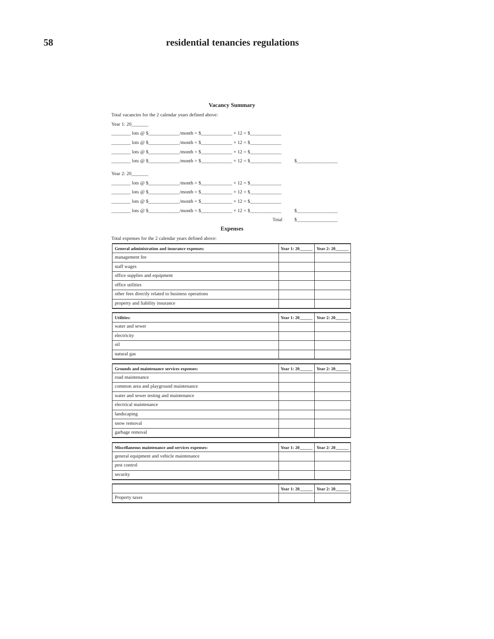## **Vacancy Summary**

|             | Total vacancies for the 2 calendar years defined above: |                                                                                                                                                                                                                                                                                                                                                                                                                                                                                                                                                                                                                                                             |                               |
|-------------|---------------------------------------------------------|-------------------------------------------------------------------------------------------------------------------------------------------------------------------------------------------------------------------------------------------------------------------------------------------------------------------------------------------------------------------------------------------------------------------------------------------------------------------------------------------------------------------------------------------------------------------------------------------------------------------------------------------------------------|-------------------------------|
| Year $1:20$ |                                                         |                                                                                                                                                                                                                                                                                                                                                                                                                                                                                                                                                                                                                                                             |                               |
|             |                                                         | $\frac{\ }{\ }$ lots @ \$ /month = \$ $\times$ 12 = \$                                                                                                                                                                                                                                                                                                                                                                                                                                                                                                                                                                                                      |                               |
|             |                                                         | $\frac{1}{2}$ lots $\circledcirc$ \$ /month = \$ x 12 = \$                                                                                                                                                                                                                                                                                                                                                                                                                                                                                                                                                                                                  |                               |
|             |                                                         | $\text{dots} \; \textcircled{\textdegree} \; \textcircled{\textdegree} \; \textcircled{\textdegree} \; \textcircled{\textdegree} \; \textcircled{\textdegree} \; \textcircled{\textdegree} \; \textcircled{\textdegree} \; \textcircled{\textdegree} \; \textcircled{\textdegree} \; \textcircled{\textdegree} \; \textcircled{\textdegree} \; \textcircled{\textdegree} \; \textcircled{\textdegree} \; \textcircled{\textdegree} \; \textcircled{\textdegree} \; \textcircled{\textdegree} \; \textcircled{\textdegree} \; \textcircled{\textdegree} \; \textcircled{\textdegree} \; \textcircled{\textdegree} \; \textcircled{\textdegree} \; \textcirc$ |                               |
|             |                                                         | $\frac{\text{dots}}{\text{dots}}$ lots $\textcircled{S}$ $\text{amount} = \textcircled{S}$ $\times 12 = \textcircled{S}$                                                                                                                                                                                                                                                                                                                                                                                                                                                                                                                                    | s                             |
| Year $2:20$ |                                                         |                                                                                                                                                                                                                                                                                                                                                                                                                                                                                                                                                                                                                                                             |                               |
|             |                                                         | lots $\circledcirc$ \$ /month = \$ $\times$ 12 = \$                                                                                                                                                                                                                                                                                                                                                                                                                                                                                                                                                                                                         |                               |
|             |                                                         | $\text{dots } \textcircled{s}$ /month = \\ \epsilon \times \times \times \times \times \times \times \times \times \times \times \times \times \times \times \times \times \times \times \times \times \times \times \times \times \times \ti                                                                                                                                                                                                                                                                                                                                                                                                               |                               |
|             |                                                         | lots $\circledcirc$ \$ /month = \$ $\times$ 12 = \$                                                                                                                                                                                                                                                                                                                                                                                                                                                                                                                                                                                                         |                               |
|             |                                                         | $\text{dots } \textcircled{s}$ /month = \\ \epsilon \times \times \times \times \times \times \times \times \times \times \times \times \times \times \times \times \times \times \times \times \times \times \times \times \times \times \ti                                                                                                                                                                                                                                                                                                                                                                                                               | $\mathbb{S}$ and $\mathbb{S}$ |
|             |                                                         | Total                                                                                                                                                                                                                                                                                                                                                                                                                                                                                                                                                                                                                                                       | $\mathbb{S}$ and $\mathbb{S}$ |

#### **Expenses**

| Total expenses for the 2 calendar years defined above: |                   |            |
|--------------------------------------------------------|-------------------|------------|
| General administration and insurance expenses:         | <b>Year 1: 20</b> | Year 2: 20 |
| management fee                                         |                   |            |
| staff wages                                            |                   |            |
| office supplies and equipment                          |                   |            |
| office utilities                                       |                   |            |
| other fees directly related to business operations     |                   |            |
| property and liability insurance                       |                   |            |
| <b>Utilities:</b>                                      | <b>Year 1: 20</b> | Year 2: 20 |
| water and sewer                                        |                   |            |
| electricity                                            |                   |            |
| oil                                                    |                   |            |
| natural gas                                            |                   |            |
|                                                        |                   |            |
| Grounds and maintenance services expenses:             | <b>Year 1: 20</b> | Year 2: 20 |
| road maintenance                                       |                   |            |
| common area and playground maintenance                 |                   |            |
| water and sewer testing and maintenance                |                   |            |
| electrical maintenance                                 |                   |            |
| landscaping                                            |                   |            |
| snow removal                                           |                   |            |
| garbage removal                                        |                   |            |
| Miscellaneous maintenance and services expenses:       | <b>Year 1: 20</b> | Year 2: 20 |
| general equipment and vehicle maintenance              |                   |            |
| pest control                                           |                   |            |
|                                                        |                   |            |
| security                                               |                   |            |
|                                                        | <b>Year 1: 20</b> | Year 2: 20 |
| Property taxes                                         |                   |            |
|                                                        |                   |            |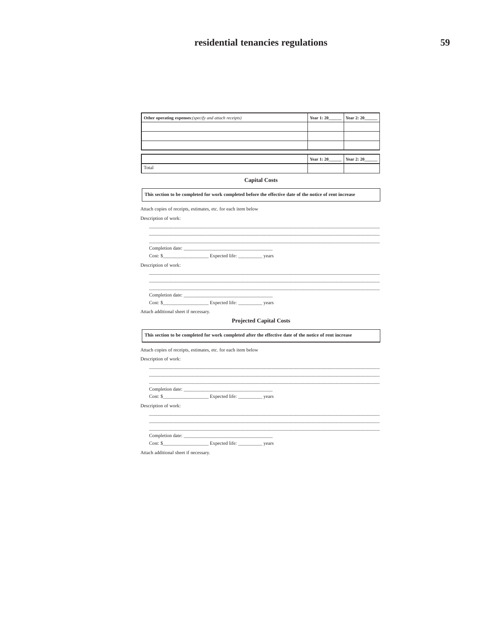# **residential tenancies regulations 59**

| Other operating expenses: (specify and attach receipts)                                                  | <b>Year 1: 20</b> | Year 2: 20        |
|----------------------------------------------------------------------------------------------------------|-------------------|-------------------|
|                                                                                                          |                   |                   |
|                                                                                                          |                   |                   |
|                                                                                                          |                   |                   |
|                                                                                                          |                   |                   |
|                                                                                                          | <b>Year 1: 20</b> | <b>Year 2: 20</b> |
| Total                                                                                                    |                   |                   |
| <b>Capital Costs</b>                                                                                     |                   |                   |
| This section to be completed for work completed before the effective date of the notice of rent increase |                   |                   |
| Attach copies of receipts, estimates, etc. for each item below                                           |                   |                   |
| Description of work:                                                                                     |                   |                   |
|                                                                                                          |                   |                   |
|                                                                                                          |                   |                   |
|                                                                                                          |                   |                   |
| Completion date:<br>Cost: \$____________________________ Expected life: ______________ years             |                   |                   |
|                                                                                                          |                   |                   |
| Description of work:                                                                                     |                   |                   |
|                                                                                                          |                   |                   |
|                                                                                                          |                   |                   |
|                                                                                                          |                   |                   |
| Cost: \$___________________________ Expected life: _____________ years                                   |                   |                   |
| Attach additional sheet if necessary.                                                                    |                   |                   |
|                                                                                                          |                   |                   |
| <b>Projected Capital Costs</b>                                                                           |                   |                   |
| This section to be completed for work completed after the effective date of the notice of rent increase  |                   |                   |
|                                                                                                          |                   |                   |
| Attach copies of receipts, estimates, etc. for each item below                                           |                   |                   |
| Description of work:                                                                                     |                   |                   |
|                                                                                                          |                   |                   |
|                                                                                                          |                   |                   |
|                                                                                                          |                   |                   |
|                                                                                                          |                   |                   |
|                                                                                                          |                   |                   |
| Description of work:                                                                                     |                   |                   |
|                                                                                                          |                   |                   |
|                                                                                                          |                   |                   |
| Completion date:                                                                                         |                   |                   |
|                                                                                                          |                   |                   |
| Cost: \$____________________________ Expected life: ______________ years                                 |                   |                   |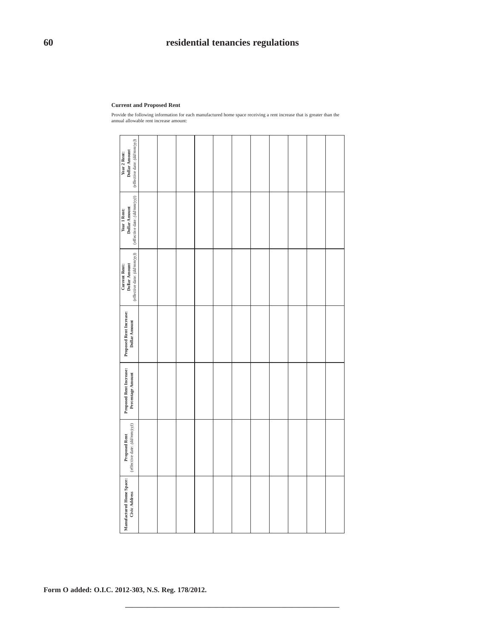#### **Current and Proposed Rent**

Provide the following information for each manufactured home space receiving a rent increase that is greater than the annual allowable rent increase amount:

| (effective date: $(ddmm(yy))$<br>Year 2 Rent:<br>Dollar Amount         |  |  |  |  |  |  |
|------------------------------------------------------------------------|--|--|--|--|--|--|
| (effective date: $(dd\,{\it mm(yy)})$<br>Year 1 Rent:<br>Dollar Amount |  |  |  |  |  |  |
| (effective date: (dd/nm/yy))<br>Current Rent:<br>Dollar Amount         |  |  |  |  |  |  |
| Proposed Rent Increase:<br>Dollar Amount                               |  |  |  |  |  |  |
| Proposed Rent Increase:<br>Percentage Amount                           |  |  |  |  |  |  |
| (effective date: $(dd{\,mm}{\,}$ yy))<br><b>Proposed Rent</b>          |  |  |  |  |  |  |
| Manufactured Home Space:<br>Civic Address                              |  |  |  |  |  |  |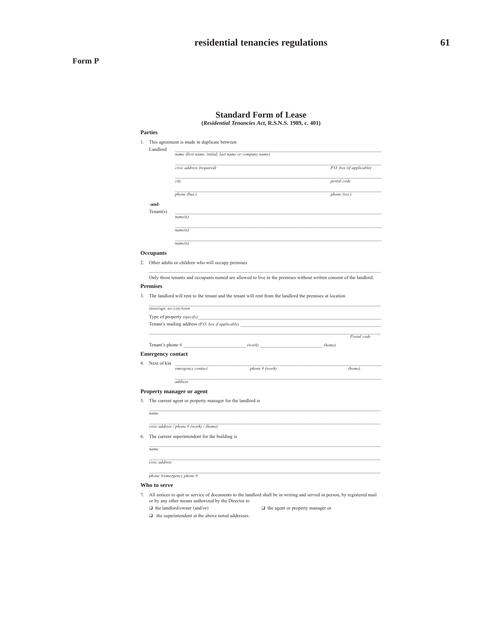# **Standard Form of Lease**

**(***Residential Tenancies Act***, R.S.N.S. 1989, c. 401)**

|    | <b>Parties</b>                                 |                                                           |                                                                                                                          |                          |  |  |
|----|------------------------------------------------|-----------------------------------------------------------|--------------------------------------------------------------------------------------------------------------------------|--------------------------|--|--|
| 1. |                                                | This agreement is made in duplicate between               |                                                                                                                          |                          |  |  |
|    | Landlord                                       |                                                           |                                                                                                                          |                          |  |  |
|    |                                                | name (first name, initial, last name or company name)     |                                                                                                                          |                          |  |  |
|    |                                                | civic address (required)                                  |                                                                                                                          | P.O. box (if applicable) |  |  |
|    |                                                | city                                                      |                                                                                                                          | postal code              |  |  |
|    |                                                | phone (bus.)                                              |                                                                                                                          | phone (res.)             |  |  |
|    | -and-                                          |                                                           |                                                                                                                          |                          |  |  |
|    | Tenant(s)                                      |                                                           |                                                                                                                          |                          |  |  |
|    |                                                | name(s)                                                   |                                                                                                                          |                          |  |  |
|    |                                                | name(s)                                                   |                                                                                                                          |                          |  |  |
|    |                                                | name(s)                                                   |                                                                                                                          |                          |  |  |
|    |                                                |                                                           |                                                                                                                          |                          |  |  |
|    | <b>Occupants</b>                               |                                                           |                                                                                                                          |                          |  |  |
| 2. |                                                | Other adults or children who will occupy premises         |                                                                                                                          |                          |  |  |
|    |                                                |                                                           | Only those tenants and occupants named are allowed to live in the premises without written consent of the landlord.      |                          |  |  |
|    | <b>Premises</b>                                |                                                           |                                                                                                                          |                          |  |  |
|    |                                                |                                                           |                                                                                                                          |                          |  |  |
| 3. |                                                |                                                           | The landlord will rent to the tenant and the tenant will rent from the landlord the premises at location                 |                          |  |  |
|    | street/apt. no./city/town                      |                                                           |                                                                                                                          |                          |  |  |
|    |                                                | Type of property (specify)                                |                                                                                                                          |                          |  |  |
|    |                                                | Tenant's mailing address (P.O. box if applicable)         |                                                                                                                          |                          |  |  |
|    |                                                |                                                           |                                                                                                                          | Postal code              |  |  |
|    |                                                | Tenant's phone # (work)                                   |                                                                                                                          | (home)                   |  |  |
|    | <b>Emergency contact</b>                       |                                                           |                                                                                                                          |                          |  |  |
|    |                                                |                                                           |                                                                                                                          |                          |  |  |
| 4. | Next of kin                                    | emergency contact                                         | $phone$ # (work)                                                                                                         | (home)                   |  |  |
|    |                                                |                                                           |                                                                                                                          |                          |  |  |
|    |                                                | address                                                   |                                                                                                                          |                          |  |  |
|    |                                                | Property manager or agent                                 |                                                                                                                          |                          |  |  |
| 5. |                                                | The current agent or property manager for the landlord is |                                                                                                                          |                          |  |  |
|    | name                                           |                                                           |                                                                                                                          |                          |  |  |
|    |                                                |                                                           |                                                                                                                          |                          |  |  |
|    |                                                | civic address / phone # (work) / (home)                   |                                                                                                                          |                          |  |  |
| 6. | The current superintendent for the building is |                                                           |                                                                                                                          |                          |  |  |
|    | name                                           |                                                           |                                                                                                                          |                          |  |  |
|    |                                                |                                                           |                                                                                                                          |                          |  |  |
|    | civic address                                  |                                                           |                                                                                                                          |                          |  |  |
|    |                                                | phone #/emergency phone #                                 |                                                                                                                          |                          |  |  |
|    | Who to serve                                   |                                                           |                                                                                                                          |                          |  |  |
| 7. |                                                |                                                           | All notices to quit or service of documents to the landlord shall be in writing and served in person, by registered mail |                          |  |  |
|    |                                                | or by any other means authorized by the Director to       |                                                                                                                          |                          |  |  |
|    |                                                | $\Box$ the landlord/owner (and/or)                        | $\Box$ the agent or property manager or                                                                                  |                          |  |  |

 $\hfill\Box\;\;$  the superintendent at the above noted addresses.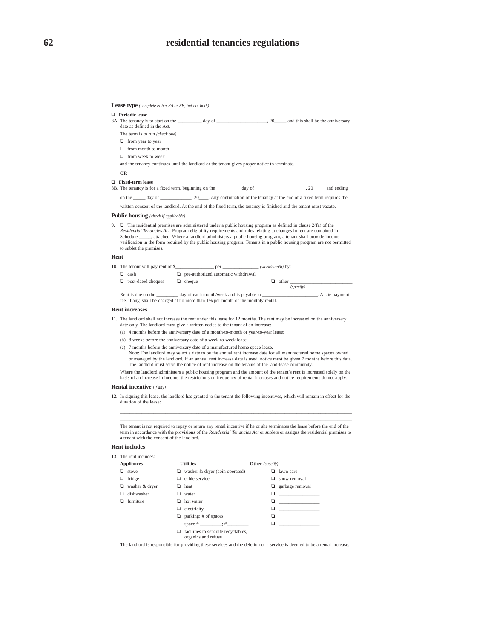# **62 residential tenancies regulations**

**Lease type** *(complete either 8A or 8B, but not both)*

- ❑ **Periodic lease** date as defined in the Act.
	- The term is to run *(check one)*
	- ❑ from year to year
	- ❑ from month to month
	- ❑ from week to week
	- and the tenancy continues until the landlord or the tenant gives proper notice to terminate.
	- **OR**

#### ❑ **Fixed-term lease**

8B. The tenancy is for a fixed term, beginning on the \_\_\_\_\_\_\_\_ day of \_\_\_\_\_\_\_\_\_\_\_\_\_\_\_\_, 20\_\_\_\_\_ and ending

day of \_\_\_\_\_\_\_\_\_\_\_\_\_\_\_\_\_, 20\_\_\_\_\_ and this shall be the anniversary

*(specify)*

on the \_\_\_\_\_ day of \_\_\_\_\_\_\_\_\_\_\_\_\_, 20\_\_\_\_. Any continuation of the tenancy at the end of a fixed term requires the

written consent of the landlord. At the end of the fixed term, the tenancy is finished and the tenant must vacate.

**Public housing** *(check if applicable)*

9. ❑ The residential premises are administered under a public housing program as defined in clause 2(fa) of the *Residential Tenancies Act*. Program eligibility requirements and rules relating to changes in rent are contained in statached. Where a landlord administers a public housing program, a tenant shall provide income verification in the form required by the public housing program. Tenants in a public housing program are not permitted to sublet the premises.

#### **Rent**

10. The tenant will pay rent of \$\_\_\_\_\_\_\_\_\_\_\_\_\_\_\_\_ per \_\_\_\_\_\_\_\_\_\_\_\_\_\_\_ *(week/month)* by:

 $\hfill\Box$ cash $\hfill\Box$ <br/> $\hfill\Box$ pre-authorized automatic withdrawal

 $\Box$  post-dated cheques  $\Box$  cheque  $\Box$  other

Rent is due on the \_\_\_\_\_\_\_\_\_ day of each month/week and is payable to \_\_\_\_\_\_\_\_\_\_\_\_\_\_\_\_\_\_\_. A late payment fee, if any, shall be charged at no more than 1% per month of the monthly rental.

#### **Rent increases**

- 11. The landlord shall not increase the rent under this lease for 12 months. The rent may be increased on the anniversary date only. The landlord must give a written notice to the tenant of an increase:
	- (a) 4 months before the anniversary date of a month-to-month or year-to-year lease;
	- (b) 8 weeks before the anniversary date of a week-to-week lease;
	- (c) 7 months before the anniversary date of a manufactured home space lease.
		- Note: The landlord may select a date to be the annual rent increase date for all manufactured home spaces owned or managed by the landlord. If an annual rent increase date is used, notice must be given 7 months before this date. The landlord must serve the notice of rent increase on the tenants of the land-lease community.

Where the landlord administers a public housing program and the amount of the tenant's rent is increased solely on the basis of an increase in income, the restrictions on frequency of rental increases and notice requirements do not apply.

#### **Rental incentive** *(if any)*

12. In signing this lease, the landlord has granted to the tenant the following incentives, which will remain in effect for the duration of the lease: \_\_\_\_\_\_\_\_\_\_\_\_\_\_\_\_\_\_\_\_\_\_\_\_\_\_\_\_\_\_\_\_\_\_\_\_\_\_\_\_\_\_\_\_\_\_\_\_\_\_\_\_\_\_\_\_\_\_\_\_\_\_\_\_\_\_\_\_\_\_\_\_\_\_\_\_\_\_\_\_\_\_\_\_\_\_\_\_\_\_\_\_\_\_\_\_\_

\_\_\_\_\_\_\_\_\_\_\_\_\_\_\_\_\_\_\_\_\_\_\_\_\_\_\_\_\_\_\_\_\_\_\_\_\_\_\_\_\_\_\_\_\_\_\_\_\_\_\_\_\_\_\_\_\_\_\_\_\_\_\_\_\_\_\_\_\_\_\_\_\_\_\_\_\_\_\_\_\_\_\_\_\_\_\_\_\_\_\_\_\_\_\_\_\_ The tenant is not required to repay or return any rental incentive if he or she terminates the lease before the end of the term in accordance with the provisions of the *Residential Tenancies Act* or sublets or assigns the residential premises to a tenant with the consent of the landlord.

#### **Rent includes**

|                   | 13. The rent includes: |                                                            |                 |                        |
|-------------------|------------------------|------------------------------------------------------------|-----------------|------------------------|
| <b>Appliances</b> |                        | <b>Utilities</b>                                           | Other (specify) |                        |
| . .               | stove                  | $\Box$ washer & dryer (coin operated)                      | . .             | lawn care              |
|                   | $\Box$ fridge          | $\Box$ cable service                                       |                 | $\Box$ snow removal    |
|                   | $\Box$ washer & dryer  | $\Box$ heat                                                |                 | $\Box$ garbage removal |
|                   | dishwasher             | $\Box$ water                                               | ப               |                        |
|                   | furniture              | $\Box$ hot water                                           |                 |                        |
|                   |                        | $\Box$ electricity                                         | ▫               |                        |
|                   |                        |                                                            | □               |                        |
|                   |                        | space $#$ $;#$                                             |                 |                        |
|                   |                        | facilities to separate recyclables,<br>organics and refuse |                 |                        |

The landlord is responsible for providing these services and the deletion of a service is deemed to be a rental increase.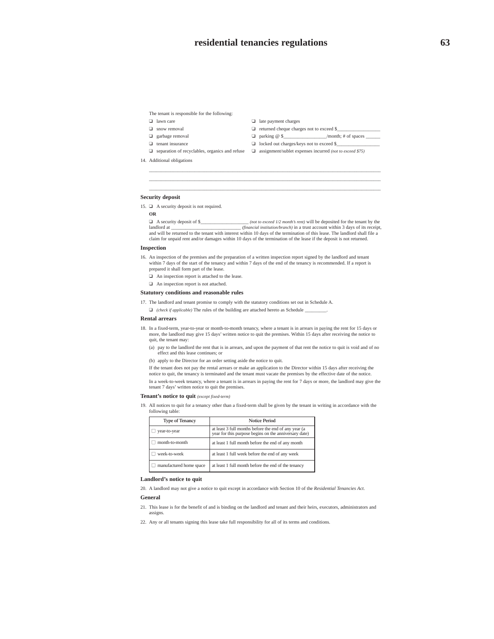```
The tenant is responsible for the following:
```
- 
- 
- 
- 
- ❑ lawn care ❑ late payment charges
- $\Box$  snow removal  $\Box$  returned cheque charges not to exceed \$\_
- ❑ garbage removal ❑ parking @ \$\_\_\_\_\_\_\_\_\_\_\_\_\_\_\_\_\_\_/month; # of spaces \_\_\_\_\_\_
- ❑ tenant insurance ❑ locked out charges/keys not to exceed \$\_\_\_\_\_\_\_\_\_\_\_\_\_\_\_\_\_\_
	-
- 14. Additional obligations
- 
- 
- ❑ separation of recyclables, organics and refuse ❑ assignment/sublet expenses incurred *(not to exceed \$75)*
- 

#### **Security deposit**

- 15. ❑ A security deposit is not required.
	- **OR**

❑ A security deposit of \$\_\_\_\_\_\_\_\_\_\_\_\_\_\_\_\_\_\_\_\_ *(not to exceed 1/2 month's rent)* will be deposited for the tenant by the *land institution/branch)* in a trust account within 3 days of its receipt, and will be returned to the tenant with interest within 10 days of the termination of this lease. The landlord shall file a claim for unpaid rent and/or damages within 10 days of the termination of the lease if the deposit is not returned.

 $\_$  ,  $\_$  ,  $\_$  ,  $\_$  ,  $\_$  ,  $\_$  ,  $\_$  ,  $\_$  ,  $\_$  ,  $\_$  ,  $\_$  ,  $\_$  ,  $\_$  ,  $\_$  ,  $\_$  ,  $\_$  ,  $\_$  ,  $\_$  ,  $\_$  ,  $\_$  ,  $\_$  ,  $\_$  ,  $\_$  ,  $\_$  ,  $\_$  ,  $\_$  ,  $\_$  ,  $\_$  ,  $\_$  ,  $\_$  ,  $\_$  ,  $\_$  ,  $\_$  ,  $\_$  ,  $\_$  ,  $\_$  ,  $\_$  , \_\_\_\_\_\_\_\_\_\_\_\_\_\_\_\_\_\_\_\_\_\_\_\_\_\_\_\_\_\_\_\_\_\_\_\_\_\_\_\_\_\_\_\_\_\_\_\_\_\_\_\_\_\_\_\_\_\_\_\_\_\_\_\_\_\_\_\_\_\_\_\_\_\_\_\_\_\_\_\_\_\_\_\_\_\_\_\_\_\_\_\_\_\_\_\_\_  $\_$  ,  $\_$  ,  $\_$  ,  $\_$  ,  $\_$  ,  $\_$  ,  $\_$  ,  $\_$  ,  $\_$  ,  $\_$  ,  $\_$  ,  $\_$  ,  $\_$  ,  $\_$  ,  $\_$  ,  $\_$  ,  $\_$  ,  $\_$  ,  $\_$  ,  $\_$  ,  $\_$  ,  $\_$  ,  $\_$  ,  $\_$  ,  $\_$  ,  $\_$  ,  $\_$  ,  $\_$  ,  $\_$  ,  $\_$  ,  $\_$  ,  $\_$  ,  $\_$  ,  $\_$  ,  $\_$  ,  $\_$  ,  $\_$  ,

#### **Inspection**

- 16. An inspection of the premises and the preparation of a written inspection report signed by the landlord and tenant within 7 days of the start of the tenancy and within 7 days of the end of the tenancy is recommended. If a report is prepared it shall form part of the lease.
	- ❑ An inspection report is attached to the lease.
	- ❑ An inspection report is not attached.

#### **Statutory conditions and reasonable rules**

- 17. The landlord and tenant promise to comply with the statutory conditions set out in Schedule A.
	- □ *(check if applicable)* The rules of the building are attached hereto as Schedule  $□$

#### **Rental arrears**

- 18. In a fixed-term, year-to-year or month-to-month tenancy, where a tenant is in arrears in paying the rent for 15 days or more, the landlord may give 15 days' written notice to quit the premises. Within 15 days after receiving the notice to quit, the tenant may:
	- (a) pay to the landlord the rent that is in arrears, and upon the payment of that rent the notice to quit is void and of no effect and this lease continues; or
	- (b) apply to the Director for an order setting aside the notice to quit.

If the tenant does not pay the rental arrears or make an application to the Director within 15 days after receiving the notice to quit, the tenancy is terminated and the tenant must vacate the premises by the effective date of the notice. In a week-to-week tenancy, where a tenant is in arrears in paying the rent for 7 days or more, the landlord may give the tenant 7 days' written notice to quit the premises.

#### **Tenant's notice to quit** *(except fixed-term)*

19. All notices to quit for a tenancy other than a fixed-term shall be given by the tenant in writing in accordance with the following table:

| <b>Type of Tenancy</b>  | <b>Notice Period</b>                                                                                       |  |  |
|-------------------------|------------------------------------------------------------------------------------------------------------|--|--|
| year-to-year            | at least 3 full months before the end of any year (a year for this purpose begins on the anniversary date) |  |  |
| month-to-month          | at least 1 full month before the end of any month                                                          |  |  |
| week-to-week            | at least 1 full week before the end of any week                                                            |  |  |
| manufactured home space | at least 1 full month before the end of the tenancy                                                        |  |  |

#### **Landlord's notice to quit**

20. A landlord may not give a notice to quit except in accordance with Section 10 of the *Residential Tenancies Act*.

#### **General**

- 21. This lease is for the benefit of and is binding on the landlord and tenant and their heirs, executors, administrators and assigns.
- 22. Any or all tenants signing this lease take full responsibility for all of its terms and conditions.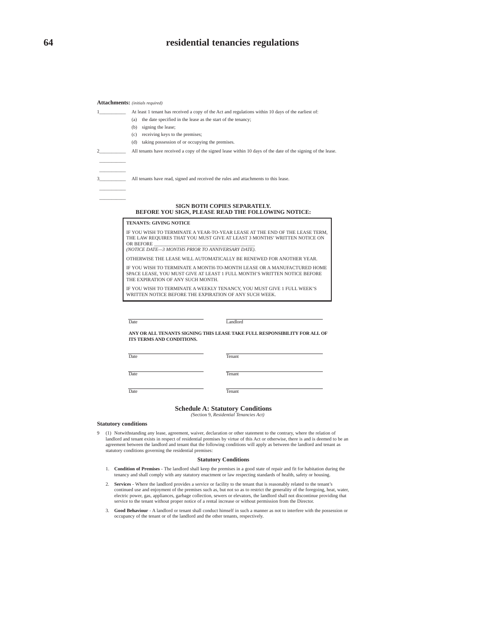(b) signing the lease; (c) receiving keys to the premises; (d) taking possession of or occupying the premises. 2\_\_\_\_\_\_\_\_\_\_\_ All tenants have received a copy of the signed lease within 10 days of the date of the signing of the lease.  $\overline{\phantom{a}}$ 2\_\_\_\_\_\_\_\_\_\_\_ 3\_\_\_\_\_\_\_\_\_\_\_ All tenants have read, signed and received the rules and attachments to this lease.  $\overline{\phantom{a}}$ **SIGN BOTH COPIES SEPARATELY. BEFORE YOU SIGN, PLEASE READ THE FOLLOWING NOTICE: TENANTS: GIVING NOTICE** IF YOU WISH TO TERMINATE A YEAR-TO-YEAR LEASE AT THE END OF THE LEASE TERM, THE LAW REQUIRES THAT YOU MUST GIVE AT LEAST 3 MONTHS' WRITTEN NOTICE ON OR BEFORE OR BEFORE \_\_\_\_\_\_\_\_\_\_\_\_\_\_\_\_\_\_\_\_\_\_\_\_\_\_\_\_\_\_\_\_\_\_\_\_\_\_\_\_\_\_ *(NOTICE DATE—3 MONTHS PRIOR TO ANNIVERSARY DATE)*. OTHERWISE THE LEASE WILL AUTOMATICALLY BE RENEWED FOR ANOTHER YEAR. IF YOU WISH TO TERMINATE A MONTH-TO-MONTH LEASE OR A MANUFACTURED HOME SPACE LEASE, YOU MUST GIVE AT LEAST 1 FULL MONTH'S WRITTEN NOTICE BEFORE THE EXPIRATION OF ANY SUCH MONTH. IF YOU WISH TO TERMINATE A WEEKLY TENANCY, YOU MUST GIVE 1 FULL WEEK'S WRITTEN NOTICE BEFORE THE EXPIRATION OF ANY SUCH WEEK. Date Landlord **ANY OR ALL TENANTS SIGNING THIS LEASE TAKE FULL RESPONSIBILITY FOR ALL OF ITS TERMS AND CONDITIONS.** 

1\_\_\_\_\_\_\_\_\_\_\_ At least 1 tenant has received a copy of the Act and regulations within 10 days of the earliest of:

(a) the date specified in the lease as the start of the tenancy;

| Date | Tenant |
|------|--------|
| Date | Tenant |
|      |        |

Date Tenant

**Schedule A: Statutory Conditions**

*(*Section 9*, Residential Tenancies Act)*

#### **Statutory conditions**

9 (1) Notwithstanding any lease, agreement, waiver, declaration or other statement to the contrary, where the relation of<br>landlord and tenant exists in respect of residential premises by virtue of this Act or otherwise, th agreement between the landlord and tenant that the following conditions will apply as between the landlord and tenant as statutory conditions governing the residential premises:

#### **Statutory Conditions**

- 1. **Condition of Premises** The landlord shall keep the premises in a good state of repair and fit for habitation during the tenancy and shall comply with any statutory enactment or law respecting standards of health, safety or housing.
- 2. **Services** Where the landlord provides a service or facility to the tenant that is reasonably related to the tenant's continued use and enjoyment of the premises such as, but not so as to restrict the generality of the foregoing, heat, water, electric power, gas, appliances, garbage collection, sewers or elevators, the landlord shall not discontinue providing that service to the tenant without proper notice of a rental increase or without permission from the Director.
- 3. **Good Behaviour** A landlord or tenant shall conduct himself in such a manner as not to interfere with the possession or occupancy of the tenant or of the landlord and the other tenants, respectively.

**Attachments:** *(initials required)*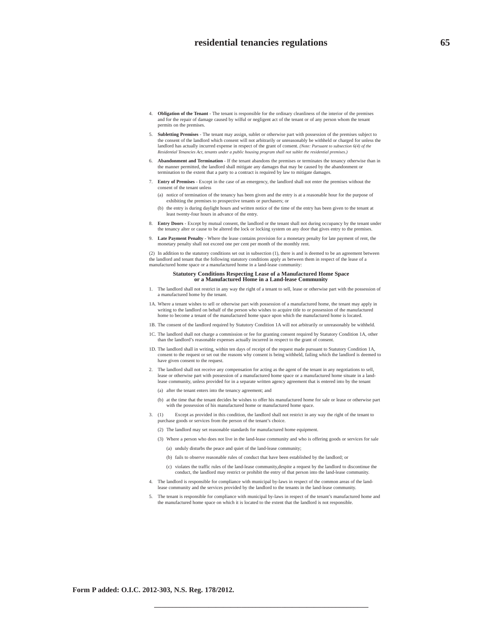- 4. **Obligation of the Tenant** The tenant is responsible for the ordinary cleanliness of the interior of the premises and for the repair of damage caused by wilful or negligent act of the tenant or of any person whom the tenant permits on the premises.
- 5. **Subletting Premises**  The tenant may assign, sublet or otherwise part with possession of the premises subject to the consent of the landlord which consent will not arbitrarily or unreasonably be withheld or charged for unless the landlord has actually incurred expense in respect of the grant of consent. *(Note: Pursuant to subsection 6(4) of the Residential Tenancies Act, tenants under a public housing program shall not sublet the residential premises.)*
- 6. **Abandonment and Termination** If the tenant abandons the premises or terminates the tenancy otherwise than in the manner permitted, the landlord shall mitigate any damages that may be caused by the abandonment or termination to the extent that a party to a contract is required by law to mitigate damages.
- 7. **Entry of Premises** Except in the case of an emergency, the landlord shall not enter the premises without the consent of the tenant unless
	- (a) notice of termination of the tenancy has been given and the entry is at a reasonable hour for the purpose of exhibiting the premises to prospective tenants or purchasers; or
	- (b) the entry is during daylight hours and written notice of the time of the entry has been given to the tenant at least twenty-four hours in advance of the entry.
- 8. **Entry Doors** Except by mutual consent, the landlord or the tenant shall not during occupancy by the tenant under the tenancy alter or cause to be altered the lock or locking system on any door that gives entry to the premises.
- 9. **Late Payment Penalty** Where the lease contains provision for a monetary penalty for late payment of rent, the monetary penalty shall not exceed one per cent per month of the monthly rent.

(2) In addition to the statutory conditions set out in subsection (1), there is and is deemed to be an agreement between the landlord and tenant that the following statutory conditions apply as between them in respect of the lease of a manufactured home space or a manufactured home in a land-lease community:

# **Statutory Conditions Respecting Lease of a Manufactured Home Space or a Manufactured Home in a Land-lease Community**

- 1. The landlord shall not restrict in any way the right of a tenant to sell, lease or otherwise part with the possession of a manufactured home by the tenant.
- 1A. Where a tenant wishes to sell or otherwise part with possession of a manufactured home, the tenant may apply in writing to the landlord on behalf of the person who wishes to acquire title to or possession of the manufactured home to become a tenant of the manufactured home space upon which the manufactured home is located.
- 1B. The consent of the landlord required by Statutory Condition 1A will not arbitrarily or unreasonably be withheld.
- 1C. The landlord shall not charge a commission or fee for granting consent required by Statutory Condition 1A, other than the landlord's reasonable expenses actually incurred in respect to the grant of consent.
- 1D. The landlord shall in writing, within ten days of receipt of the request made pursuant to Statutory Condition 1A, consent to the request or set out the reasons why consent is being withheld, failing which the landlord is deemed to have given consent to the request.
- 2. The landlord shall not receive any compensation for acting as the agent of the tenant in any negotiations to sell, lease or otherwise part with possession of a manufactured home space or a manufactured home situate in a landlease community, unless provided for in a separate written agency agreement that is entered into by the tenant
	- (a) after the tenant enters into the tenancy agreement; and
	- (b) at the time that the tenant decides he wishes to offer his manufactured home for sale or lease or otherwise part with the possession of his manufactured home or manufactured home space.
- 3. (1) Except as provided in this condition, the landlord shall not restrict in any way the right of the tenant to purchase goods or services from the person of the tenant's choice.
	- (2) The landlord may set reasonable standards for manufactured home equipment.
	- (3) Where a person who does not live in the land-lease community and who is offering goods or services for sale (a) unduly disturbs the peace and quiet of the land-lease community;
		- (b) fails to observe reasonable rules of conduct that have been established by the landlord; or
		- (c) violates the traffic rules of the land-lease community,despite a request by the landlord to discontinue the conduct, the landlord may restrict or prohibit the entry of that person into the land-lease community.
- 4. The landlord is responsible for compliance with municipal by-laws in respect of the common areas of the landlease community and the services provided by the landlord to the tenants in the land-lease community.

**\_\_\_\_\_\_\_\_\_\_\_\_\_\_\_\_\_\_\_\_\_\_\_\_\_\_\_\_\_\_\_\_\_\_\_\_\_\_\_\_\_\_\_\_\_\_\_\_\_\_\_\_\_\_\_\_\_\_\_**

5. The tenant is responsible for compliance with municipal by-laws in respect of the tenant's manufactured home and e manufactured home space on which it is located to the extent that the landlord is not responsible